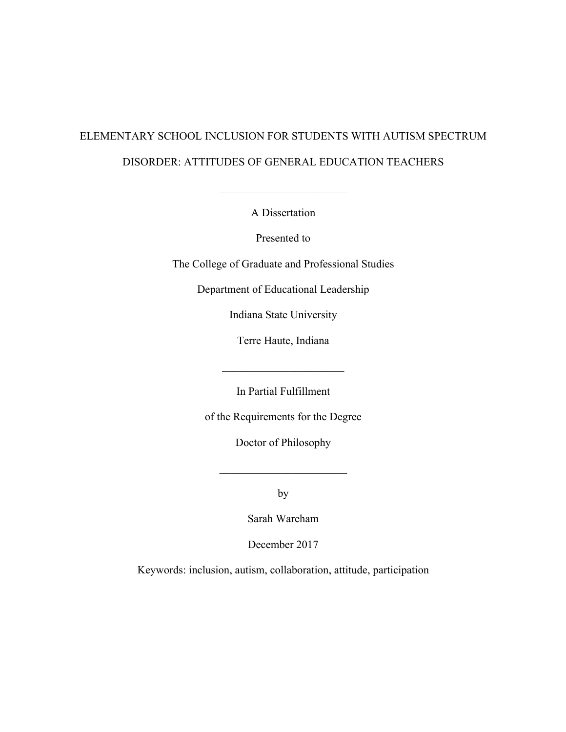# ELEMENTARY SCHOOL INCLUSION FOR STUDENTS WITH AUTISM SPECTRUM DISORDER: ATTITUDES OF GENERAL EDUCATION TEACHERS

A Dissertation

 $\frac{1}{2}$  ,  $\frac{1}{2}$  ,  $\frac{1}{2}$  ,  $\frac{1}{2}$ 

Presented to

The College of Graduate and Professional Studies

Department of Educational Leadership

Indiana State University

Terre Haute, Indiana

 $\mathcal{L}_\text{max}$  , where  $\mathcal{L}_\text{max}$  , we have the set of  $\mathcal{L}_\text{max}$ 

In Partial Fulfillment

of the Requirements for the Degree

Doctor of Philosophy

by

 $\mathcal{L}_\text{max}$ 

Sarah Wareham

December 2017

Keywords: inclusion, autism, collaboration, attitude, participation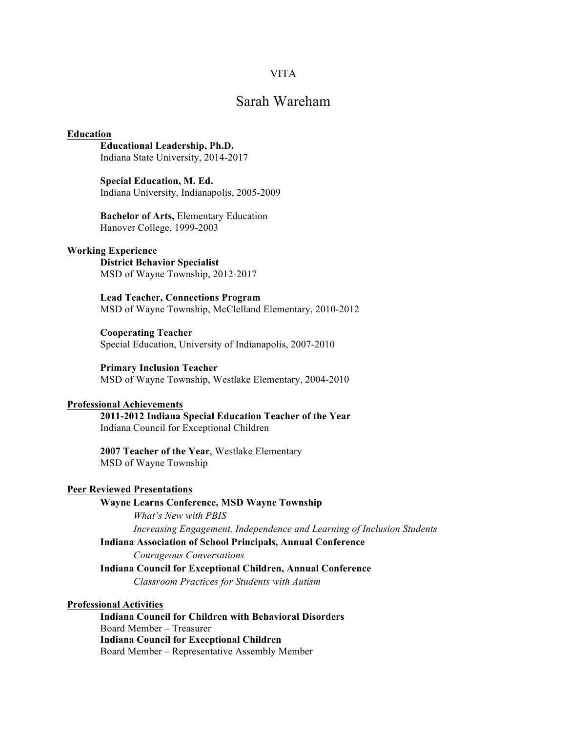# VITA

# Sarah Wareham

#### **Education**

**Educational Leadership, Ph.D.** Indiana State University, 2014-2017

**Special Education, M. Ed.** Indiana University, Indianapolis, 2005-2009

**Bachelor of Arts,** Elementary Education Hanover College, 1999-2003

#### **Working Experience**

**District Behavior Specialist** MSD of Wayne Township, 2012-2017

**Lead Teacher, Connections Program** MSD of Wayne Township, McClelland Elementary, 2010-2012

**Cooperating Teacher** Special Education, University of Indianapolis, 2007-2010

**Primary Inclusion Teacher** MSD of Wayne Township, Westlake Elementary, 2004-2010

#### **Professional Achievements**

**2011-2012 Indiana Special Education Teacher of the Year** Indiana Council for Exceptional Children

**2007 Teacher of the Year**, Westlake Elementary MSD of Wayne Township

#### **Peer Reviewed Presentations**

**Wayne Learns Conference, MSD Wayne Township**

*What's New with PBIS*

*Increasing Engagement, Independence and Learning of Inclusion Students*

**Indiana Association of School Principals, Annual Conference**

*Courageous Conversations* 

**Indiana Council for Exceptional Children, Annual Conference**

*Classroom Practices for Students with Autism*

#### **Professional Activities**

**Indiana Council for Children with Behavioral Disorders** Board Member – Treasurer **Indiana Council for Exceptional Children** Board Member – Representative Assembly Member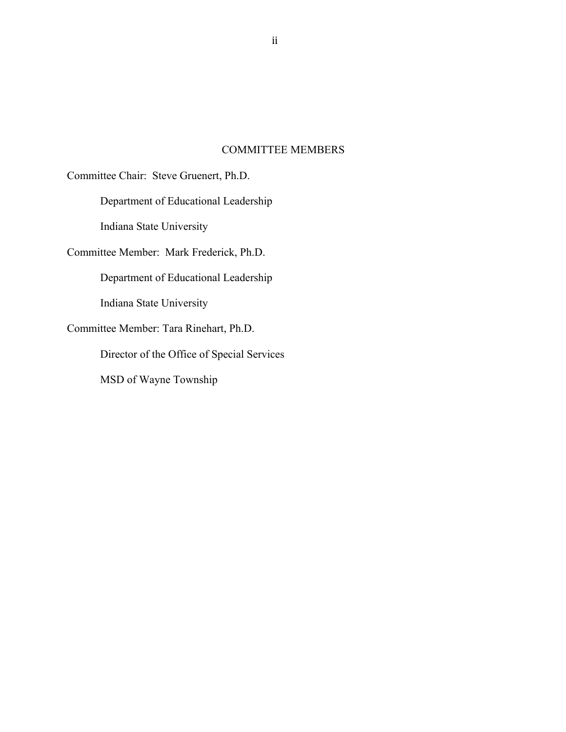# COMMITTEE MEMBERS

Committee Chair: Steve Gruenert, Ph.D.

Department of Educational Leadership

Indiana State University

Committee Member: Mark Frederick, Ph.D.

Department of Educational Leadership

Indiana State University

Committee Member: Tara Rinehart, Ph.D.

Director of the Office of Special Services

MSD of Wayne Township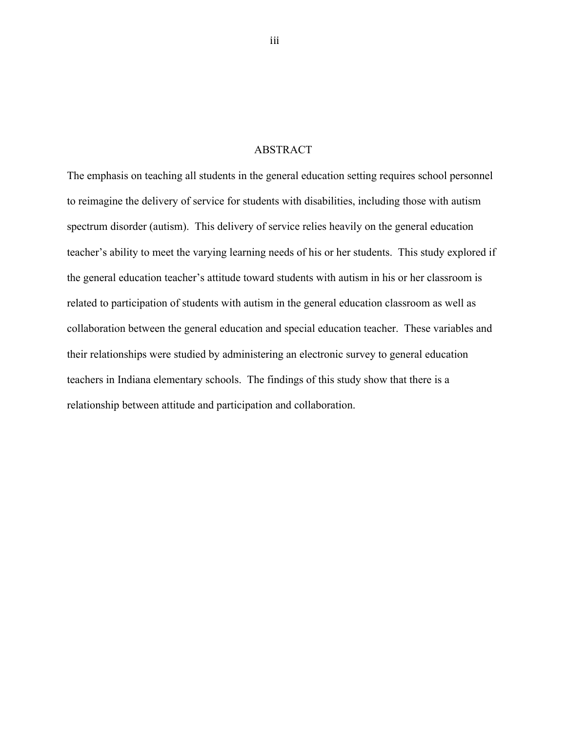#### ABSTRACT

The emphasis on teaching all students in the general education setting requires school personnel to reimagine the delivery of service for students with disabilities, including those with autism spectrum disorder (autism). This delivery of service relies heavily on the general education teacher's ability to meet the varying learning needs of his or her students. This study explored if the general education teacher's attitude toward students with autism in his or her classroom is related to participation of students with autism in the general education classroom as well as collaboration between the general education and special education teacher. These variables and their relationships were studied by administering an electronic survey to general education teachers in Indiana elementary schools. The findings of this study show that there is a relationship between attitude and participation and collaboration.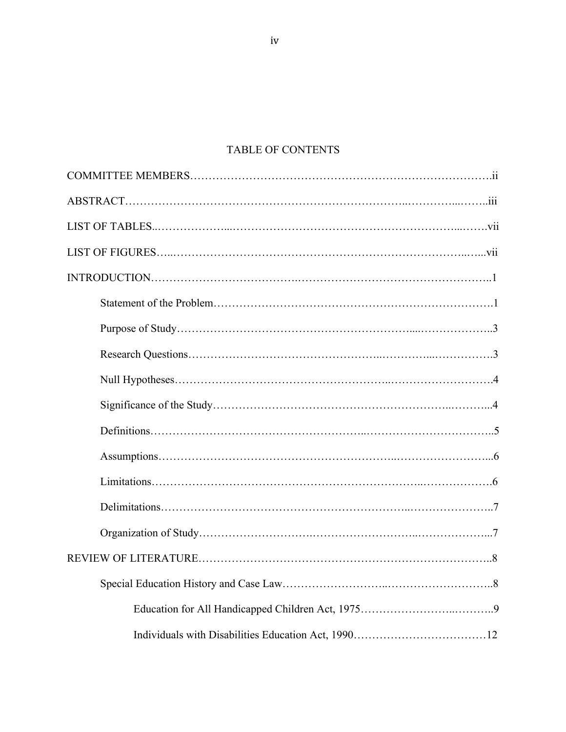# TABLE OF CONTENTS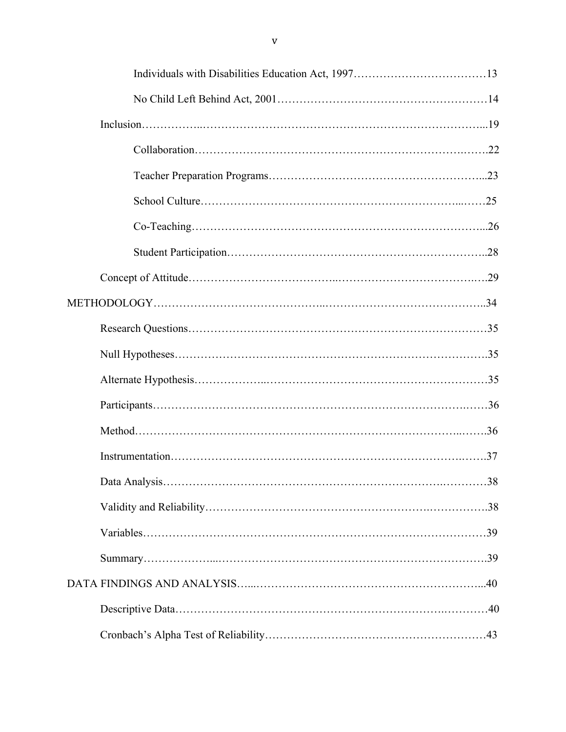| $\Omega$ |
|----------|
|          |
|          |
|          |
|          |
|          |
|          |
|          |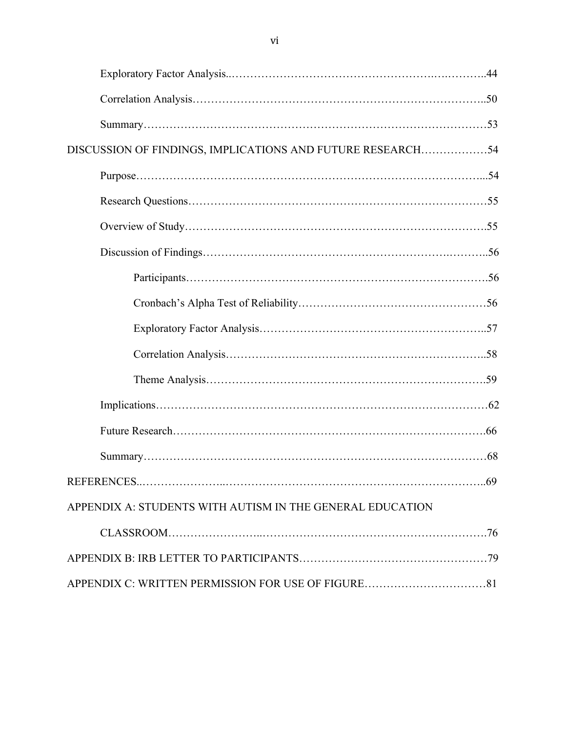| APPENDIX A: STUDENTS WITH AUTISM IN THE GENERAL EDUCATION |  |
|-----------------------------------------------------------|--|
|                                                           |  |
|                                                           |  |
|                                                           |  |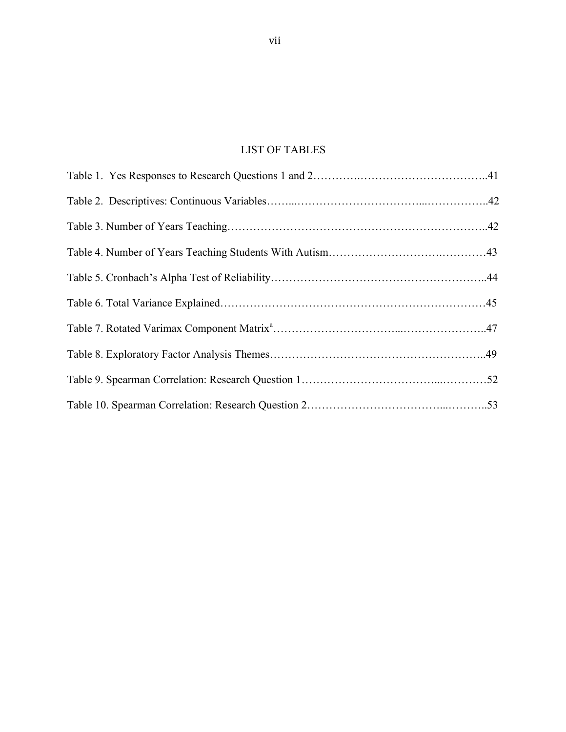# LIST OF TABLES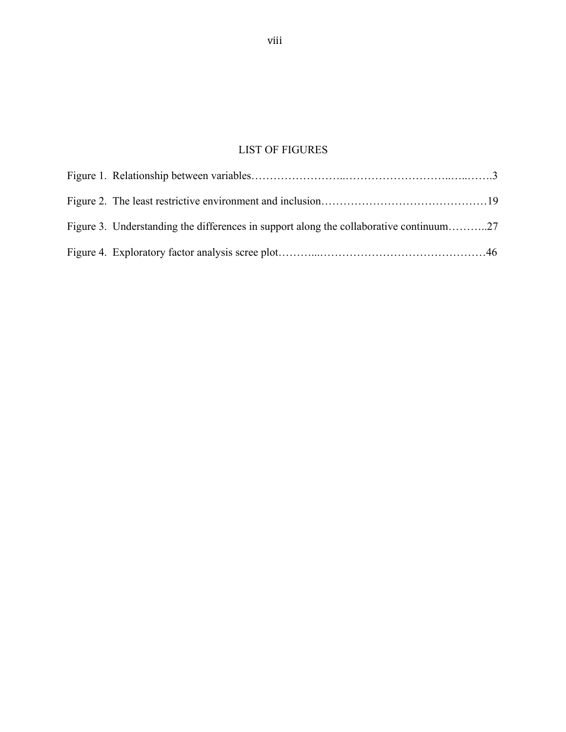# LIST OF FIGURES

| Figure 3. Understanding the differences in support along the collaborative continuum27 |  |
|----------------------------------------------------------------------------------------|--|
|                                                                                        |  |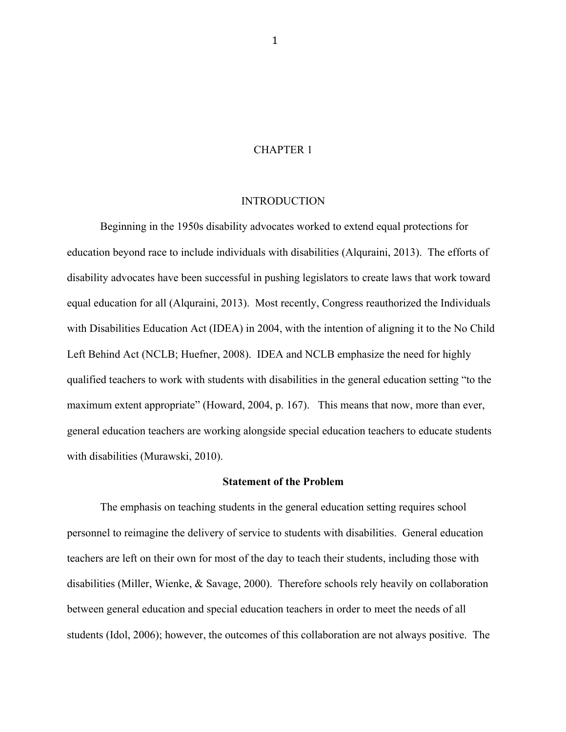# CHAPTER 1

### **INTRODUCTION**

Beginning in the 1950s disability advocates worked to extend equal protections for education beyond race to include individuals with disabilities (Alquraini, 2013). The efforts of disability advocates have been successful in pushing legislators to create laws that work toward equal education for all (Alquraini, 2013). Most recently, Congress reauthorized the Individuals with Disabilities Education Act (IDEA) in 2004, with the intention of aligning it to the No Child Left Behind Act (NCLB; Huefner, 2008). IDEA and NCLB emphasize the need for highly qualified teachers to work with students with disabilities in the general education setting "to the maximum extent appropriate" (Howard, 2004, p. 167). This means that now, more than ever, general education teachers are working alongside special education teachers to educate students with disabilities (Murawski, 2010).

#### **Statement of the Problem**

The emphasis on teaching students in the general education setting requires school personnel to reimagine the delivery of service to students with disabilities. General education teachers are left on their own for most of the day to teach their students, including those with disabilities (Miller, Wienke, & Savage, 2000). Therefore schools rely heavily on collaboration between general education and special education teachers in order to meet the needs of all students (Idol, 2006); however, the outcomes of this collaboration are not always positive. The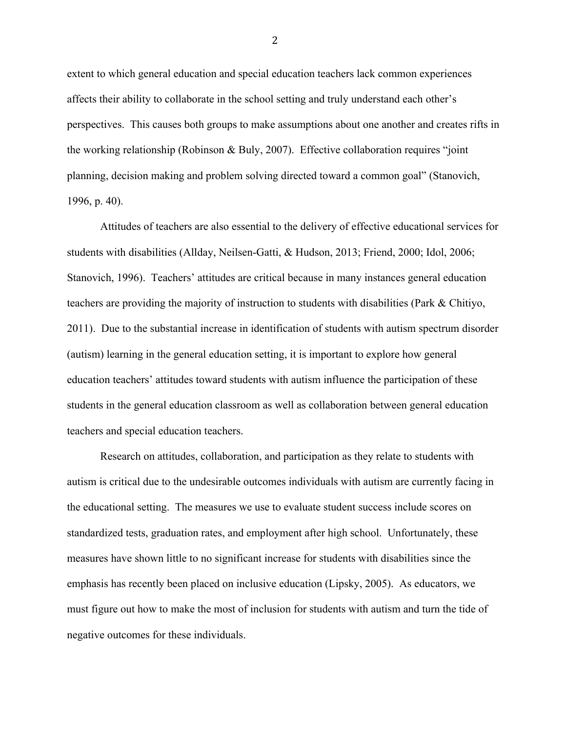extent to which general education and special education teachers lack common experiences affects their ability to collaborate in the school setting and truly understand each other's perspectives. This causes both groups to make assumptions about one another and creates rifts in the working relationship (Robinson & Buly, 2007). Effective collaboration requires "joint planning, decision making and problem solving directed toward a common goal" (Stanovich, 1996, p. 40).

Attitudes of teachers are also essential to the delivery of effective educational services for students with disabilities (Allday, Neilsen-Gatti, & Hudson, 2013; Friend, 2000; Idol, 2006; Stanovich, 1996). Teachers' attitudes are critical because in many instances general education teachers are providing the majority of instruction to students with disabilities (Park & Chitiyo, 2011). Due to the substantial increase in identification of students with autism spectrum disorder (autism) learning in the general education setting, it is important to explore how general education teachers' attitudes toward students with autism influence the participation of these students in the general education classroom as well as collaboration between general education teachers and special education teachers.

Research on attitudes, collaboration, and participation as they relate to students with autism is critical due to the undesirable outcomes individuals with autism are currently facing in the educational setting. The measures we use to evaluate student success include scores on standardized tests, graduation rates, and employment after high school. Unfortunately, these measures have shown little to no significant increase for students with disabilities since the emphasis has recently been placed on inclusive education (Lipsky, 2005). As educators, we must figure out how to make the most of inclusion for students with autism and turn the tide of negative outcomes for these individuals.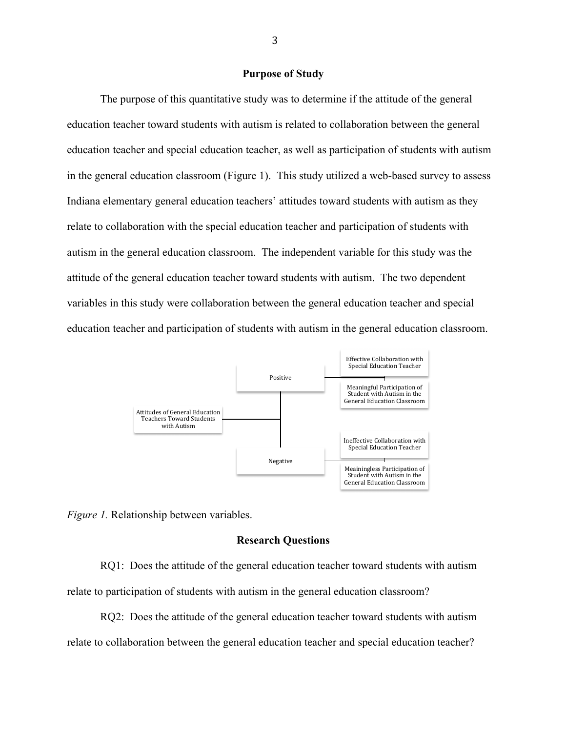### **Purpose of Study**

The purpose of this quantitative study was to determine if the attitude of the general education teacher toward students with autism is related to collaboration between the general education teacher and special education teacher, as well as participation of students with autism in the general education classroom (Figure 1). This study utilized a web-based survey to assess Indiana elementary general education teachers' attitudes toward students with autism as they relate to collaboration with the special education teacher and participation of students with autism in the general education classroom. The independent variable for this study was the attitude of the general education teacher toward students with autism. The two dependent variables in this study were collaboration between the general education teacher and special education teacher and participation of students with autism in the general education classroom.



*Figure 1.* Relationship between variables.

# **Research Questions**

RQ1: Does the attitude of the general education teacher toward students with autism relate to participation of students with autism in the general education classroom?

RQ2: Does the attitude of the general education teacher toward students with autism relate to collaboration between the general education teacher and special education teacher?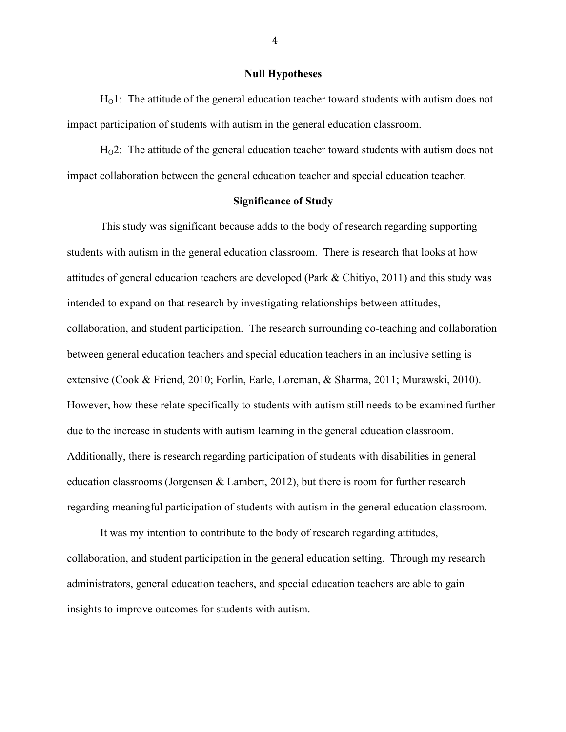# **Null Hypotheses**

 $H_0$ 1: The attitude of the general education teacher toward students with autism does not impact participation of students with autism in the general education classroom.

 $H<sub>0</sub>2$ : The attitude of the general education teacher toward students with autism does not impact collaboration between the general education teacher and special education teacher.

# **Significance of Study**

This study was significant because adds to the body of research regarding supporting students with autism in the general education classroom. There is research that looks at how attitudes of general education teachers are developed (Park & Chitiyo, 2011) and this study was intended to expand on that research by investigating relationships between attitudes, collaboration, and student participation. The research surrounding co-teaching and collaboration between general education teachers and special education teachers in an inclusive setting is extensive (Cook & Friend, 2010; Forlin, Earle, Loreman, & Sharma, 2011; Murawski, 2010). However, how these relate specifically to students with autism still needs to be examined further due to the increase in students with autism learning in the general education classroom. Additionally, there is research regarding participation of students with disabilities in general education classrooms (Jorgensen & Lambert, 2012), but there is room for further research regarding meaningful participation of students with autism in the general education classroom.

It was my intention to contribute to the body of research regarding attitudes, collaboration, and student participation in the general education setting. Through my research administrators, general education teachers, and special education teachers are able to gain insights to improve outcomes for students with autism.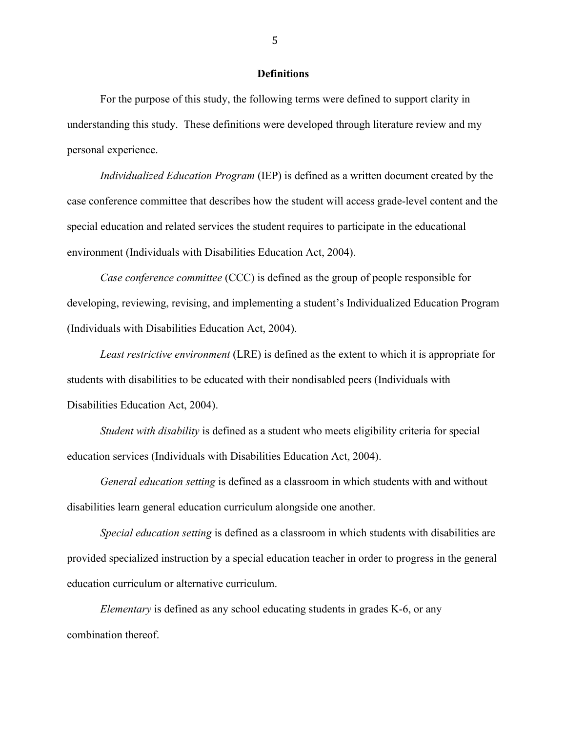### **Definitions**

For the purpose of this study, the following terms were defined to support clarity in understanding this study. These definitions were developed through literature review and my personal experience.

*Individualized Education Program* (IEP) is defined as a written document created by the case conference committee that describes how the student will access grade-level content and the special education and related services the student requires to participate in the educational environment (Individuals with Disabilities Education Act, 2004).

*Case conference committee* (CCC) is defined as the group of people responsible for developing, reviewing, revising, and implementing a student's Individualized Education Program (Individuals with Disabilities Education Act, 2004).

*Least restrictive environment* (LRE) is defined as the extent to which it is appropriate for students with disabilities to be educated with their nondisabled peers (Individuals with Disabilities Education Act, 2004).

*Student with disability* is defined as a student who meets eligibility criteria for special education services (Individuals with Disabilities Education Act, 2004).

*General education setting* is defined as a classroom in which students with and without disabilities learn general education curriculum alongside one another.

*Special education setting* is defined as a classroom in which students with disabilities are provided specialized instruction by a special education teacher in order to progress in the general education curriculum or alternative curriculum.

*Elementary* is defined as any school educating students in grades K-6, or any combination thereof.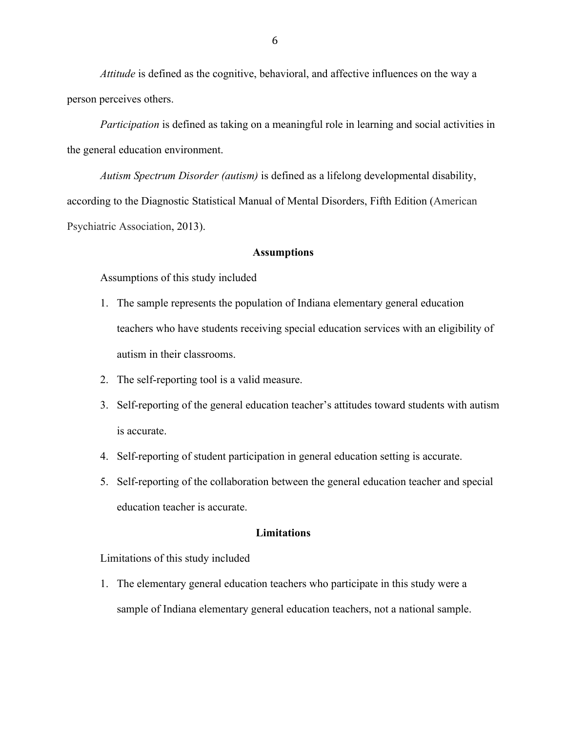*Attitude* is defined as the cognitive, behavioral, and affective influences on the way a person perceives others.

*Participation* is defined as taking on a meaningful role in learning and social activities in the general education environment.

*Autism Spectrum Disorder (autism)* is defined as a lifelong developmental disability, according to the Diagnostic Statistical Manual of Mental Disorders, Fifth Edition (American Psychiatric Association, 2013).

# **Assumptions**

Assumptions of this study included

- 1. The sample represents the population of Indiana elementary general education teachers who have students receiving special education services with an eligibility of autism in their classrooms.
- 2. The self-reporting tool is a valid measure.
- 3. Self-reporting of the general education teacher's attitudes toward students with autism is accurate.
- 4. Self-reporting of student participation in general education setting is accurate.
- 5. Self-reporting of the collaboration between the general education teacher and special education teacher is accurate.

#### **Limitations**

Limitations of this study included

1. The elementary general education teachers who participate in this study were a sample of Indiana elementary general education teachers, not a national sample.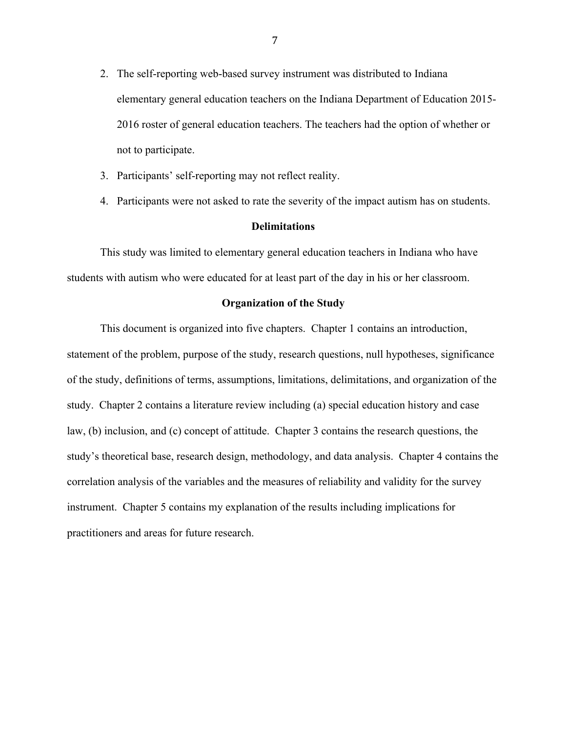- 2. The self-reporting web-based survey instrument was distributed to Indiana elementary general education teachers on the Indiana Department of Education 2015- 2016 roster of general education teachers. The teachers had the option of whether or not to participate.
- 3. Participants' self-reporting may not reflect reality.
- 4. Participants were not asked to rate the severity of the impact autism has on students.

# **Delimitations**

This study was limited to elementary general education teachers in Indiana who have students with autism who were educated for at least part of the day in his or her classroom.

### **Organization of the Study**

This document is organized into five chapters. Chapter 1 contains an introduction, statement of the problem, purpose of the study, research questions, null hypotheses, significance of the study, definitions of terms, assumptions, limitations, delimitations, and organization of the study. Chapter 2 contains a literature review including (a) special education history and case law, (b) inclusion, and (c) concept of attitude. Chapter 3 contains the research questions, the study's theoretical base, research design, methodology, and data analysis. Chapter 4 contains the correlation analysis of the variables and the measures of reliability and validity for the survey instrument. Chapter 5 contains my explanation of the results including implications for practitioners and areas for future research.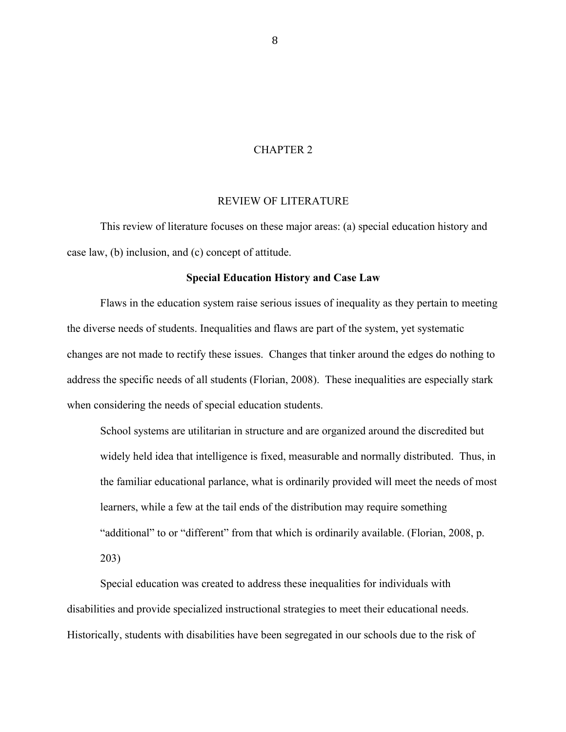### CHAPTER 2

### REVIEW OF LITERATURE

This review of literature focuses on these major areas: (a) special education history and case law, (b) inclusion, and (c) concept of attitude.

#### **Special Education History and Case Law**

Flaws in the education system raise serious issues of inequality as they pertain to meeting the diverse needs of students. Inequalities and flaws are part of the system, yet systematic changes are not made to rectify these issues. Changes that tinker around the edges do nothing to address the specific needs of all students (Florian, 2008). These inequalities are especially stark when considering the needs of special education students.

School systems are utilitarian in structure and are organized around the discredited but widely held idea that intelligence is fixed, measurable and normally distributed. Thus, in the familiar educational parlance, what is ordinarily provided will meet the needs of most learners, while a few at the tail ends of the distribution may require something "additional" to or "different" from that which is ordinarily available. (Florian, 2008, p. 203)

Special education was created to address these inequalities for individuals with disabilities and provide specialized instructional strategies to meet their educational needs. Historically, students with disabilities have been segregated in our schools due to the risk of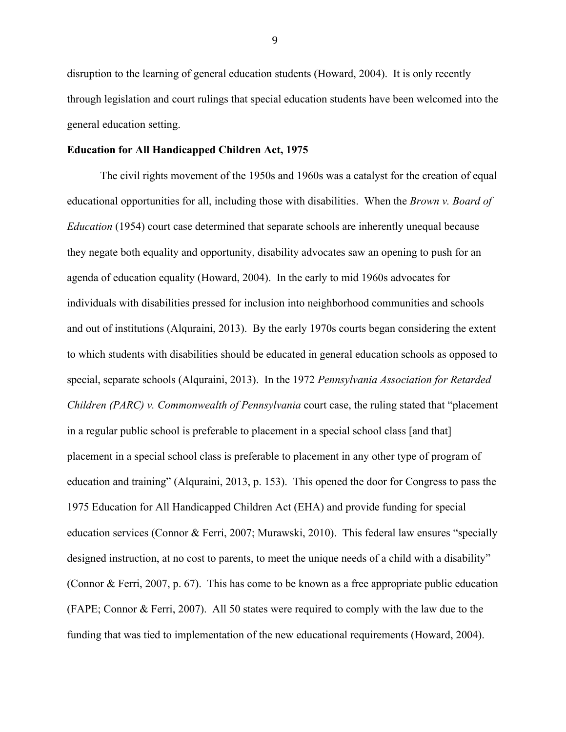disruption to the learning of general education students (Howard, 2004). It is only recently through legislation and court rulings that special education students have been welcomed into the general education setting.

#### **Education for All Handicapped Children Act, 1975**

The civil rights movement of the 1950s and 1960s was a catalyst for the creation of equal educational opportunities for all, including those with disabilities. When the *Brown v. Board of Education* (1954) court case determined that separate schools are inherently unequal because they negate both equality and opportunity, disability advocates saw an opening to push for an agenda of education equality (Howard, 2004). In the early to mid 1960s advocates for individuals with disabilities pressed for inclusion into neighborhood communities and schools and out of institutions (Alquraini, 2013). By the early 1970s courts began considering the extent to which students with disabilities should be educated in general education schools as opposed to special, separate schools (Alquraini, 2013). In the 1972 *Pennsylvania Association for Retarded Children (PARC) v. Commonwealth of Pennsylvania* court case, the ruling stated that "placement in a regular public school is preferable to placement in a special school class [and that] placement in a special school class is preferable to placement in any other type of program of education and training" (Alquraini, 2013, p. 153). This opened the door for Congress to pass the 1975 Education for All Handicapped Children Act (EHA) and provide funding for special education services (Connor & Ferri, 2007; Murawski, 2010). This federal law ensures "specially designed instruction, at no cost to parents, to meet the unique needs of a child with a disability" (Connor & Ferri, 2007, p. 67). This has come to be known as a free appropriate public education (FAPE; Connor & Ferri, 2007). All 50 states were required to comply with the law due to the funding that was tied to implementation of the new educational requirements (Howard, 2004).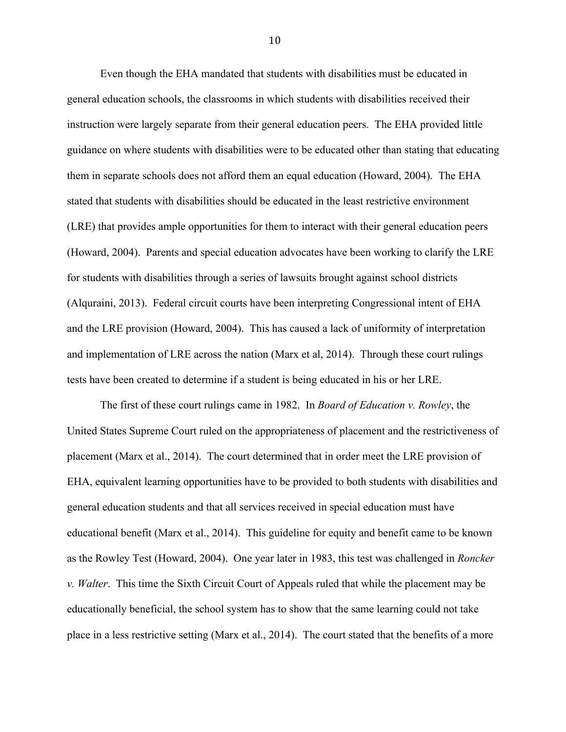Even though the EHA mandated that students with disabilities must be educated in general education schools, the classrooms in which students with disabilities received their instruction were largely separate from their general education peers. The EHA provided little guidance on where students with disabilities were to be educated other than stating that educating them in separate schools does not afford them an equal education (Howard, 2004). The EHA stated that students with disabilities should be educated in the least restrictive environment (LRE) that provides ample opportunities for them to interact with their general education peers (Howard, 2004). Parents and special education advocates have been working to clarify the LRE for students with disabilities through a series of lawsuits brought against school districts (Alquraini, 2013). Federal circuit courts have been interpreting Congressional intent of EHA and the LRE provision (Howard, 2004). This has caused a lack of uniformity of interpretation and implementation of LRE across the nation (Marx et al, 2014). Through these court rulings tests have been created to determine if a student is being educated in his or her LRE.

The first of these court rulings came in 1982. In *Board of Education v. Rowley*, the United States Supreme Court ruled on the appropriateness of placement and the restrictiveness of placement (Marx et al., 2014). The court determined that in order meet the LRE provision of EHA, equivalent learning opportunities have to be provided to both students with disabilities and general education students and that all services received in special education must have educational benefit (Marx et al., 2014). This guideline for equity and benefit came to be known as the Rowley Test (Howard, 2004). One year later in 1983, this test was challenged in *Roncker v. Walter*. This time the Sixth Circuit Court of Appeals ruled that while the placement may be educationally beneficial, the school system has to show that the same learning could not take place in a less restrictive setting (Marx et al., 2014). The court stated that the benefits of a more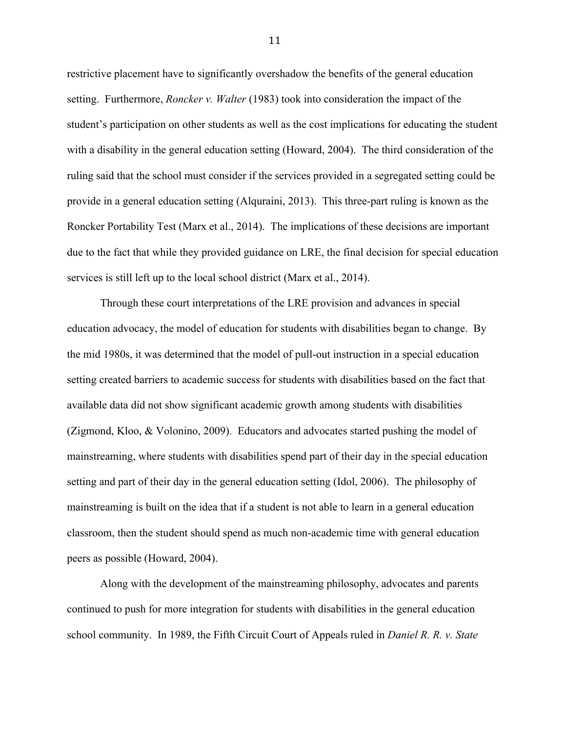restrictive placement have to significantly overshadow the benefits of the general education setting. Furthermore, *Roncker v. Walter* (1983) took into consideration the impact of the student's participation on other students as well as the cost implications for educating the student with a disability in the general education setting (Howard, 2004). The third consideration of the ruling said that the school must consider if the services provided in a segregated setting could be provide in a general education setting (Alquraini, 2013). This three-part ruling is known as the Roncker Portability Test (Marx et al., 2014). The implications of these decisions are important due to the fact that while they provided guidance on LRE, the final decision for special education services is still left up to the local school district (Marx et al., 2014).

Through these court interpretations of the LRE provision and advances in special education advocacy, the model of education for students with disabilities began to change. By the mid 1980s, it was determined that the model of pull-out instruction in a special education setting created barriers to academic success for students with disabilities based on the fact that available data did not show significant academic growth among students with disabilities (Zigmond, Kloo, & Volonino, 2009). Educators and advocates started pushing the model of mainstreaming, where students with disabilities spend part of their day in the special education setting and part of their day in the general education setting (Idol, 2006). The philosophy of mainstreaming is built on the idea that if a student is not able to learn in a general education classroom, then the student should spend as much non-academic time with general education peers as possible (Howard, 2004).

Along with the development of the mainstreaming philosophy, advocates and parents continued to push for more integration for students with disabilities in the general education school community. In 1989, the Fifth Circuit Court of Appeals ruled in *Daniel R. R. v. State*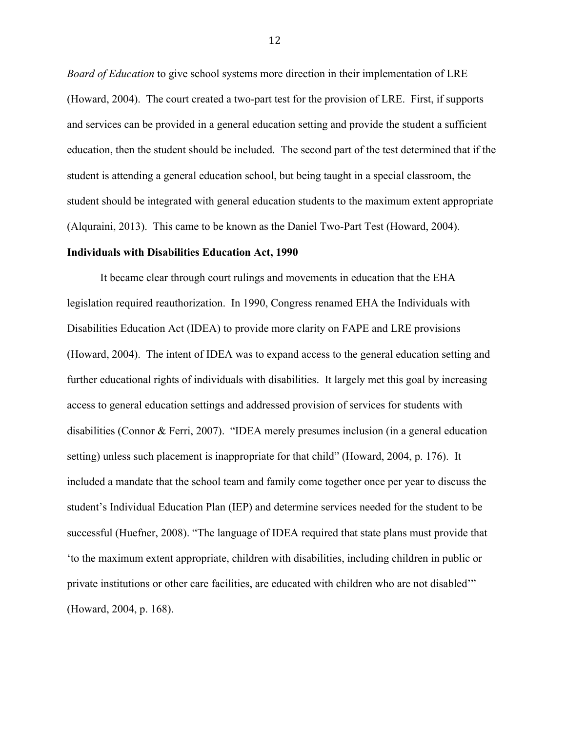*Board of Education* to give school systems more direction in their implementation of LRE (Howard, 2004). The court created a two-part test for the provision of LRE. First, if supports and services can be provided in a general education setting and provide the student a sufficient education, then the student should be included. The second part of the test determined that if the student is attending a general education school, but being taught in a special classroom, the student should be integrated with general education students to the maximum extent appropriate (Alquraini, 2013). This came to be known as the Daniel Two-Part Test (Howard, 2004).

#### **Individuals with Disabilities Education Act, 1990**

It became clear through court rulings and movements in education that the EHA legislation required reauthorization. In 1990, Congress renamed EHA the Individuals with Disabilities Education Act (IDEA) to provide more clarity on FAPE and LRE provisions (Howard, 2004). The intent of IDEA was to expand access to the general education setting and further educational rights of individuals with disabilities. It largely met this goal by increasing access to general education settings and addressed provision of services for students with disabilities (Connor & Ferri, 2007). "IDEA merely presumes inclusion (in a general education setting) unless such placement is inappropriate for that child" (Howard, 2004, p. 176). It included a mandate that the school team and family come together once per year to discuss the student's Individual Education Plan (IEP) and determine services needed for the student to be successful (Huefner, 2008). "The language of IDEA required that state plans must provide that 'to the maximum extent appropriate, children with disabilities, including children in public or private institutions or other care facilities, are educated with children who are not disabled'" (Howard, 2004, p. 168).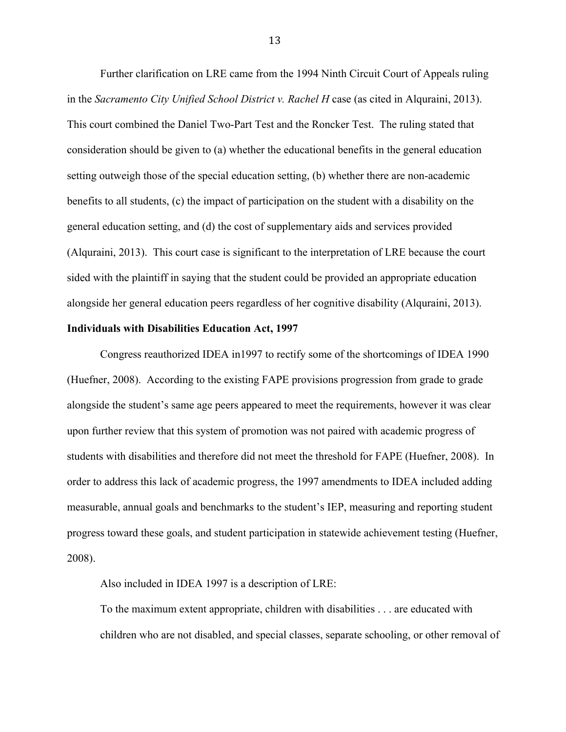Further clarification on LRE came from the 1994 Ninth Circuit Court of Appeals ruling in the *Sacramento City Unified School District v. Rachel H* case (as cited in Alquraini, 2013). This court combined the Daniel Two-Part Test and the Roncker Test. The ruling stated that consideration should be given to (a) whether the educational benefits in the general education setting outweigh those of the special education setting, (b) whether there are non-academic benefits to all students, (c) the impact of participation on the student with a disability on the general education setting, and (d) the cost of supplementary aids and services provided (Alquraini, 2013). This court case is significant to the interpretation of LRE because the court sided with the plaintiff in saying that the student could be provided an appropriate education alongside her general education peers regardless of her cognitive disability (Alquraini, 2013).

### **Individuals with Disabilities Education Act, 1997**

Congress reauthorized IDEA in1997 to rectify some of the shortcomings of IDEA 1990 (Huefner, 2008). According to the existing FAPE provisions progression from grade to grade alongside the student's same age peers appeared to meet the requirements, however it was clear upon further review that this system of promotion was not paired with academic progress of students with disabilities and therefore did not meet the threshold for FAPE (Huefner, 2008). In order to address this lack of academic progress, the 1997 amendments to IDEA included adding measurable, annual goals and benchmarks to the student's IEP, measuring and reporting student progress toward these goals, and student participation in statewide achievement testing (Huefner, 2008).

Also included in IDEA 1997 is a description of LRE:

To the maximum extent appropriate, children with disabilities . . . are educated with children who are not disabled, and special classes, separate schooling, or other removal of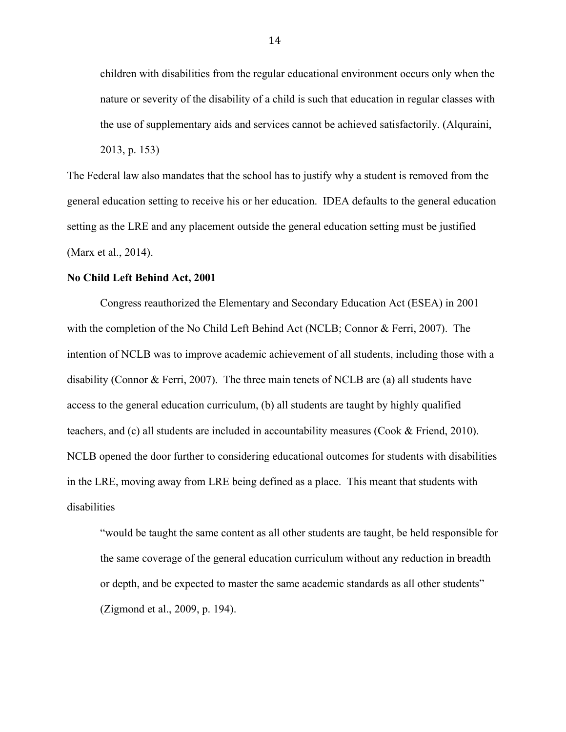children with disabilities from the regular educational environment occurs only when the nature or severity of the disability of a child is such that education in regular classes with the use of supplementary aids and services cannot be achieved satisfactorily. (Alquraini, 2013, p. 153)

The Federal law also mandates that the school has to justify why a student is removed from the general education setting to receive his or her education. IDEA defaults to the general education setting as the LRE and any placement outside the general education setting must be justified (Marx et al., 2014).

#### **No Child Left Behind Act, 2001**

Congress reauthorized the Elementary and Secondary Education Act (ESEA) in 2001 with the completion of the No Child Left Behind Act (NCLB; Connor & Ferri, 2007). The intention of NCLB was to improve academic achievement of all students, including those with a disability (Connor & Ferri, 2007). The three main tenets of NCLB are (a) all students have access to the general education curriculum, (b) all students are taught by highly qualified teachers, and (c) all students are included in accountability measures (Cook & Friend, 2010). NCLB opened the door further to considering educational outcomes for students with disabilities in the LRE, moving away from LRE being defined as a place. This meant that students with disabilities

"would be taught the same content as all other students are taught, be held responsible for the same coverage of the general education curriculum without any reduction in breadth or depth, and be expected to master the same academic standards as all other students" (Zigmond et al., 2009, p. 194).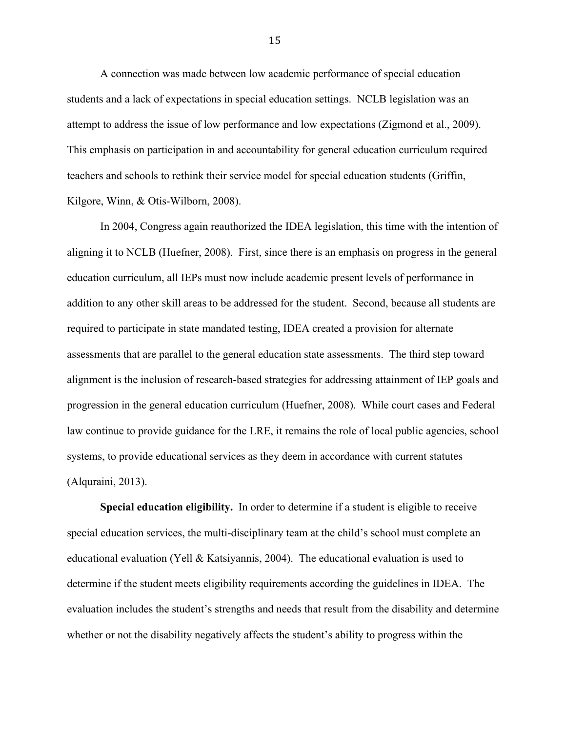A connection was made between low academic performance of special education students and a lack of expectations in special education settings. NCLB legislation was an attempt to address the issue of low performance and low expectations (Zigmond et al., 2009). This emphasis on participation in and accountability for general education curriculum required teachers and schools to rethink their service model for special education students (Griffin, Kilgore, Winn, & Otis-Wilborn, 2008).

In 2004, Congress again reauthorized the IDEA legislation, this time with the intention of aligning it to NCLB (Huefner, 2008). First, since there is an emphasis on progress in the general education curriculum, all IEPs must now include academic present levels of performance in addition to any other skill areas to be addressed for the student. Second, because all students are required to participate in state mandated testing, IDEA created a provision for alternate assessments that are parallel to the general education state assessments. The third step toward alignment is the inclusion of research-based strategies for addressing attainment of IEP goals and progression in the general education curriculum (Huefner, 2008). While court cases and Federal law continue to provide guidance for the LRE, it remains the role of local public agencies, school systems, to provide educational services as they deem in accordance with current statutes (Alquraini, 2013).

**Special education eligibility.** In order to determine if a student is eligible to receive special education services, the multi-disciplinary team at the child's school must complete an educational evaluation (Yell & Katsiyannis, 2004). The educational evaluation is used to determine if the student meets eligibility requirements according the guidelines in IDEA. The evaluation includes the student's strengths and needs that result from the disability and determine whether or not the disability negatively affects the student's ability to progress within the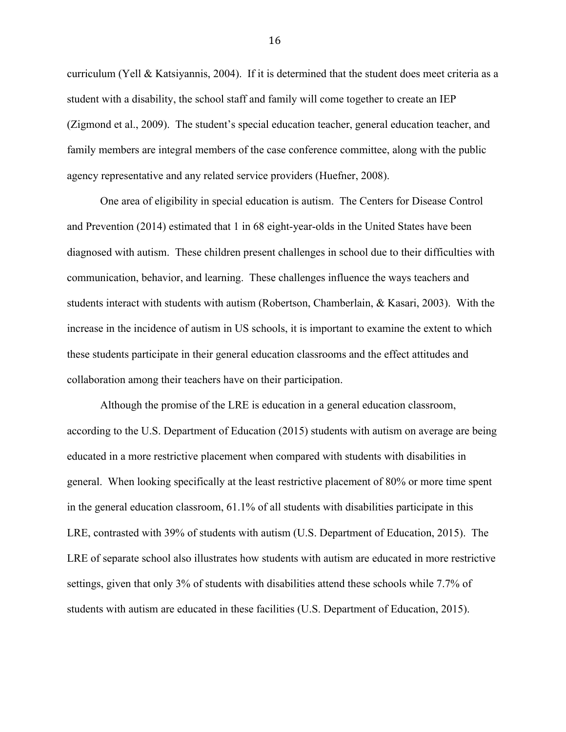curriculum (Yell & Katsiyannis, 2004). If it is determined that the student does meet criteria as a student with a disability, the school staff and family will come together to create an IEP (Zigmond et al., 2009). The student's special education teacher, general education teacher, and family members are integral members of the case conference committee, along with the public agency representative and any related service providers (Huefner, 2008).

One area of eligibility in special education is autism. The Centers for Disease Control and Prevention (2014) estimated that 1 in 68 eight-year-olds in the United States have been diagnosed with autism. These children present challenges in school due to their difficulties with communication, behavior, and learning. These challenges influence the ways teachers and students interact with students with autism (Robertson, Chamberlain, & Kasari, 2003). With the increase in the incidence of autism in US schools, it is important to examine the extent to which these students participate in their general education classrooms and the effect attitudes and collaboration among their teachers have on their participation.

Although the promise of the LRE is education in a general education classroom, according to the U.S. Department of Education (2015) students with autism on average are being educated in a more restrictive placement when compared with students with disabilities in general. When looking specifically at the least restrictive placement of 80% or more time spent in the general education classroom, 61.1% of all students with disabilities participate in this LRE, contrasted with 39% of students with autism (U.S. Department of Education, 2015). The LRE of separate school also illustrates how students with autism are educated in more restrictive settings, given that only 3% of students with disabilities attend these schools while 7.7% of students with autism are educated in these facilities (U.S. Department of Education, 2015).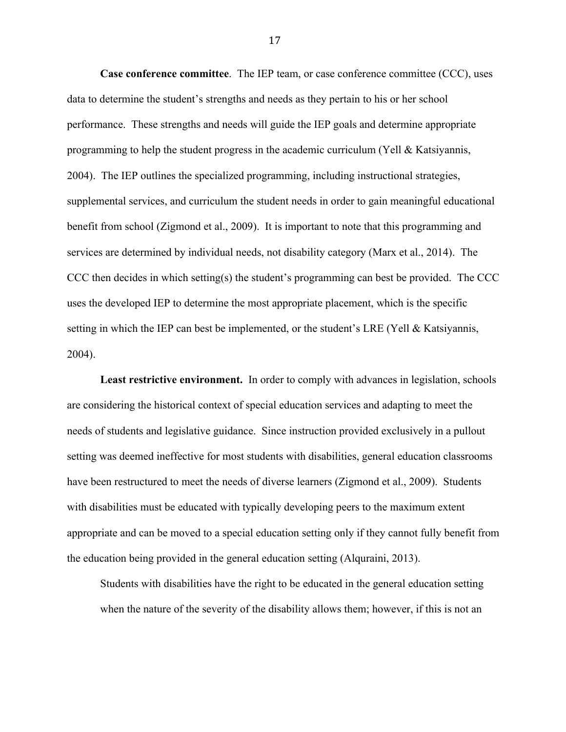**Case conference committee**. The IEP team, or case conference committee (CCC), uses data to determine the student's strengths and needs as they pertain to his or her school performance. These strengths and needs will guide the IEP goals and determine appropriate programming to help the student progress in the academic curriculum (Yell & Katsiyannis, 2004). The IEP outlines the specialized programming, including instructional strategies, supplemental services, and curriculum the student needs in order to gain meaningful educational benefit from school (Zigmond et al., 2009). It is important to note that this programming and services are determined by individual needs, not disability category (Marx et al., 2014). The CCC then decides in which setting(s) the student's programming can best be provided. The CCC uses the developed IEP to determine the most appropriate placement, which is the specific setting in which the IEP can best be implemented, or the student's LRE (Yell & Katsiyannis, 2004).

**Least restrictive environment.** In order to comply with advances in legislation, schools are considering the historical context of special education services and adapting to meet the needs of students and legislative guidance. Since instruction provided exclusively in a pullout setting was deemed ineffective for most students with disabilities, general education classrooms have been restructured to meet the needs of diverse learners (Zigmond et al., 2009). Students with disabilities must be educated with typically developing peers to the maximum extent appropriate and can be moved to a special education setting only if they cannot fully benefit from the education being provided in the general education setting (Alquraini, 2013).

Students with disabilities have the right to be educated in the general education setting when the nature of the severity of the disability allows them; however, if this is not an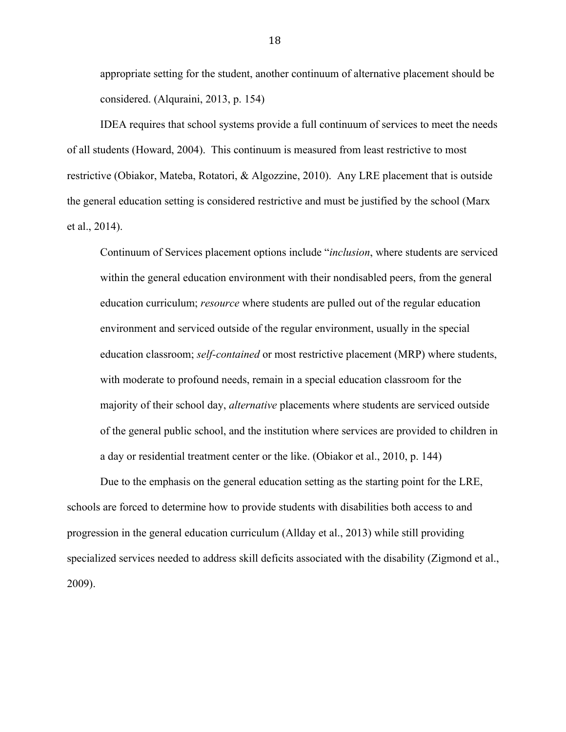appropriate setting for the student, another continuum of alternative placement should be considered. (Alquraini, 2013, p. 154)

IDEA requires that school systems provide a full continuum of services to meet the needs of all students (Howard, 2004). This continuum is measured from least restrictive to most restrictive (Obiakor, Mateba, Rotatori, & Algozzine, 2010). Any LRE placement that is outside the general education setting is considered restrictive and must be justified by the school (Marx et al., 2014).

Continuum of Services placement options include "*inclusion*, where students are serviced within the general education environment with their nondisabled peers, from the general education curriculum; *resource* where students are pulled out of the regular education environment and serviced outside of the regular environment, usually in the special education classroom; *self-contained* or most restrictive placement (MRP) where students, with moderate to profound needs, remain in a special education classroom for the majority of their school day, *alternative* placements where students are serviced outside of the general public school, and the institution where services are provided to children in a day or residential treatment center or the like. (Obiakor et al., 2010, p. 144)

Due to the emphasis on the general education setting as the starting point for the LRE, schools are forced to determine how to provide students with disabilities both access to and progression in the general education curriculum (Allday et al., 2013) while still providing specialized services needed to address skill deficits associated with the disability (Zigmond et al., 2009).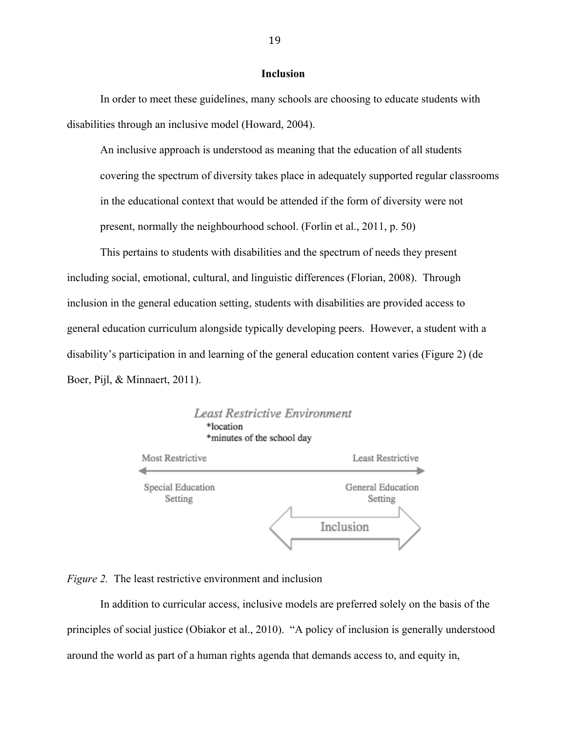# **Inclusion**

In order to meet these guidelines, many schools are choosing to educate students with disabilities through an inclusive model (Howard, 2004).

An inclusive approach is understood as meaning that the education of all students covering the spectrum of diversity takes place in adequately supported regular classrooms in the educational context that would be attended if the form of diversity were not present, normally the neighbourhood school. (Forlin et al., 2011, p. 50)

This pertains to students with disabilities and the spectrum of needs they present including social, emotional, cultural, and linguistic differences (Florian, 2008). Through inclusion in the general education setting, students with disabilities are provided access to general education curriculum alongside typically developing peers. However, a student with a disability's participation in and learning of the general education content varies (Figure 2) (de Boer, Pijl, & Minnaert, 2011).



*Figure 2.* The least restrictive environment and inclusion

In addition to curricular access, inclusive models are preferred solely on the basis of the principles of social justice (Obiakor et al., 2010). "A policy of inclusion is generally understood around the world as part of a human rights agenda that demands access to, and equity in,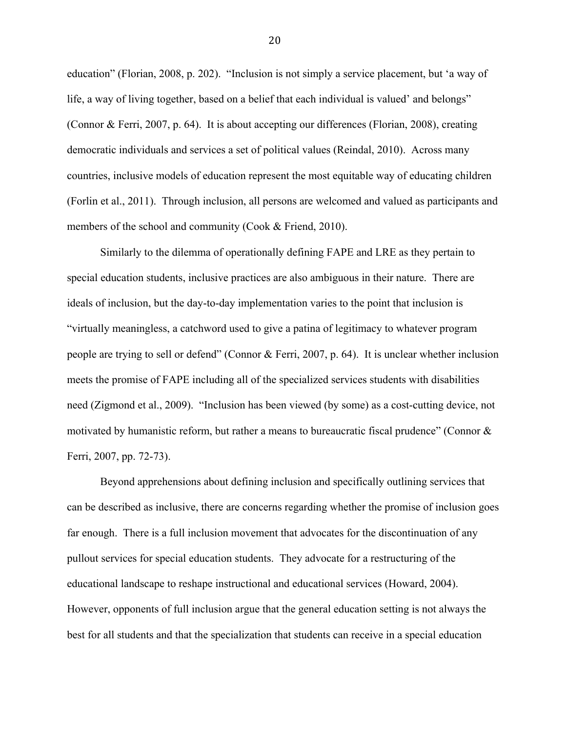education" (Florian, 2008, p. 202). "Inclusion is not simply a service placement, but 'a way of life, a way of living together, based on a belief that each individual is valued' and belongs" (Connor & Ferri, 2007, p. 64). It is about accepting our differences (Florian, 2008), creating democratic individuals and services a set of political values (Reindal, 2010). Across many countries, inclusive models of education represent the most equitable way of educating children (Forlin et al., 2011). Through inclusion, all persons are welcomed and valued as participants and members of the school and community (Cook & Friend, 2010).

Similarly to the dilemma of operationally defining FAPE and LRE as they pertain to special education students, inclusive practices are also ambiguous in their nature. There are ideals of inclusion, but the day-to-day implementation varies to the point that inclusion is "virtually meaningless, a catchword used to give a patina of legitimacy to whatever program people are trying to sell or defend" (Connor & Ferri, 2007, p. 64). It is unclear whether inclusion meets the promise of FAPE including all of the specialized services students with disabilities need (Zigmond et al., 2009). "Inclusion has been viewed (by some) as a cost-cutting device, not motivated by humanistic reform, but rather a means to bureaucratic fiscal prudence" (Connor  $\&$ Ferri, 2007, pp. 72-73).

Beyond apprehensions about defining inclusion and specifically outlining services that can be described as inclusive, there are concerns regarding whether the promise of inclusion goes far enough. There is a full inclusion movement that advocates for the discontinuation of any pullout services for special education students. They advocate for a restructuring of the educational landscape to reshape instructional and educational services (Howard, 2004). However, opponents of full inclusion argue that the general education setting is not always the best for all students and that the specialization that students can receive in a special education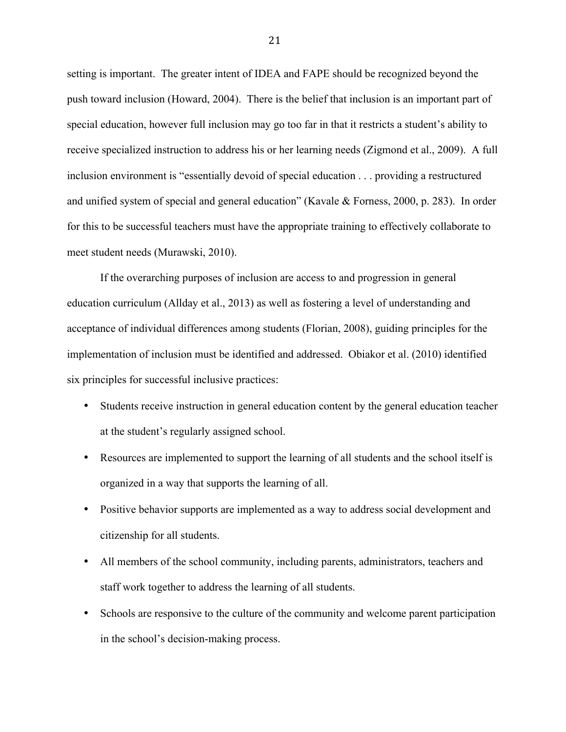setting is important. The greater intent of IDEA and FAPE should be recognized beyond the push toward inclusion (Howard, 2004). There is the belief that inclusion is an important part of special education, however full inclusion may go too far in that it restricts a student's ability to receive specialized instruction to address his or her learning needs (Zigmond et al., 2009). A full inclusion environment is "essentially devoid of special education . . . providing a restructured and unified system of special and general education" (Kavale & Forness, 2000, p. 283). In order for this to be successful teachers must have the appropriate training to effectively collaborate to meet student needs (Murawski, 2010).

If the overarching purposes of inclusion are access to and progression in general education curriculum (Allday et al., 2013) as well as fostering a level of understanding and acceptance of individual differences among students (Florian, 2008), guiding principles for the implementation of inclusion must be identified and addressed. Obiakor et al. (2010) identified six principles for successful inclusive practices:

- Students receive instruction in general education content by the general education teacher at the student's regularly assigned school.
- Resources are implemented to support the learning of all students and the school itself is organized in a way that supports the learning of all.
- Positive behavior supports are implemented as a way to address social development and citizenship for all students.
- All members of the school community, including parents, administrators, teachers and staff work together to address the learning of all students.
- Schools are responsive to the culture of the community and welcome parent participation in the school's decision-making process.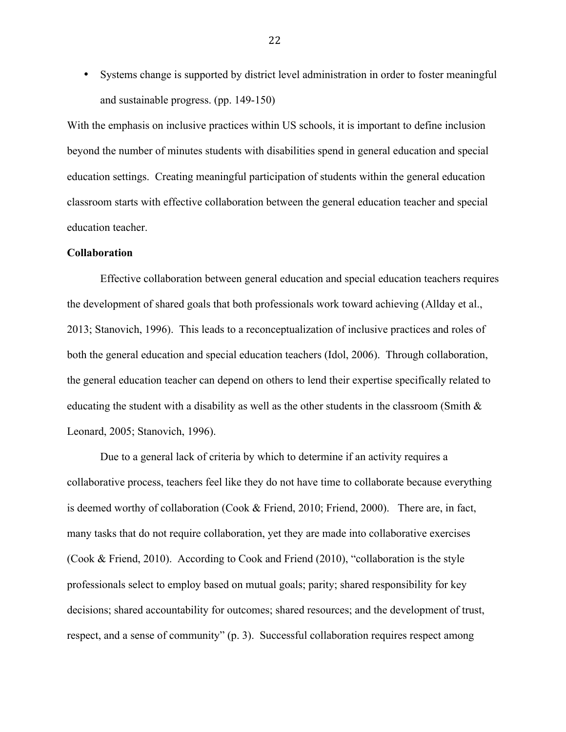• Systems change is supported by district level administration in order to foster meaningful and sustainable progress. (pp. 149-150)

With the emphasis on inclusive practices within US schools, it is important to define inclusion beyond the number of minutes students with disabilities spend in general education and special education settings. Creating meaningful participation of students within the general education classroom starts with effective collaboration between the general education teacher and special education teacher.

### **Collaboration**

Effective collaboration between general education and special education teachers requires the development of shared goals that both professionals work toward achieving (Allday et al., 2013; Stanovich, 1996). This leads to a reconceptualization of inclusive practices and roles of both the general education and special education teachers (Idol, 2006). Through collaboration, the general education teacher can depend on others to lend their expertise specifically related to educating the student with a disability as well as the other students in the classroom (Smith & Leonard, 2005; Stanovich, 1996).

Due to a general lack of criteria by which to determine if an activity requires a collaborative process, teachers feel like they do not have time to collaborate because everything is deemed worthy of collaboration (Cook & Friend, 2010; Friend, 2000). There are, in fact, many tasks that do not require collaboration, yet they are made into collaborative exercises (Cook & Friend, 2010). According to Cook and Friend (2010), "collaboration is the style professionals select to employ based on mutual goals; parity; shared responsibility for key decisions; shared accountability for outcomes; shared resources; and the development of trust, respect, and a sense of community" (p. 3). Successful collaboration requires respect among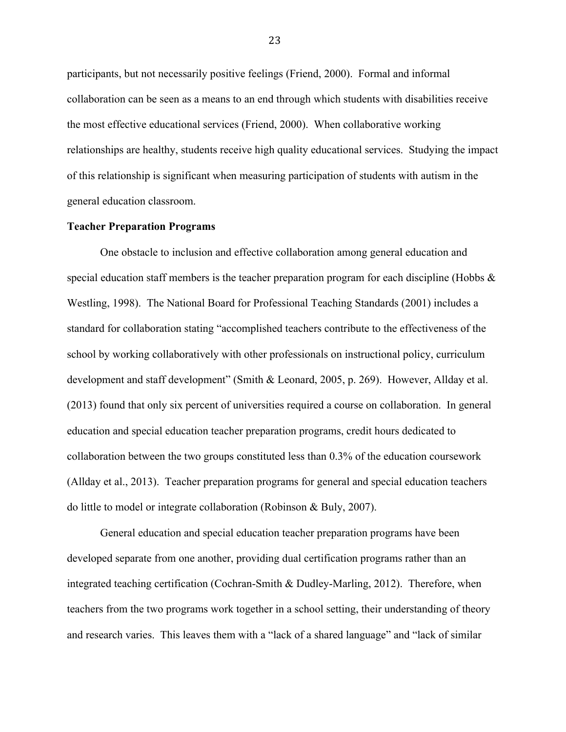participants, but not necessarily positive feelings (Friend, 2000). Formal and informal collaboration can be seen as a means to an end through which students with disabilities receive the most effective educational services (Friend, 2000). When collaborative working relationships are healthy, students receive high quality educational services. Studying the impact of this relationship is significant when measuring participation of students with autism in the general education classroom.

# **Teacher Preparation Programs**

One obstacle to inclusion and effective collaboration among general education and special education staff members is the teacher preparation program for each discipline (Hobbs  $\&$ Westling, 1998). The National Board for Professional Teaching Standards (2001) includes a standard for collaboration stating "accomplished teachers contribute to the effectiveness of the school by working collaboratively with other professionals on instructional policy, curriculum development and staff development" (Smith & Leonard, 2005, p. 269). However, Allday et al. (2013) found that only six percent of universities required a course on collaboration. In general education and special education teacher preparation programs, credit hours dedicated to collaboration between the two groups constituted less than 0.3% of the education coursework (Allday et al., 2013). Teacher preparation programs for general and special education teachers do little to model or integrate collaboration (Robinson & Buly, 2007).

General education and special education teacher preparation programs have been developed separate from one another, providing dual certification programs rather than an integrated teaching certification (Cochran-Smith & Dudley-Marling, 2012). Therefore, when teachers from the two programs work together in a school setting, their understanding of theory and research varies. This leaves them with a "lack of a shared language" and "lack of similar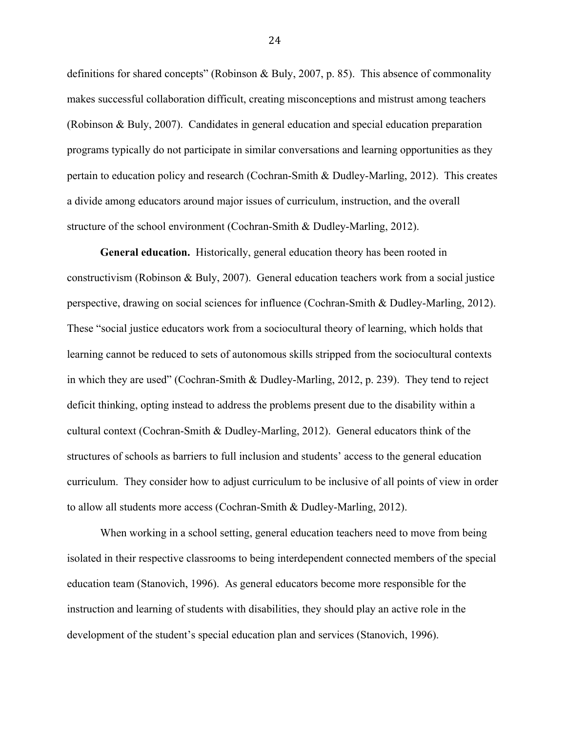definitions for shared concepts" (Robinson & Buly, 2007, p. 85). This absence of commonality makes successful collaboration difficult, creating misconceptions and mistrust among teachers (Robinson & Buly, 2007). Candidates in general education and special education preparation programs typically do not participate in similar conversations and learning opportunities as they pertain to education policy and research (Cochran-Smith & Dudley-Marling, 2012). This creates a divide among educators around major issues of curriculum, instruction, and the overall structure of the school environment (Cochran-Smith & Dudley-Marling, 2012).

**General education.** Historically, general education theory has been rooted in constructivism (Robinson & Buly, 2007). General education teachers work from a social justice perspective, drawing on social sciences for influence (Cochran-Smith & Dudley-Marling, 2012). These "social justice educators work from a sociocultural theory of learning, which holds that learning cannot be reduced to sets of autonomous skills stripped from the sociocultural contexts in which they are used" (Cochran-Smith & Dudley-Marling, 2012, p. 239). They tend to reject deficit thinking, opting instead to address the problems present due to the disability within a cultural context (Cochran-Smith & Dudley-Marling, 2012). General educators think of the structures of schools as barriers to full inclusion and students' access to the general education curriculum. They consider how to adjust curriculum to be inclusive of all points of view in order to allow all students more access (Cochran-Smith & Dudley-Marling, 2012).

When working in a school setting, general education teachers need to move from being isolated in their respective classrooms to being interdependent connected members of the special education team (Stanovich, 1996). As general educators become more responsible for the instruction and learning of students with disabilities, they should play an active role in the development of the student's special education plan and services (Stanovich, 1996).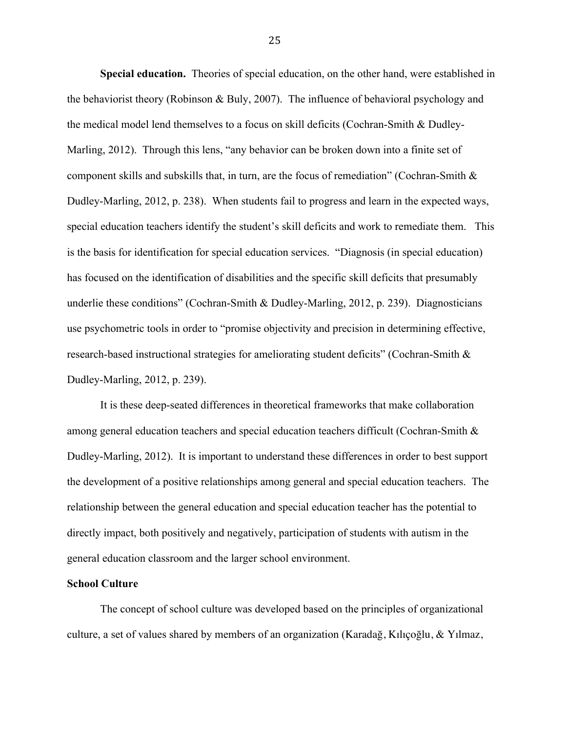**Special education.** Theories of special education, on the other hand, were established in the behaviorist theory (Robinson & Buly, 2007). The influence of behavioral psychology and the medical model lend themselves to a focus on skill deficits (Cochran-Smith & Dudley-Marling, 2012). Through this lens, "any behavior can be broken down into a finite set of component skills and subskills that, in turn, are the focus of remediation" (Cochran-Smith & Dudley-Marling, 2012, p. 238). When students fail to progress and learn in the expected ways, special education teachers identify the student's skill deficits and work to remediate them. This is the basis for identification for special education services. "Diagnosis (in special education) has focused on the identification of disabilities and the specific skill deficits that presumably underlie these conditions" (Cochran-Smith & Dudley-Marling, 2012, p. 239). Diagnosticians use psychometric tools in order to "promise objectivity and precision in determining effective, research-based instructional strategies for ameliorating student deficits" (Cochran-Smith & Dudley-Marling, 2012, p. 239).

It is these deep-seated differences in theoretical frameworks that make collaboration among general education teachers and special education teachers difficult (Cochran-Smith & Dudley-Marling, 2012). It is important to understand these differences in order to best support the development of a positive relationships among general and special education teachers. The relationship between the general education and special education teacher has the potential to directly impact, both positively and negatively, participation of students with autism in the general education classroom and the larger school environment.

#### **School Culture**

The concept of school culture was developed based on the principles of organizational culture, a set of values shared by members of an organization (Karadağ, Kılıçoğlu, & Yılmaz,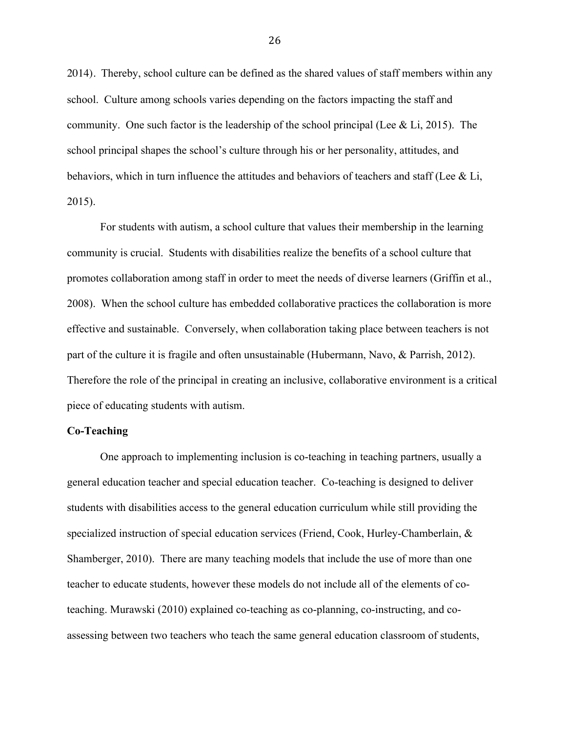2014). Thereby, school culture can be defined as the shared values of staff members within any school. Culture among schools varies depending on the factors impacting the staff and community. One such factor is the leadership of the school principal (Lee  $& Li$ , 2015). The school principal shapes the school's culture through his or her personality, attitudes, and behaviors, which in turn influence the attitudes and behaviors of teachers and staff (Lee & Li, 2015).

For students with autism, a school culture that values their membership in the learning community is crucial. Students with disabilities realize the benefits of a school culture that promotes collaboration among staff in order to meet the needs of diverse learners (Griffin et al., 2008). When the school culture has embedded collaborative practices the collaboration is more effective and sustainable. Conversely, when collaboration taking place between teachers is not part of the culture it is fragile and often unsustainable (Hubermann, Navo, & Parrish, 2012). Therefore the role of the principal in creating an inclusive, collaborative environment is a critical piece of educating students with autism.

# **Co-Teaching**

One approach to implementing inclusion is co-teaching in teaching partners, usually a general education teacher and special education teacher. Co-teaching is designed to deliver students with disabilities access to the general education curriculum while still providing the specialized instruction of special education services (Friend, Cook, Hurley-Chamberlain, & Shamberger, 2010). There are many teaching models that include the use of more than one teacher to educate students, however these models do not include all of the elements of coteaching. Murawski (2010) explained co-teaching as co-planning, co-instructing, and coassessing between two teachers who teach the same general education classroom of students,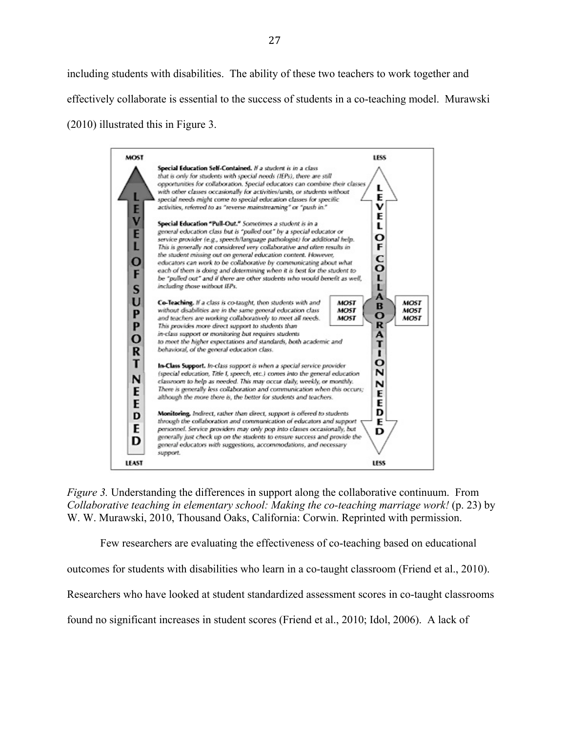including students with disabilities. The ability of these two teachers to work together and effectively collaborate is essential to the success of students in a co-teaching model. Murawski (2010) illustrated this in Figure 3.



*Figure 3.* Understanding the differences in support along the collaborative continuum. From *Collaborative teaching in elementary school: Making the co-teaching marriage work!* (p. 23) by W. W. Murawski, 2010, Thousand Oaks, California: Corwin. Reprinted with permission.

Few researchers are evaluating the effectiveness of co-teaching based on educational

outcomes for students with disabilities who learn in a co-taught classroom (Friend et al., 2010).

Researchers who have looked at student standardized assessment scores in co-taught classrooms

found no significant increases in student scores (Friend et al., 2010; Idol, 2006). A lack of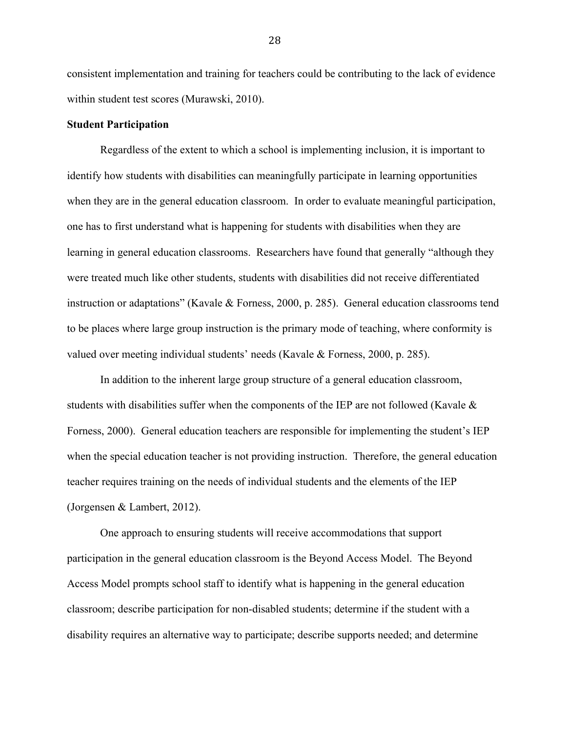consistent implementation and training for teachers could be contributing to the lack of evidence within student test scores (Murawski, 2010).

# **Student Participation**

Regardless of the extent to which a school is implementing inclusion, it is important to identify how students with disabilities can meaningfully participate in learning opportunities when they are in the general education classroom. In order to evaluate meaningful participation, one has to first understand what is happening for students with disabilities when they are learning in general education classrooms. Researchers have found that generally "although they were treated much like other students, students with disabilities did not receive differentiated instruction or adaptations" (Kavale & Forness, 2000, p. 285). General education classrooms tend to be places where large group instruction is the primary mode of teaching, where conformity is valued over meeting individual students' needs (Kavale & Forness, 2000, p. 285).

In addition to the inherent large group structure of a general education classroom, students with disabilities suffer when the components of the IEP are not followed (Kavale  $\&$ Forness, 2000). General education teachers are responsible for implementing the student's IEP when the special education teacher is not providing instruction. Therefore, the general education teacher requires training on the needs of individual students and the elements of the IEP (Jorgensen & Lambert, 2012).

One approach to ensuring students will receive accommodations that support participation in the general education classroom is the Beyond Access Model. The Beyond Access Model prompts school staff to identify what is happening in the general education classroom; describe participation for non-disabled students; determine if the student with a disability requires an alternative way to participate; describe supports needed; and determine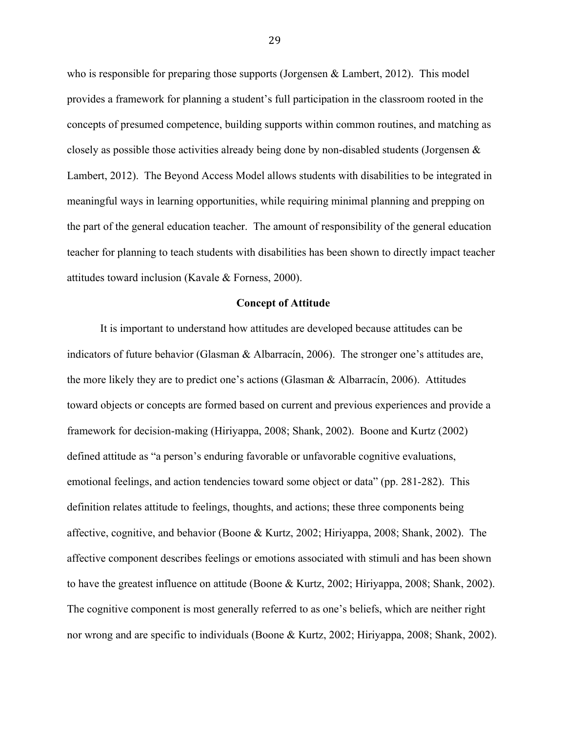who is responsible for preparing those supports (Jorgensen  $&$  Lambert, 2012). This model provides a framework for planning a student's full participation in the classroom rooted in the concepts of presumed competence, building supports within common routines, and matching as closely as possible those activities already being done by non-disabled students (Jorgensen & Lambert, 2012). The Beyond Access Model allows students with disabilities to be integrated in meaningful ways in learning opportunities, while requiring minimal planning and prepping on the part of the general education teacher. The amount of responsibility of the general education teacher for planning to teach students with disabilities has been shown to directly impact teacher attitudes toward inclusion (Kavale & Forness, 2000).

# **Concept of Attitude**

It is important to understand how attitudes are developed because attitudes can be indicators of future behavior (Glasman & Albarracín, 2006). The stronger one's attitudes are, the more likely they are to predict one's actions (Glasman & Albarracín, 2006). Attitudes toward objects or concepts are formed based on current and previous experiences and provide a framework for decision-making (Hiriyappa, 2008; Shank, 2002). Boone and Kurtz (2002) defined attitude as "a person's enduring favorable or unfavorable cognitive evaluations, emotional feelings, and action tendencies toward some object or data" (pp. 281-282). This definition relates attitude to feelings, thoughts, and actions; these three components being affective, cognitive, and behavior (Boone & Kurtz, 2002; Hiriyappa, 2008; Shank, 2002). The affective component describes feelings or emotions associated with stimuli and has been shown to have the greatest influence on attitude (Boone & Kurtz, 2002; Hiriyappa, 2008; Shank, 2002). The cognitive component is most generally referred to as one's beliefs, which are neither right nor wrong and are specific to individuals (Boone & Kurtz, 2002; Hiriyappa, 2008; Shank, 2002).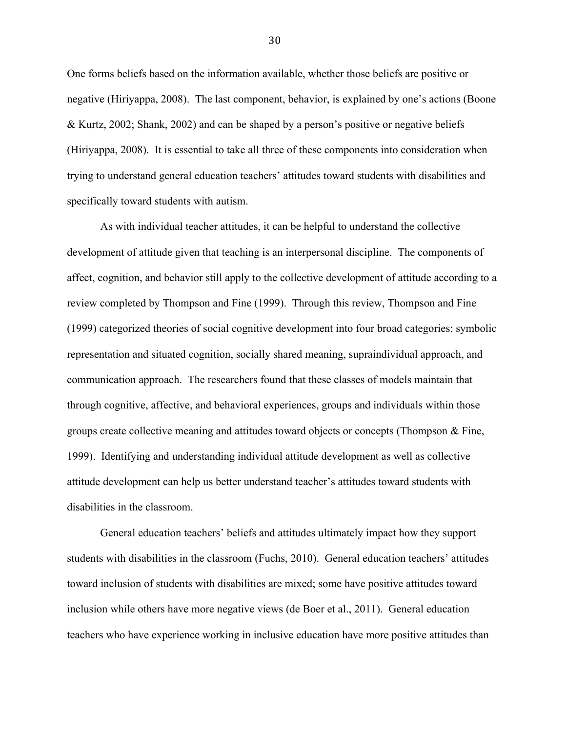One forms beliefs based on the information available, whether those beliefs are positive or negative (Hiriyappa, 2008). The last component, behavior, is explained by one's actions (Boone & Kurtz, 2002; Shank, 2002) and can be shaped by a person's positive or negative beliefs (Hiriyappa, 2008). It is essential to take all three of these components into consideration when trying to understand general education teachers' attitudes toward students with disabilities and specifically toward students with autism.

As with individual teacher attitudes, it can be helpful to understand the collective development of attitude given that teaching is an interpersonal discipline. The components of affect, cognition, and behavior still apply to the collective development of attitude according to a review completed by Thompson and Fine (1999). Through this review, Thompson and Fine (1999) categorized theories of social cognitive development into four broad categories: symbolic representation and situated cognition, socially shared meaning, supraindividual approach, and communication approach. The researchers found that these classes of models maintain that through cognitive, affective, and behavioral experiences, groups and individuals within those groups create collective meaning and attitudes toward objects or concepts (Thompson & Fine, 1999). Identifying and understanding individual attitude development as well as collective attitude development can help us better understand teacher's attitudes toward students with disabilities in the classroom.

General education teachers' beliefs and attitudes ultimately impact how they support students with disabilities in the classroom (Fuchs, 2010). General education teachers' attitudes toward inclusion of students with disabilities are mixed; some have positive attitudes toward inclusion while others have more negative views (de Boer et al., 2011). General education teachers who have experience working in inclusive education have more positive attitudes than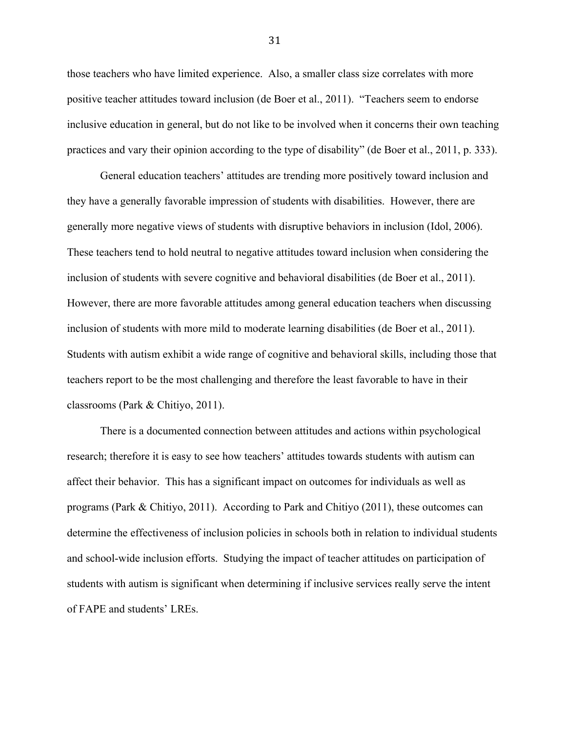those teachers who have limited experience. Also, a smaller class size correlates with more positive teacher attitudes toward inclusion (de Boer et al., 2011). "Teachers seem to endorse inclusive education in general, but do not like to be involved when it concerns their own teaching practices and vary their opinion according to the type of disability" (de Boer et al., 2011, p. 333).

General education teachers' attitudes are trending more positively toward inclusion and they have a generally favorable impression of students with disabilities. However, there are generally more negative views of students with disruptive behaviors in inclusion (Idol, 2006). These teachers tend to hold neutral to negative attitudes toward inclusion when considering the inclusion of students with severe cognitive and behavioral disabilities (de Boer et al., 2011). However, there are more favorable attitudes among general education teachers when discussing inclusion of students with more mild to moderate learning disabilities (de Boer et al., 2011). Students with autism exhibit a wide range of cognitive and behavioral skills, including those that teachers report to be the most challenging and therefore the least favorable to have in their classrooms (Park & Chitiyo, 2011).

There is a documented connection between attitudes and actions within psychological research; therefore it is easy to see how teachers' attitudes towards students with autism can affect their behavior. This has a significant impact on outcomes for individuals as well as programs (Park & Chitiyo, 2011). According to Park and Chitiyo (2011), these outcomes can determine the effectiveness of inclusion policies in schools both in relation to individual students and school-wide inclusion efforts. Studying the impact of teacher attitudes on participation of students with autism is significant when determining if inclusive services really serve the intent of FAPE and students' LREs.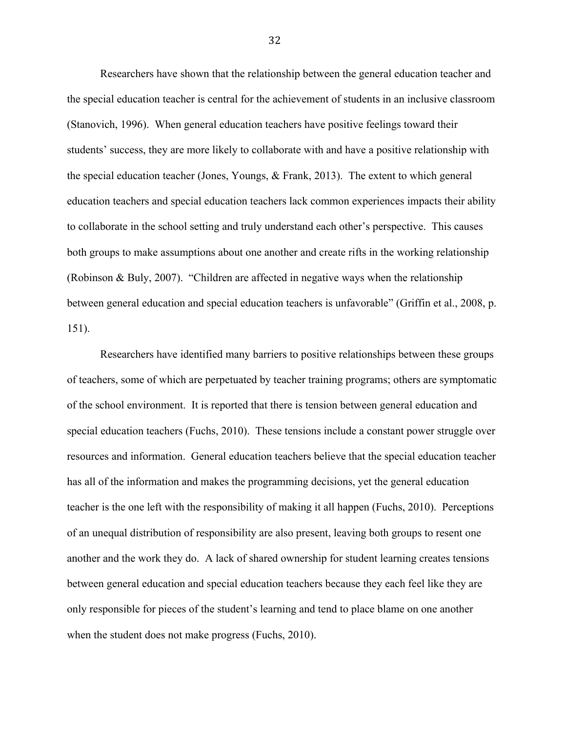Researchers have shown that the relationship between the general education teacher and the special education teacher is central for the achievement of students in an inclusive classroom (Stanovich, 1996). When general education teachers have positive feelings toward their students' success, they are more likely to collaborate with and have a positive relationship with the special education teacher (Jones, Youngs, & Frank, 2013). The extent to which general education teachers and special education teachers lack common experiences impacts their ability to collaborate in the school setting and truly understand each other's perspective. This causes both groups to make assumptions about one another and create rifts in the working relationship (Robinson & Buly, 2007). "Children are affected in negative ways when the relationship between general education and special education teachers is unfavorable" (Griffin et al., 2008, p. 151).

Researchers have identified many barriers to positive relationships between these groups of teachers, some of which are perpetuated by teacher training programs; others are symptomatic of the school environment. It is reported that there is tension between general education and special education teachers (Fuchs, 2010). These tensions include a constant power struggle over resources and information. General education teachers believe that the special education teacher has all of the information and makes the programming decisions, yet the general education teacher is the one left with the responsibility of making it all happen (Fuchs, 2010). Perceptions of an unequal distribution of responsibility are also present, leaving both groups to resent one another and the work they do. A lack of shared ownership for student learning creates tensions between general education and special education teachers because they each feel like they are only responsible for pieces of the student's learning and tend to place blame on one another when the student does not make progress (Fuchs, 2010).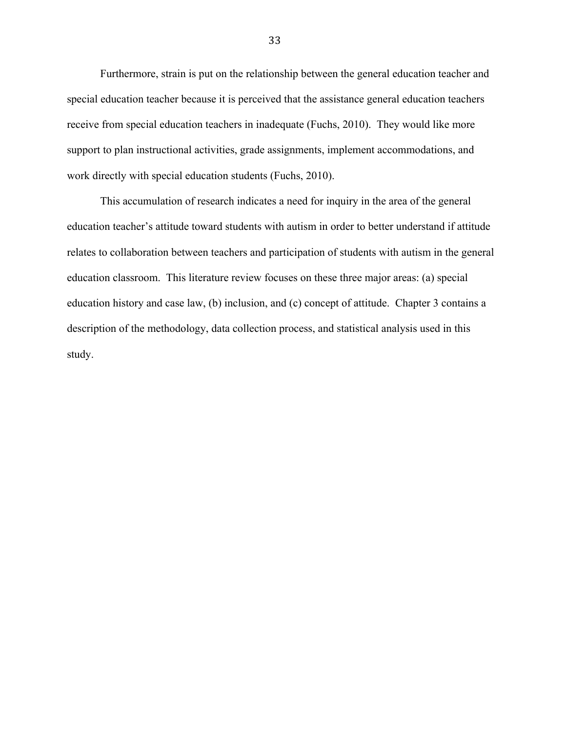Furthermore, strain is put on the relationship between the general education teacher and special education teacher because it is perceived that the assistance general education teachers receive from special education teachers in inadequate (Fuchs, 2010). They would like more support to plan instructional activities, grade assignments, implement accommodations, and work directly with special education students (Fuchs, 2010).

This accumulation of research indicates a need for inquiry in the area of the general education teacher's attitude toward students with autism in order to better understand if attitude relates to collaboration between teachers and participation of students with autism in the general education classroom. This literature review focuses on these three major areas: (a) special education history and case law, (b) inclusion, and (c) concept of attitude. Chapter 3 contains a description of the methodology, data collection process, and statistical analysis used in this study.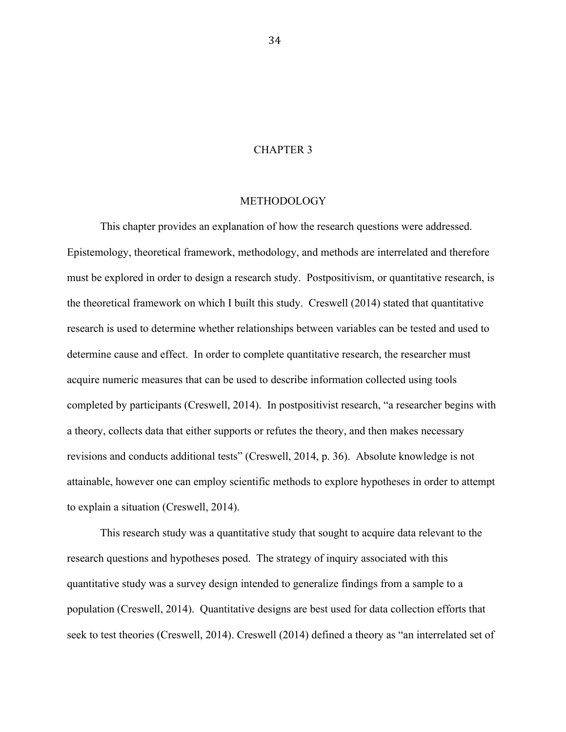# CHAPTER 3

## **METHODOLOGY**

This chapter provides an explanation of how the research questions were addressed. Epistemology, theoretical framework, methodology, and methods are interrelated and therefore must be explored in order to design a research study. Postpositivism, or quantitative research, is the theoretical framework on which I built this study. Creswell (2014) stated that quantitative research is used to determine whether relationships between variables can be tested and used to determine cause and effect. In order to complete quantitative research, the researcher must acquire numeric measures that can be used to describe information collected using tools completed by participants (Creswell, 2014). In postpositivist research, "a researcher begins with a theory, collects data that either supports or refutes the theory, and then makes necessary revisions and conducts additional tests" (Creswell, 2014, p. 36). Absolute knowledge is not attainable, however one can employ scientific methods to explore hypotheses in order to attempt to explain a situation (Creswell, 2014).

This research study was a quantitative study that sought to acquire data relevant to the research questions and hypotheses posed. The strategy of inquiry associated with this quantitative study was a survey design intended to generalize findings from a sample to a population (Creswell, 2014). Quantitative designs are best used for data collection efforts that seek to test theories (Creswell, 2014). Creswell (2014) defined a theory as "an interrelated set of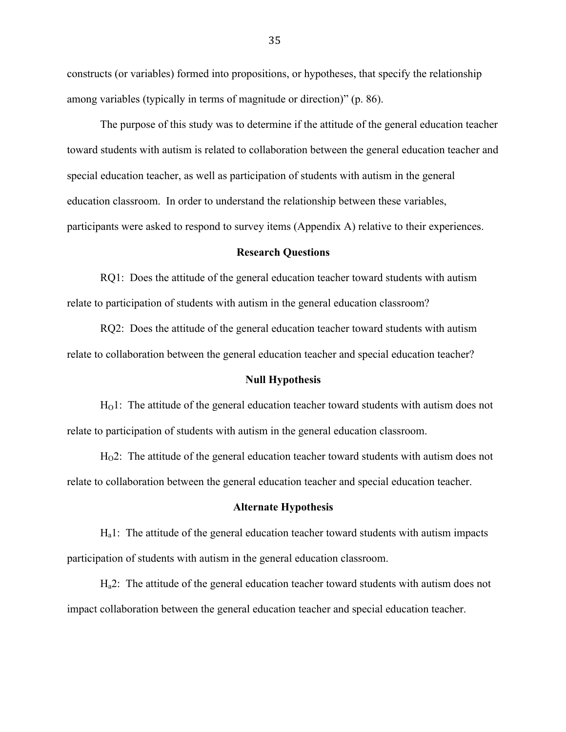constructs (or variables) formed into propositions, or hypotheses, that specify the relationship among variables (typically in terms of magnitude or direction)" (p. 86).

The purpose of this study was to determine if the attitude of the general education teacher toward students with autism is related to collaboration between the general education teacher and special education teacher, as well as participation of students with autism in the general education classroom. In order to understand the relationship between these variables, participants were asked to respond to survey items (Appendix A) relative to their experiences.

## **Research Questions**

RQ1: Does the attitude of the general education teacher toward students with autism relate to participation of students with autism in the general education classroom?

RQ2: Does the attitude of the general education teacher toward students with autism relate to collaboration between the general education teacher and special education teacher?

#### **Null Hypothesis**

H<sub>O</sub>1: The attitude of the general education teacher toward students with autism does not relate to participation of students with autism in the general education classroom.

 $H<sub>0</sub>2$ : The attitude of the general education teacher toward students with autism does not relate to collaboration between the general education teacher and special education teacher.

## **Alternate Hypothesis**

Ha1: The attitude of the general education teacher toward students with autism impacts participation of students with autism in the general education classroom.

Ha2: The attitude of the general education teacher toward students with autism does not impact collaboration between the general education teacher and special education teacher.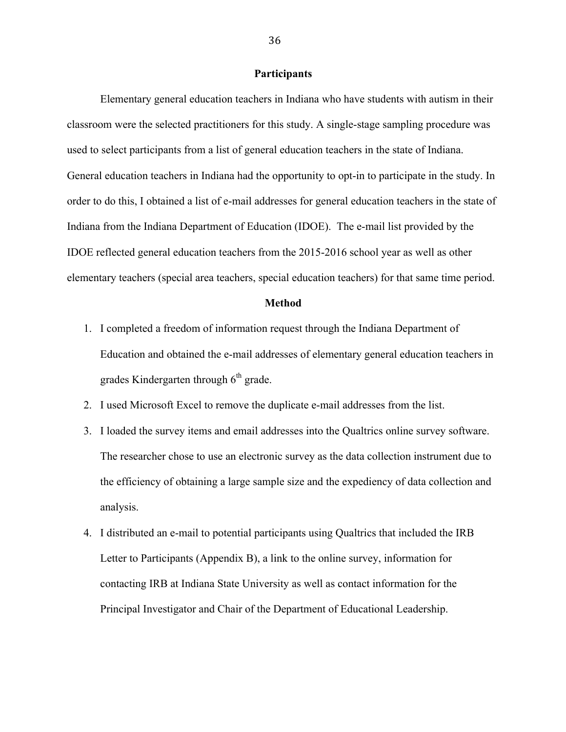# **Participants**

Elementary general education teachers in Indiana who have students with autism in their classroom were the selected practitioners for this study. A single-stage sampling procedure was used to select participants from a list of general education teachers in the state of Indiana. General education teachers in Indiana had the opportunity to opt-in to participate in the study. In order to do this, I obtained a list of e-mail addresses for general education teachers in the state of Indiana from the Indiana Department of Education (IDOE). The e-mail list provided by the IDOE reflected general education teachers from the 2015-2016 school year as well as other elementary teachers (special area teachers, special education teachers) for that same time period.

## **Method**

- 1. I completed a freedom of information request through the Indiana Department of Education and obtained the e-mail addresses of elementary general education teachers in grades Kindergarten through  $6<sup>th</sup>$  grade.
- 2. I used Microsoft Excel to remove the duplicate e-mail addresses from the list.
- 3. I loaded the survey items and email addresses into the Qualtrics online survey software. The researcher chose to use an electronic survey as the data collection instrument due to the efficiency of obtaining a large sample size and the expediency of data collection and analysis.
- 4. I distributed an e-mail to potential participants using Qualtrics that included the IRB Letter to Participants (Appendix B), a link to the online survey, information for contacting IRB at Indiana State University as well as contact information for the Principal Investigator and Chair of the Department of Educational Leadership.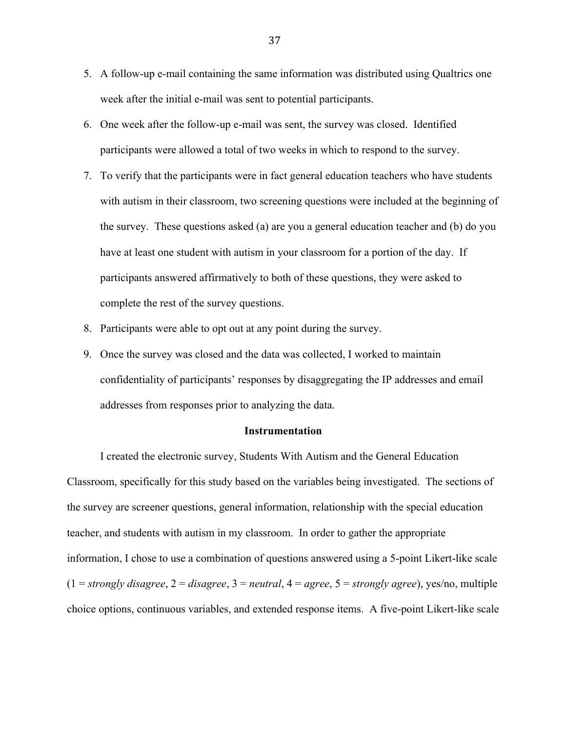- 5. A follow-up e-mail containing the same information was distributed using Qualtrics one week after the initial e-mail was sent to potential participants.
- 6. One week after the follow-up e-mail was sent, the survey was closed. Identified participants were allowed a total of two weeks in which to respond to the survey.
- 7. To verify that the participants were in fact general education teachers who have students with autism in their classroom, two screening questions were included at the beginning of the survey. These questions asked (a) are you a general education teacher and (b) do you have at least one student with autism in your classroom for a portion of the day. If participants answered affirmatively to both of these questions, they were asked to complete the rest of the survey questions.
- 8. Participants were able to opt out at any point during the survey.
- 9. Once the survey was closed and the data was collected, I worked to maintain confidentiality of participants' responses by disaggregating the IP addresses and email addresses from responses prior to analyzing the data.

# **Instrumentation**

I created the electronic survey, Students With Autism and the General Education Classroom, specifically for this study based on the variables being investigated. The sections of the survey are screener questions, general information, relationship with the special education teacher, and students with autism in my classroom. In order to gather the appropriate information, I chose to use a combination of questions answered using a 5-point Likert-like scale (1 = *strongly disagree*, 2 = *disagree*, 3 = *neutral*, 4 = *agree*, 5 = *strongly agree*), yes/no, multiple choice options, continuous variables, and extended response items. A five-point Likert-like scale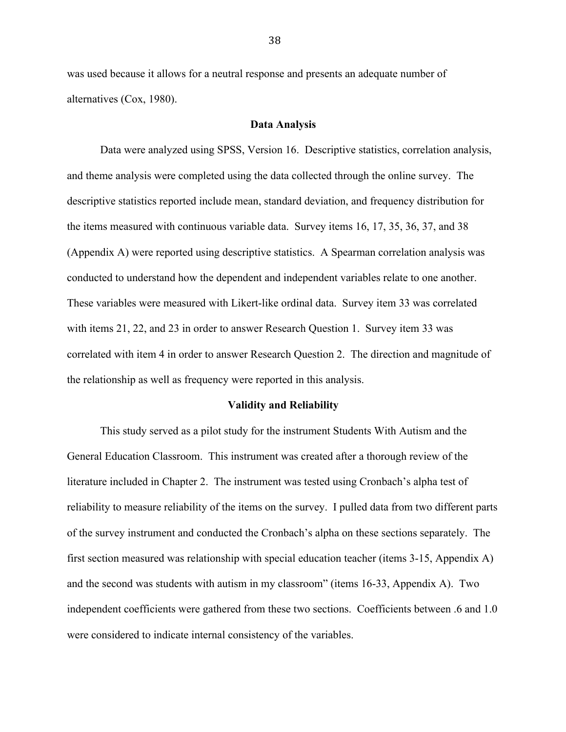was used because it allows for a neutral response and presents an adequate number of alternatives (Cox, 1980).

#### **Data Analysis**

Data were analyzed using SPSS, Version 16. Descriptive statistics, correlation analysis, and theme analysis were completed using the data collected through the online survey. The descriptive statistics reported include mean, standard deviation, and frequency distribution for the items measured with continuous variable data. Survey items 16, 17, 35, 36, 37, and 38 (Appendix A) were reported using descriptive statistics. A Spearman correlation analysis was conducted to understand how the dependent and independent variables relate to one another. These variables were measured with Likert-like ordinal data. Survey item 33 was correlated with items 21, 22, and 23 in order to answer Research Question 1. Survey item 33 was correlated with item 4 in order to answer Research Question 2. The direction and magnitude of the relationship as well as frequency were reported in this analysis.

#### **Validity and Reliability**

This study served as a pilot study for the instrument Students With Autism and the General Education Classroom. This instrument was created after a thorough review of the literature included in Chapter 2. The instrument was tested using Cronbach's alpha test of reliability to measure reliability of the items on the survey. I pulled data from two different parts of the survey instrument and conducted the Cronbach's alpha on these sections separately. The first section measured was relationship with special education teacher (items 3-15, Appendix A) and the second was students with autism in my classroom" (items 16-33, Appendix A). Two independent coefficients were gathered from these two sections. Coefficients between .6 and 1.0 were considered to indicate internal consistency of the variables.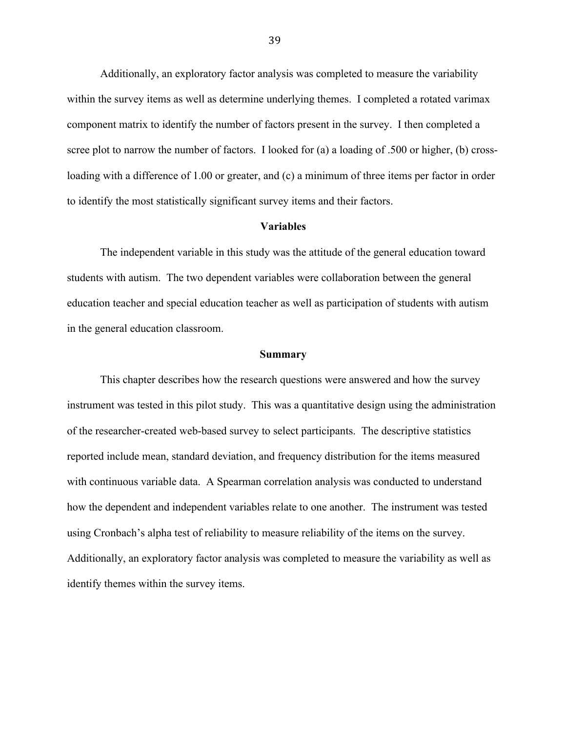Additionally, an exploratory factor analysis was completed to measure the variability within the survey items as well as determine underlying themes. I completed a rotated varimax component matrix to identify the number of factors present in the survey. I then completed a scree plot to narrow the number of factors. I looked for (a) a loading of .500 or higher, (b) crossloading with a difference of 1.00 or greater, and (c) a minimum of three items per factor in order to identify the most statistically significant survey items and their factors.

### **Variables**

The independent variable in this study was the attitude of the general education toward students with autism. The two dependent variables were collaboration between the general education teacher and special education teacher as well as participation of students with autism in the general education classroom.

#### **Summary**

This chapter describes how the research questions were answered and how the survey instrument was tested in this pilot study. This was a quantitative design using the administration of the researcher-created web-based survey to select participants. The descriptive statistics reported include mean, standard deviation, and frequency distribution for the items measured with continuous variable data. A Spearman correlation analysis was conducted to understand how the dependent and independent variables relate to one another. The instrument was tested using Cronbach's alpha test of reliability to measure reliability of the items on the survey. Additionally, an exploratory factor analysis was completed to measure the variability as well as identify themes within the survey items.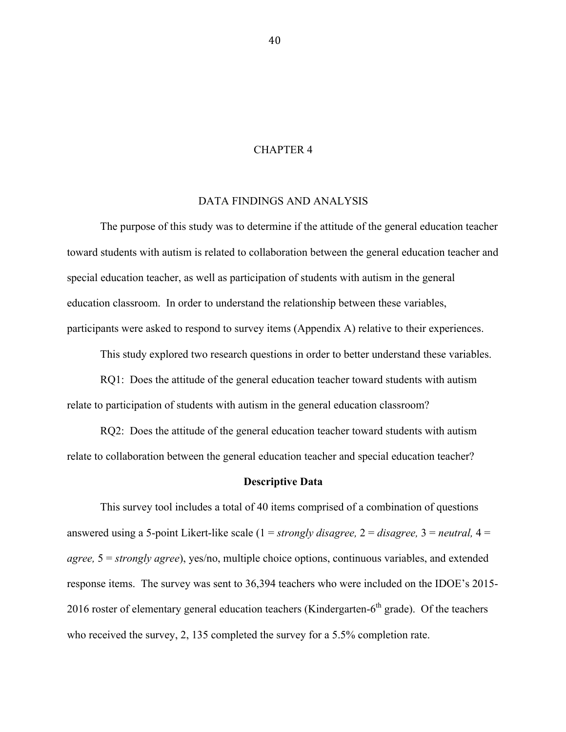# CHAPTER 4

# DATA FINDINGS AND ANALYSIS

The purpose of this study was to determine if the attitude of the general education teacher toward students with autism is related to collaboration between the general education teacher and special education teacher, as well as participation of students with autism in the general education classroom. In order to understand the relationship between these variables, participants were asked to respond to survey items (Appendix A) relative to their experiences.

This study explored two research questions in order to better understand these variables.

RQ1: Does the attitude of the general education teacher toward students with autism relate to participation of students with autism in the general education classroom?

RQ2: Does the attitude of the general education teacher toward students with autism relate to collaboration between the general education teacher and special education teacher?

#### **Descriptive Data**

This survey tool includes a total of 40 items comprised of a combination of questions answered using a 5-point Likert-like scale (1 = *strongly disagree,* 2 = *disagree,* 3 = *neutral,* 4 = *agree,* 5 = *strongly agree*), yes/no, multiple choice options, continuous variables, and extended response items. The survey was sent to 36,394 teachers who were included on the IDOE's 2015- 2016 roster of elementary general education teachers (Kindergarten- $6<sup>th</sup>$  grade). Of the teachers who received the survey, 2, 135 completed the survey for a 5.5% completion rate.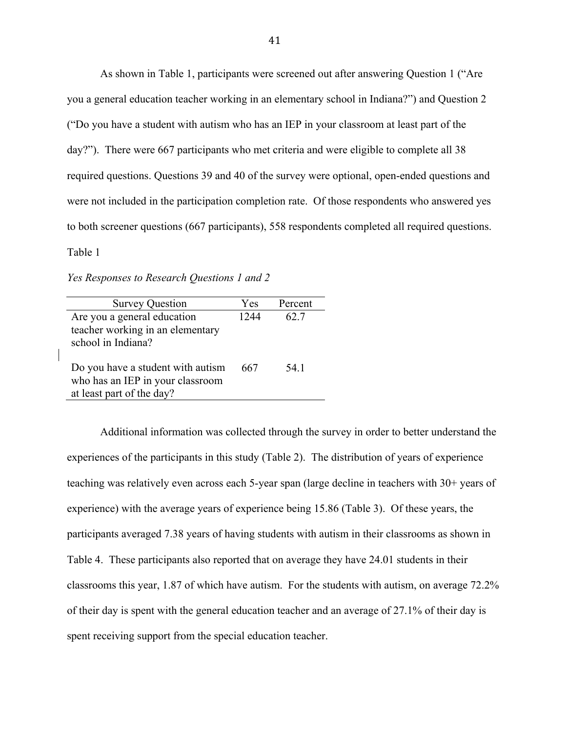As shown in Table 1, participants were screened out after answering Question 1 ("Are you a general education teacher working in an elementary school in Indiana?") and Question 2 ("Do you have a student with autism who has an IEP in your classroom at least part of the day?"). There were 667 participants who met criteria and were eligible to complete all 38 required questions. Questions 39 and 40 of the survey were optional, open-ended questions and were not included in the participation completion rate. Of those respondents who answered yes to both screener questions (667 participants), 558 respondents completed all required questions. Table 1

# *Yes Responses to Research Questions 1 and 2*

| <b>Survey Question</b>            | Yes  | Percent |
|-----------------------------------|------|---------|
| Are you a general education       | 1244 | 62.7    |
| teacher working in an elementary  |      |         |
| school in Indiana?                |      |         |
|                                   |      |         |
| Do you have a student with autism | 667  | 54 1    |
| who has an IEP in your classroom  |      |         |
| at least part of the day?         |      |         |
|                                   |      |         |

Additional information was collected through the survey in order to better understand the experiences of the participants in this study (Table 2). The distribution of years of experience teaching was relatively even across each 5-year span (large decline in teachers with 30+ years of experience) with the average years of experience being 15.86 (Table 3). Of these years, the participants averaged 7.38 years of having students with autism in their classrooms as shown in Table 4. These participants also reported that on average they have 24.01 students in their classrooms this year, 1.87 of which have autism. For the students with autism, on average 72.2% of their day is spent with the general education teacher and an average of 27.1% of their day is spent receiving support from the special education teacher.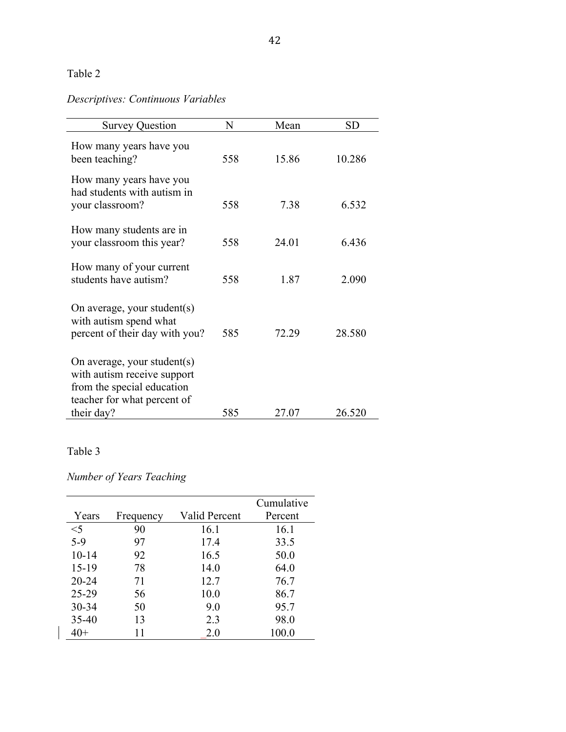# *Descriptives: Continuous Variables*

| <b>SD</b> |
|-----------|
| 10.286    |
| 6.532     |
| 6.436     |
| 2.090     |
| 28.580    |
| 26.520    |
|           |

# Table 3

 $\begin{array}{c} \hline \end{array}$ 

# *Number of Years Teaching*

|           |           |               | Cumulative |
|-----------|-----------|---------------|------------|
| Years     | Frequency | Valid Percent | Percent    |
| $<$ 5     | 90        | 16.1          | 16.1       |
| $5-9$     | 97        | 17.4          | 33.5       |
| $10 - 14$ | 92        | 16.5          | 50.0       |
| $15-19$   | 78        | 14.0          | 64.0       |
| $20 - 24$ | 71        | 12.7          | 76.7       |
| $25 - 29$ | 56        | 10.0          | 86.7       |
| 30-34     | 50        | 9.0           | 95.7       |
| $35 - 40$ | 13        | 2.3           | 98.0       |
| 40+       | 11        | 2.0           | 100.0      |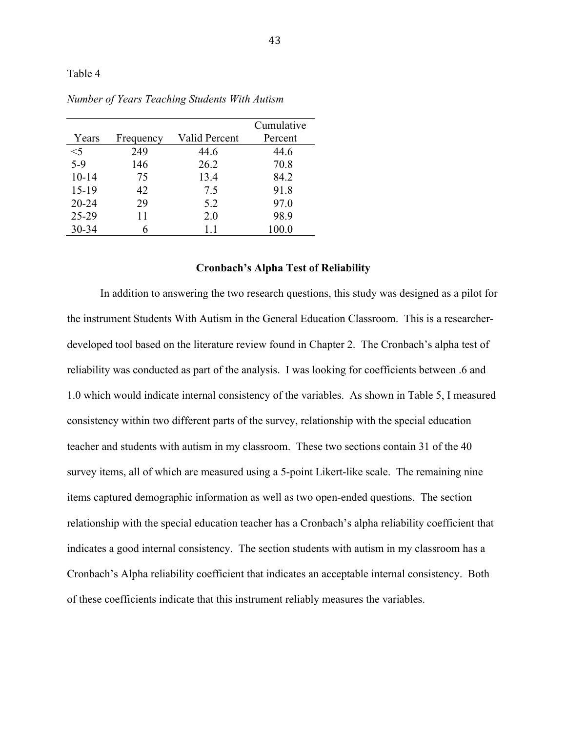|           |           |                      | Cumulative |
|-----------|-----------|----------------------|------------|
| Years     | Frequency | <b>Valid Percent</b> | Percent    |
| $<$ 5     | 249       | 44.6                 | 44.6       |
| $5-9$     | 146       | 26.2                 | 70.8       |
| $10 - 14$ | 75        | 13.4                 | 84.2       |
| $15-19$   | 42        | 75                   | 91.8       |
| $20 - 24$ | 29        | 5.2                  | 97.0       |
| $25-29$   | 11        | 2.0                  | 98.9       |
| $30 - 34$ |           | 11                   | 100.0      |

*Number of Years Teaching Students With Autism*

### **Cronbach's Alpha Test of Reliability**

In addition to answering the two research questions, this study was designed as a pilot for the instrument Students With Autism in the General Education Classroom. This is a researcherdeveloped tool based on the literature review found in Chapter 2. The Cronbach's alpha test of reliability was conducted as part of the analysis. I was looking for coefficients between .6 and 1.0 which would indicate internal consistency of the variables. As shown in Table 5, I measured consistency within two different parts of the survey, relationship with the special education teacher and students with autism in my classroom. These two sections contain 31 of the 40 survey items, all of which are measured using a 5-point Likert-like scale. The remaining nine items captured demographic information as well as two open-ended questions. The section relationship with the special education teacher has a Cronbach's alpha reliability coefficient that indicates a good internal consistency. The section students with autism in my classroom has a Cronbach's Alpha reliability coefficient that indicates an acceptable internal consistency. Both of these coefficients indicate that this instrument reliably measures the variables.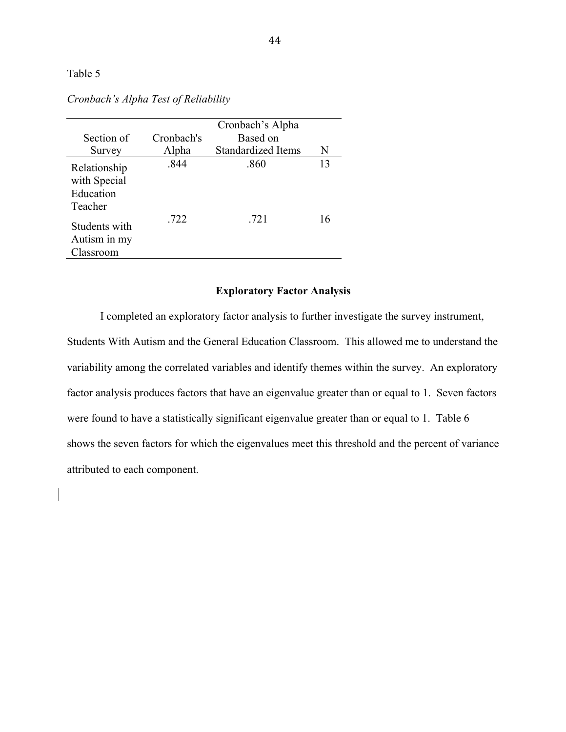|                                                      |            | Cronbach's Alpha          |    |
|------------------------------------------------------|------------|---------------------------|----|
| Section of                                           | Cronbach's | Based on                  |    |
| Survey                                               | Alpha      | <b>Standardized Items</b> | N  |
| Relationship<br>with Special<br>Education<br>Teacher | .844       | .860                      | 13 |
| Students with<br>Autism in my<br>Classroom           | 722        | .721                      | 16 |

# *Cronbach's Alpha Test of Reliability*

# **Exploratory Factor Analysis**

I completed an exploratory factor analysis to further investigate the survey instrument, Students With Autism and the General Education Classroom. This allowed me to understand the variability among the correlated variables and identify themes within the survey. An exploratory factor analysis produces factors that have an eigenvalue greater than or equal to 1. Seven factors were found to have a statistically significant eigenvalue greater than or equal to 1. Table 6 shows the seven factors for which the eigenvalues meet this threshold and the percent of variance attributed to each component.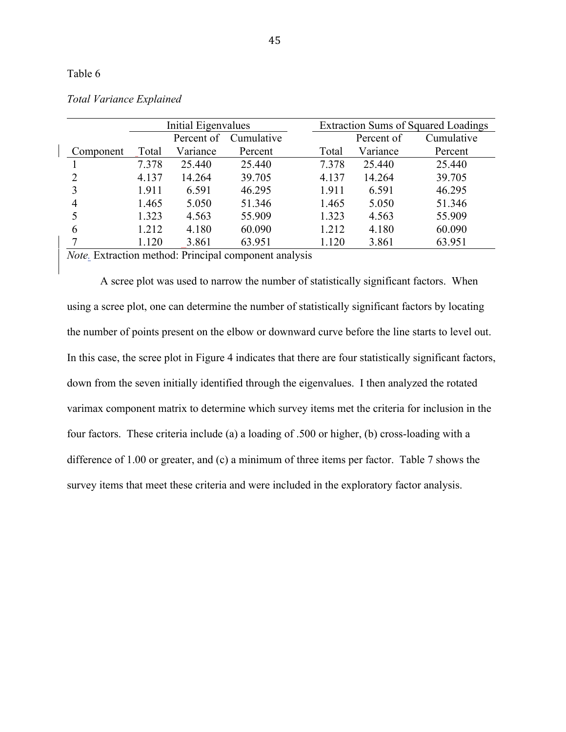|           |       | Initial Eigenvalues |            | <b>Extraction Sums of Squared Loadings</b> |            |            |
|-----------|-------|---------------------|------------|--------------------------------------------|------------|------------|
|           |       | Percent of          | Cumulative |                                            | Percent of | Cumulative |
| Component | Total | Variance            | Percent    | Total                                      | Variance   | Percent    |
|           | 7.378 | 25.440              | 25.440     | 7.378                                      | 25.440     | 25.440     |
|           | 4.137 | 14.264              | 39.705     | 4.137                                      | 14.264     | 39.705     |
| 3         | 1.911 | 6.591               | 46.295     | 1.911                                      | 6.591      | 46.295     |
| 4         | 1.465 | 5.050               | 51.346     | 1.465                                      | 5.050      | 51.346     |
|           | 1.323 | 4.563               | 55.909     | 1.323                                      | 4.563      | 55.909     |
| 6         | 1.212 | 4.180               | 60.090     | 1.212                                      | 4.180      | 60.090     |
|           | 1.120 | 3.861               | 63.951     | 1.120                                      | 3.861      | 63.951     |
|           |       |                     |            |                                            |            |            |

| <b>Total Variance Explained</b> |
|---------------------------------|
|---------------------------------|

*Note.* Extraction method: Principal component analysis

A scree plot was used to narrow the number of statistically significant factors. When using a scree plot, one can determine the number of statistically significant factors by locating the number of points present on the elbow or downward curve before the line starts to level out. In this case, the scree plot in Figure 4 indicates that there are four statistically significant factors, down from the seven initially identified through the eigenvalues. I then analyzed the rotated varimax component matrix to determine which survey items met the criteria for inclusion in the four factors. These criteria include (a) a loading of .500 or higher, (b) cross-loading with a difference of 1.00 or greater, and (c) a minimum of three items per factor. Table 7 shows the survey items that meet these criteria and were included in the exploratory factor analysis.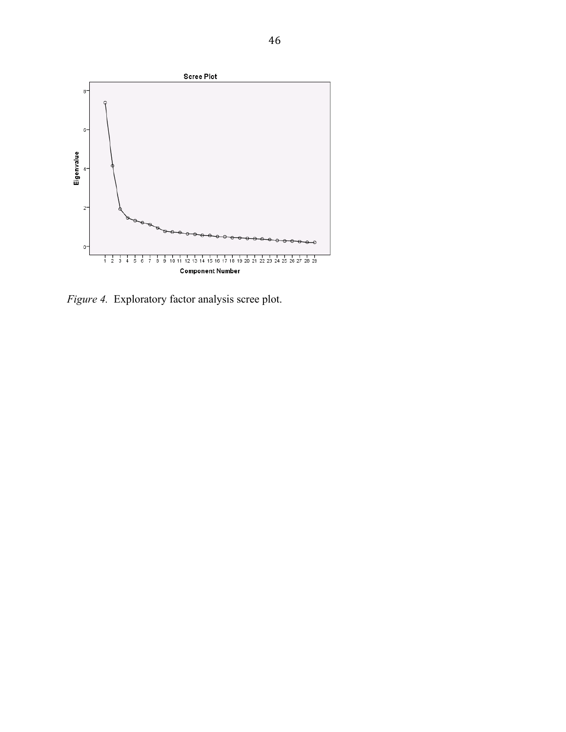

*Figure 4.* Exploratory factor analysis scree plot.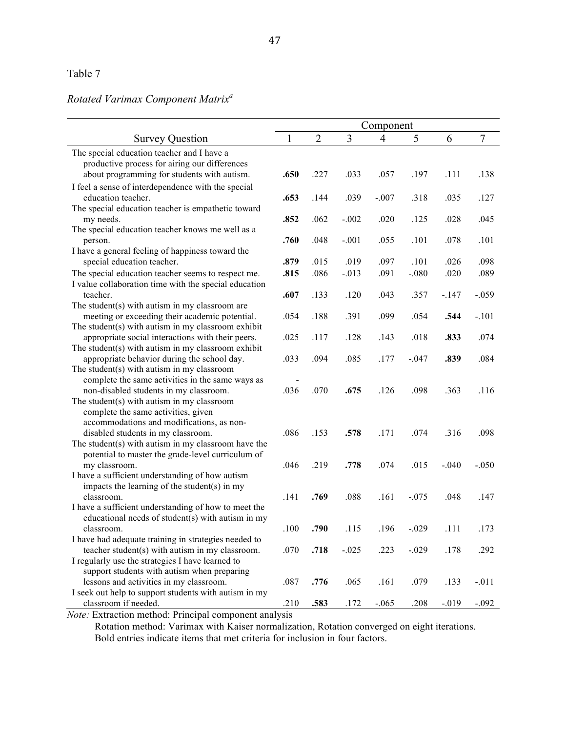# *Rotated Varimax Component Matrixa*

|                                                                                                     | Component    |                |         |                |         |          |         |
|-----------------------------------------------------------------------------------------------------|--------------|----------------|---------|----------------|---------|----------|---------|
| <b>Survey Question</b>                                                                              | $\mathbf{1}$ | $\overline{c}$ | 3       | $\overline{4}$ | 5       | 6        | 7       |
| The special education teacher and I have a                                                          |              |                |         |                |         |          |         |
| productive process for airing our differences                                                       |              |                |         |                |         |          |         |
| about programming for students with autism.                                                         | .650         | .227           | .033    | .057           | .197    | .111     | .138    |
| I feel a sense of interdependence with the special                                                  |              |                |         |                |         |          |         |
| education teacher.                                                                                  | .653         | .144           | .039    | $-.007$        | .318    | .035     | .127    |
| The special education teacher is empathetic toward                                                  |              |                |         |                |         |          |         |
| my needs.                                                                                           | .852         | .062           | $-.002$ | .020           | .125    | .028     | .045    |
| The special education teacher knows me well as a                                                    |              |                |         |                |         |          |         |
| person.                                                                                             | .760         | .048           | $-.001$ | .055           | .101    | .078     | .101    |
| I have a general feeling of happiness toward the                                                    |              |                |         |                |         |          |         |
| special education teacher.                                                                          | .879         | .015           | .019    | .097           | .101    | .026     | .098    |
| The special education teacher seems to respect me.                                                  | .815         | .086           | $-.013$ | .091           | $-.080$ | .020     | .089    |
| I value collaboration time with the special education                                               |              |                |         |                |         |          |         |
| teacher.                                                                                            | .607         | .133           | .120    | .043           | .357    | $-147$   | $-.059$ |
| The student $(s)$ with autism in my classroom are<br>meeting or exceeding their academic potential. | .054         | .188           | .391    | .099           | .054    | .544     | $-.101$ |
| The student(s) with autism in my classroom exhibit                                                  |              |                |         |                |         |          |         |
| appropriate social interactions with their peers.                                                   | .025         | .117           | .128    | .143           | .018    | .833     | .074    |
| The student(s) with autism in my classroom exhibit                                                  |              |                |         |                |         |          |         |
| appropriate behavior during the school day.                                                         | .033         | .094           | .085    | .177           | $-.047$ | .839     | .084    |
| The student(s) with autism in my classroom                                                          |              |                |         |                |         |          |         |
| complete the same activities in the same ways as                                                    |              |                |         |                |         |          |         |
| non-disabled students in my classroom.                                                              | .036         | .070           | .675    | .126           | .098    | .363     | .116    |
| The student(s) with autism in my classroom                                                          |              |                |         |                |         |          |         |
| complete the same activities, given                                                                 |              |                |         |                |         |          |         |
| accommodations and modifications, as non-                                                           |              |                |         |                |         |          |         |
| disabled students in my classroom.                                                                  | .086         | .153           | .578    | .171           | .074    | .316     | .098    |
| The student(s) with autism in my classroom have the                                                 |              |                |         |                |         |          |         |
| potential to master the grade-level curriculum of                                                   |              |                |         |                |         |          |         |
| my classroom.                                                                                       | .046         | .219           | .778    | .074           | .015    | $-.040$  | $-.050$ |
| I have a sufficient understanding of how autism                                                     |              |                |         |                |         |          |         |
| impacts the learning of the student(s) in my                                                        |              |                |         |                |         |          |         |
| classroom.                                                                                          | .141         | .769           | .088    | .161           | $-.075$ | .048     | .147    |
| I have a sufficient understanding of how to meet the                                                |              |                |         |                |         |          |         |
| educational needs of student(s) with autism in my                                                   |              |                |         |                |         |          |         |
| classroom.<br>I have had adequate training in strategies needed to                                  | 100          | .790           | .115    | .196           | $-.029$ | .111     | .173    |
| teacher student(s) with autism in my classroom.                                                     | .070         | .718           | $-.025$ | .223           | $-.029$ | .178     | .292    |
| I regularly use the strategies I have learned to                                                    |              |                |         |                |         |          |         |
| support students with autism when preparing                                                         |              |                |         |                |         |          |         |
| lessons and activities in my classroom.                                                             | .087         | .776           | .065    | .161           | .079    | .133     | $-.011$ |
| I seek out help to support students with autism in my                                               |              |                |         |                |         |          |         |
| classroom if needed.                                                                                | .210         | .583           | .172    | $-.065$        | .208    | $-0.019$ | $-.092$ |

*Note:* Extraction method: Principal component analysis

Rotation method: Varimax with Kaiser normalization, Rotation converged on eight iterations. Bold entries indicate items that met criteria for inclusion in four factors.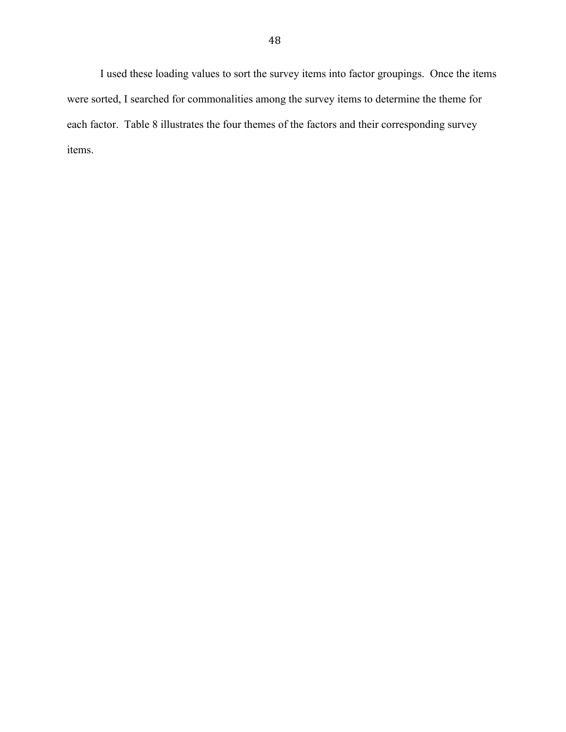I used these loading values to sort the survey items into factor groupings. Once the items were sorted, I searched for commonalities among the survey items to determine the theme for each factor. Table 8 illustrates the four themes of the factors and their corresponding survey items.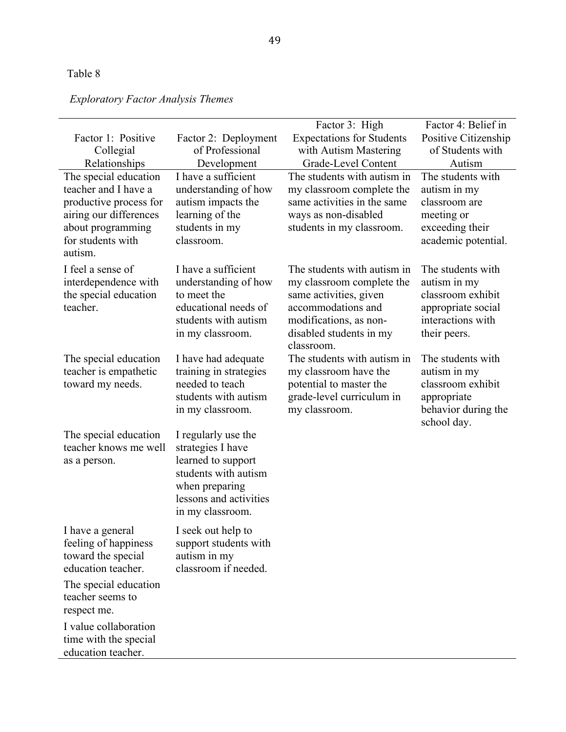# *Exploratory Factor Analysis Themes*

| Factor 1: Positive<br>Collegial<br>Relationships                                                                                                       | Factor 2: Deployment<br>of Professional<br>Development                                                                                                 | Factor 3: High<br><b>Expectations for Students</b><br>with Autism Mastering<br>Grade-Level Content                                                                          | Factor 4: Belief in<br>Positive Citizenship<br>of Students with<br>Autism                                         |
|--------------------------------------------------------------------------------------------------------------------------------------------------------|--------------------------------------------------------------------------------------------------------------------------------------------------------|-----------------------------------------------------------------------------------------------------------------------------------------------------------------------------|-------------------------------------------------------------------------------------------------------------------|
| The special education<br>teacher and I have a<br>productive process for<br>airing our differences<br>about programming<br>for students with<br>autism. | I have a sufficient<br>understanding of how<br>autism impacts the<br>learning of the<br>students in my<br>classroom.                                   | The students with autism in<br>my classroom complete the<br>same activities in the same<br>ways as non-disabled<br>students in my classroom.                                | The students with<br>autism in my<br>classroom are<br>meeting or<br>exceeding their<br>academic potential.        |
| I feel a sense of<br>interdependence with<br>the special education<br>teacher.                                                                         | I have a sufficient<br>understanding of how<br>to meet the<br>educational needs of<br>students with autism<br>in my classroom.                         | The students with autism in<br>my classroom complete the<br>same activities, given<br>accommodations and<br>modifications, as non-<br>disabled students in my<br>classroom. | The students with<br>autism in my<br>classroom exhibit<br>appropriate social<br>interactions with<br>their peers. |
| The special education<br>teacher is empathetic<br>toward my needs.                                                                                     | I have had adequate<br>training in strategies<br>needed to teach<br>students with autism<br>in my classroom.                                           | The students with autism in<br>my classroom have the<br>potential to master the<br>grade-level curriculum in<br>my classroom.                                               | The students with<br>autism in my<br>classroom exhibit<br>appropriate<br>behavior during the<br>school day.       |
| The special education<br>teacher knows me well<br>as a person.                                                                                         | I regularly use the<br>strategies I have<br>learned to support<br>students with autism<br>when preparing<br>lessons and activities<br>in my classroom. |                                                                                                                                                                             |                                                                                                                   |
| I have a general<br>feeling of happiness<br>toward the special<br>education teacher.                                                                   | I seek out help to<br>support students with<br>autism in my<br>classroom if needed.                                                                    |                                                                                                                                                                             |                                                                                                                   |
| The special education<br>teacher seems to<br>respect me.                                                                                               |                                                                                                                                                        |                                                                                                                                                                             |                                                                                                                   |
| I value collaboration<br>time with the special<br>education teacher.                                                                                   |                                                                                                                                                        |                                                                                                                                                                             |                                                                                                                   |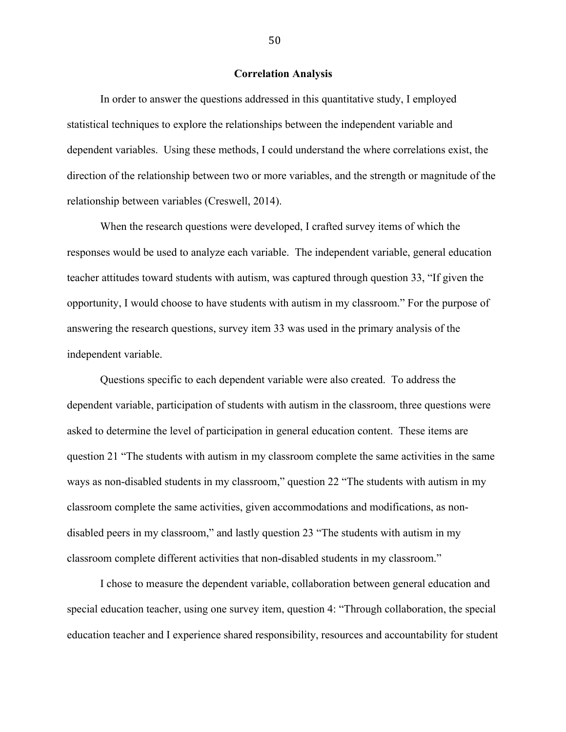### **Correlation Analysis**

In order to answer the questions addressed in this quantitative study, I employed statistical techniques to explore the relationships between the independent variable and dependent variables. Using these methods, I could understand the where correlations exist, the direction of the relationship between two or more variables, and the strength or magnitude of the relationship between variables (Creswell, 2014).

When the research questions were developed, I crafted survey items of which the responses would be used to analyze each variable. The independent variable, general education teacher attitudes toward students with autism, was captured through question 33, "If given the opportunity, I would choose to have students with autism in my classroom." For the purpose of answering the research questions, survey item 33 was used in the primary analysis of the independent variable.

Questions specific to each dependent variable were also created. To address the dependent variable, participation of students with autism in the classroom, three questions were asked to determine the level of participation in general education content. These items are question 21 "The students with autism in my classroom complete the same activities in the same ways as non-disabled students in my classroom," question 22 "The students with autism in my classroom complete the same activities, given accommodations and modifications, as nondisabled peers in my classroom," and lastly question 23 "The students with autism in my classroom complete different activities that non-disabled students in my classroom."

I chose to measure the dependent variable, collaboration between general education and special education teacher, using one survey item, question 4: "Through collaboration, the special education teacher and I experience shared responsibility, resources and accountability for student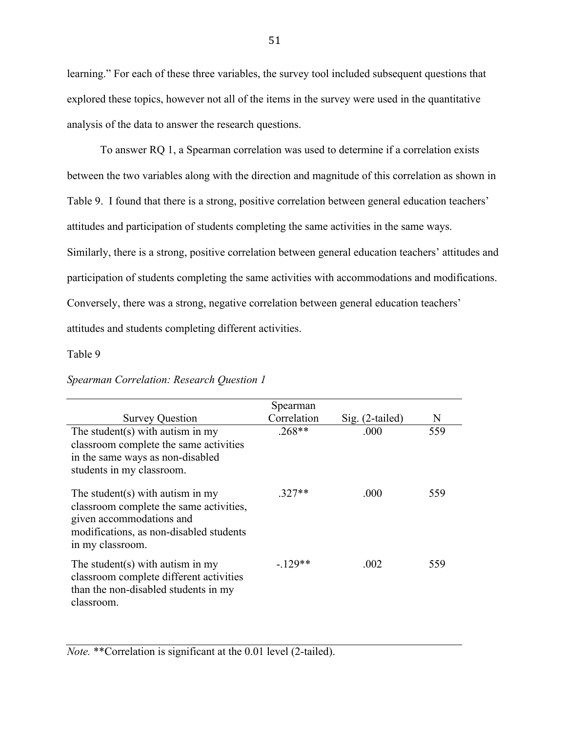learning." For each of these three variables, the survey tool included subsequent questions that explored these topics, however not all of the items in the survey were used in the quantitative analysis of the data to answer the research questions.

To answer RQ 1, a Spearman correlation was used to determine if a correlation exists between the two variables along with the direction and magnitude of this correlation as shown in Table 9. I found that there is a strong, positive correlation between general education teachers' attitudes and participation of students completing the same activities in the same ways. Similarly, there is a strong, positive correlation between general education teachers' attitudes and participation of students completing the same activities with accommodations and modifications. Conversely, there was a strong, negative correlation between general education teachers' attitudes and students completing different activities.

# Table 9

|                                                                                                                                                                        | Spearman                |                   |     |
|------------------------------------------------------------------------------------------------------------------------------------------------------------------------|-------------------------|-------------------|-----|
| <b>Survey Question</b>                                                                                                                                                 | Correlation<br>$.268**$ | $Sig.$ (2-tailed) | N   |
| The student $(s)$ with autism in my<br>classroom complete the same activities<br>in the same ways as non-disabled<br>students in my classroom.                         |                         | .000              | 559 |
| The student(s) with autism in my<br>classroom complete the same activities,<br>given accommodations and<br>modifications, as non-disabled students<br>in my classroom. | $327**$                 | .000              | 559 |
| The student(s) with autism in my<br>classroom complete different activities<br>than the non-disabled students in my<br>classroom.                                      | $-129**$                | .002              | 559 |

# *Spearman Correlation: Research Question 1*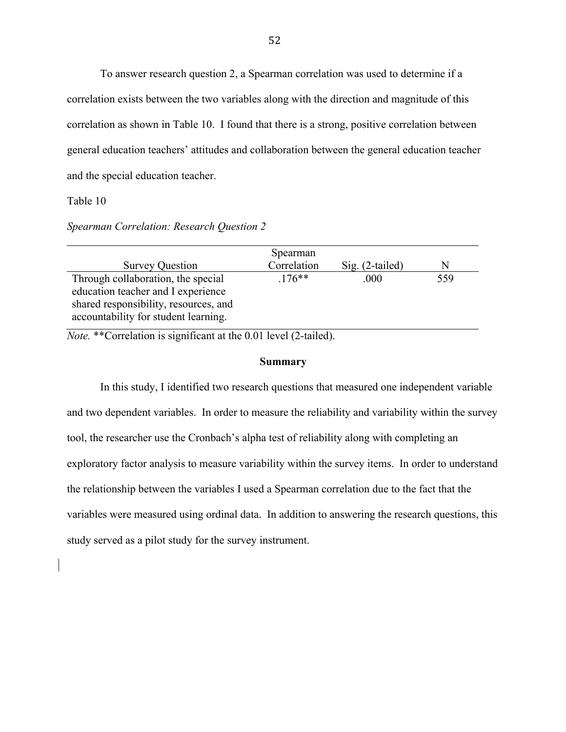To answer research question 2, a Spearman correlation was used to determine if a correlation exists between the two variables along with the direction and magnitude of this correlation as shown in Table 10. I found that there is a strong, positive correlation between general education teachers' attitudes and collaboration between the general education teacher and the special education teacher.

## Table 10

## *Spearman Correlation: Research Question 2*

|                                                                                                                                                           | Spearman    |                   |     |
|-----------------------------------------------------------------------------------------------------------------------------------------------------------|-------------|-------------------|-----|
| <b>Survey Question</b>                                                                                                                                    | Correlation | $Sig. (2-tailed)$ | N   |
| Through collaboration, the special<br>education teacher and I experience<br>shared responsibility, resources, and<br>accountability for student learning. | $.176**$    | .000              | 559 |

*Note.* \*\*Correlation is significant at the 0.01 level (2-tailed).

## **Summary**

In this study, I identified two research questions that measured one independent variable and two dependent variables. In order to measure the reliability and variability within the survey tool, the researcher use the Cronbach's alpha test of reliability along with completing an exploratory factor analysis to measure variability within the survey items. In order to understand the relationship between the variables I used a Spearman correlation due to the fact that the variables were measured using ordinal data. In addition to answering the research questions, this study served as a pilot study for the survey instrument.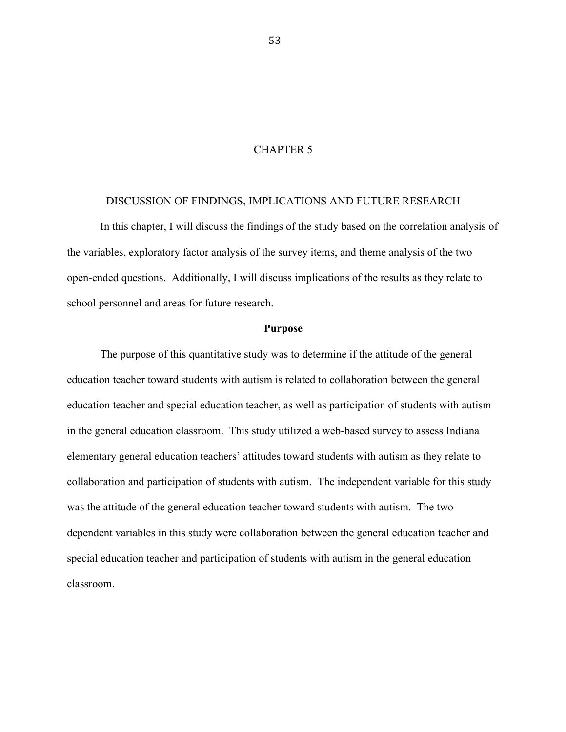# CHAPTER 5

## DISCUSSION OF FINDINGS, IMPLICATIONS AND FUTURE RESEARCH

In this chapter, I will discuss the findings of the study based on the correlation analysis of the variables, exploratory factor analysis of the survey items, and theme analysis of the two open-ended questions. Additionally, I will discuss implications of the results as they relate to school personnel and areas for future research.

#### **Purpose**

The purpose of this quantitative study was to determine if the attitude of the general education teacher toward students with autism is related to collaboration between the general education teacher and special education teacher, as well as participation of students with autism in the general education classroom. This study utilized a web-based survey to assess Indiana elementary general education teachers' attitudes toward students with autism as they relate to collaboration and participation of students with autism. The independent variable for this study was the attitude of the general education teacher toward students with autism. The two dependent variables in this study were collaboration between the general education teacher and special education teacher and participation of students with autism in the general education classroom.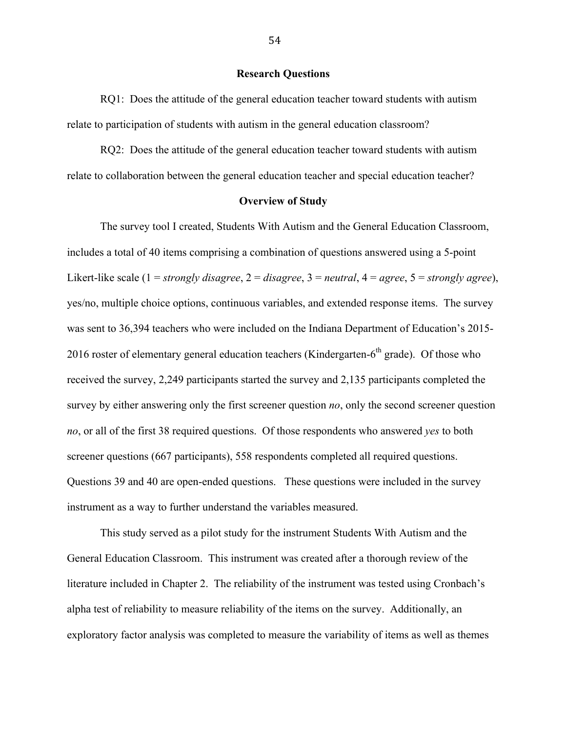# **Research Questions**

RQ1: Does the attitude of the general education teacher toward students with autism relate to participation of students with autism in the general education classroom?

RQ2: Does the attitude of the general education teacher toward students with autism relate to collaboration between the general education teacher and special education teacher?

# **Overview of Study**

The survey tool I created, Students With Autism and the General Education Classroom, includes a total of 40 items comprising a combination of questions answered using a 5-point Likert-like scale (1 = *strongly disagree*, 2 = *disagree*, 3 = *neutral*, 4 = *agree*, 5 = *strongly agree*), yes/no, multiple choice options, continuous variables, and extended response items. The survey was sent to 36,394 teachers who were included on the Indiana Department of Education's 2015- 2016 roster of elementary general education teachers (Kindergarten- $6<sup>th</sup>$  grade). Of those who received the survey, 2,249 participants started the survey and 2,135 participants completed the survey by either answering only the first screener question *no*, only the second screener question *no*, or all of the first 38 required questions. Of those respondents who answered *yes* to both screener questions (667 participants), 558 respondents completed all required questions. Questions 39 and 40 are open-ended questions. These questions were included in the survey instrument as a way to further understand the variables measured.

This study served as a pilot study for the instrument Students With Autism and the General Education Classroom. This instrument was created after a thorough review of the literature included in Chapter 2. The reliability of the instrument was tested using Cronbach's alpha test of reliability to measure reliability of the items on the survey. Additionally, an exploratory factor analysis was completed to measure the variability of items as well as themes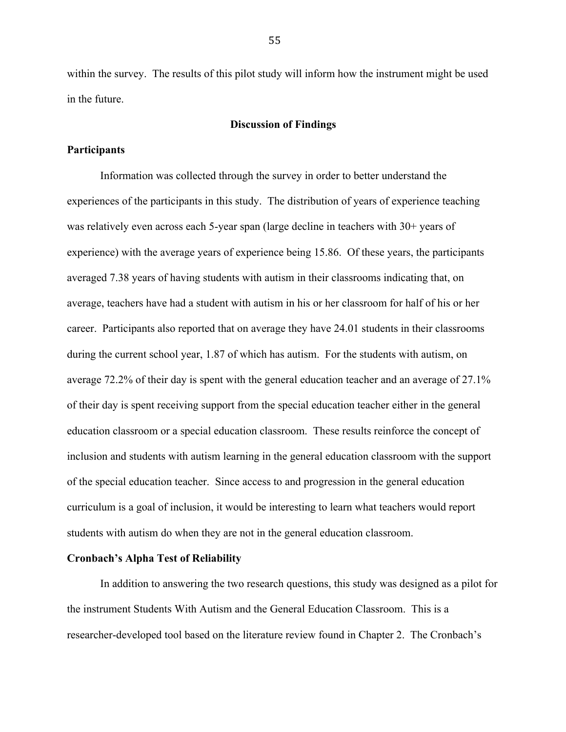within the survey. The results of this pilot study will inform how the instrument might be used in the future.

# **Discussion of Findings**

# **Participants**

Information was collected through the survey in order to better understand the experiences of the participants in this study. The distribution of years of experience teaching was relatively even across each 5-year span (large decline in teachers with 30+ years of experience) with the average years of experience being 15.86. Of these years, the participants averaged 7.38 years of having students with autism in their classrooms indicating that, on average, teachers have had a student with autism in his or her classroom for half of his or her career. Participants also reported that on average they have 24.01 students in their classrooms during the current school year, 1.87 of which has autism. For the students with autism, on average 72.2% of their day is spent with the general education teacher and an average of 27.1% of their day is spent receiving support from the special education teacher either in the general education classroom or a special education classroom. These results reinforce the concept of inclusion and students with autism learning in the general education classroom with the support of the special education teacher. Since access to and progression in the general education curriculum is a goal of inclusion, it would be interesting to learn what teachers would report students with autism do when they are not in the general education classroom.

# **Cronbach's Alpha Test of Reliability**

In addition to answering the two research questions, this study was designed as a pilot for the instrument Students With Autism and the General Education Classroom. This is a researcher-developed tool based on the literature review found in Chapter 2. The Cronbach's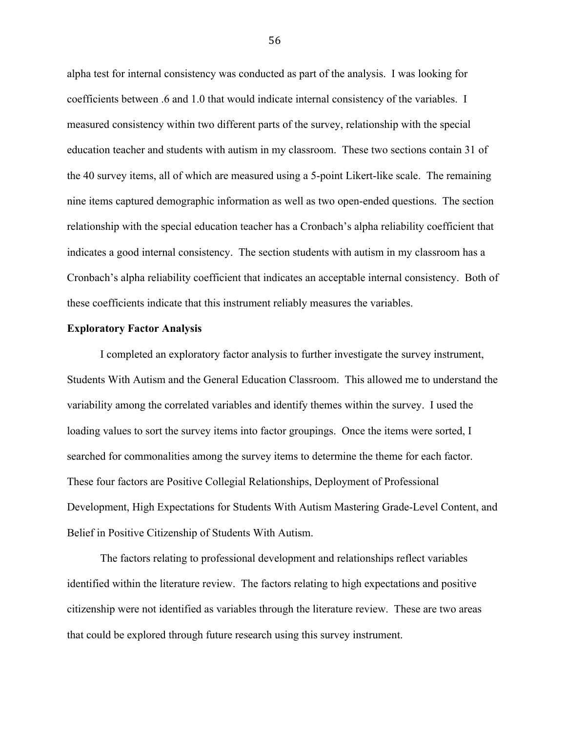alpha test for internal consistency was conducted as part of the analysis. I was looking for coefficients between .6 and 1.0 that would indicate internal consistency of the variables. I measured consistency within two different parts of the survey, relationship with the special education teacher and students with autism in my classroom. These two sections contain 31 of the 40 survey items, all of which are measured using a 5-point Likert-like scale. The remaining nine items captured demographic information as well as two open-ended questions. The section relationship with the special education teacher has a Cronbach's alpha reliability coefficient that indicates a good internal consistency. The section students with autism in my classroom has a Cronbach's alpha reliability coefficient that indicates an acceptable internal consistency. Both of these coefficients indicate that this instrument reliably measures the variables.

### **Exploratory Factor Analysis**

I completed an exploratory factor analysis to further investigate the survey instrument, Students With Autism and the General Education Classroom. This allowed me to understand the variability among the correlated variables and identify themes within the survey. I used the loading values to sort the survey items into factor groupings. Once the items were sorted, I searched for commonalities among the survey items to determine the theme for each factor. These four factors are Positive Collegial Relationships, Deployment of Professional Development, High Expectations for Students With Autism Mastering Grade-Level Content, and Belief in Positive Citizenship of Students With Autism.

The factors relating to professional development and relationships reflect variables identified within the literature review. The factors relating to high expectations and positive citizenship were not identified as variables through the literature review. These are two areas that could be explored through future research using this survey instrument.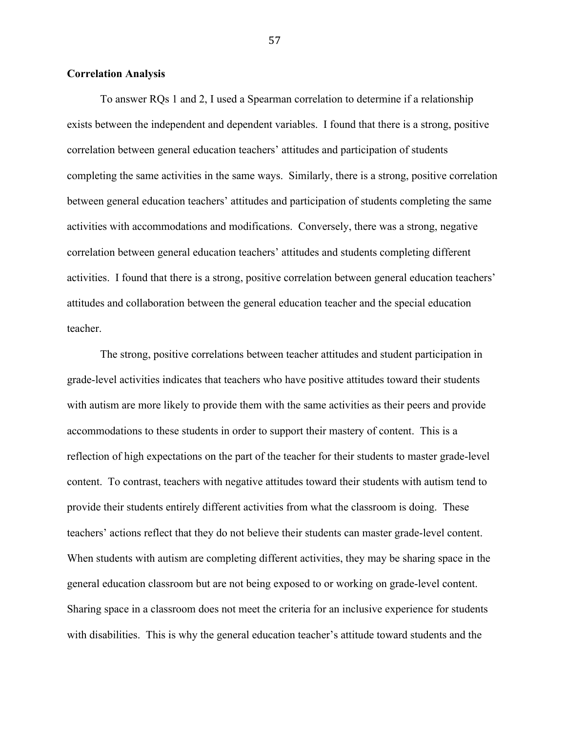### **Correlation Analysis**

To answer RQs 1 and 2, I used a Spearman correlation to determine if a relationship exists between the independent and dependent variables. I found that there is a strong, positive correlation between general education teachers' attitudes and participation of students completing the same activities in the same ways. Similarly, there is a strong, positive correlation between general education teachers' attitudes and participation of students completing the same activities with accommodations and modifications. Conversely, there was a strong, negative correlation between general education teachers' attitudes and students completing different activities. I found that there is a strong, positive correlation between general education teachers' attitudes and collaboration between the general education teacher and the special education teacher.

The strong, positive correlations between teacher attitudes and student participation in grade-level activities indicates that teachers who have positive attitudes toward their students with autism are more likely to provide them with the same activities as their peers and provide accommodations to these students in order to support their mastery of content. This is a reflection of high expectations on the part of the teacher for their students to master grade-level content. To contrast, teachers with negative attitudes toward their students with autism tend to provide their students entirely different activities from what the classroom is doing. These teachers' actions reflect that they do not believe their students can master grade-level content. When students with autism are completing different activities, they may be sharing space in the general education classroom but are not being exposed to or working on grade-level content. Sharing space in a classroom does not meet the criteria for an inclusive experience for students with disabilities. This is why the general education teacher's attitude toward students and the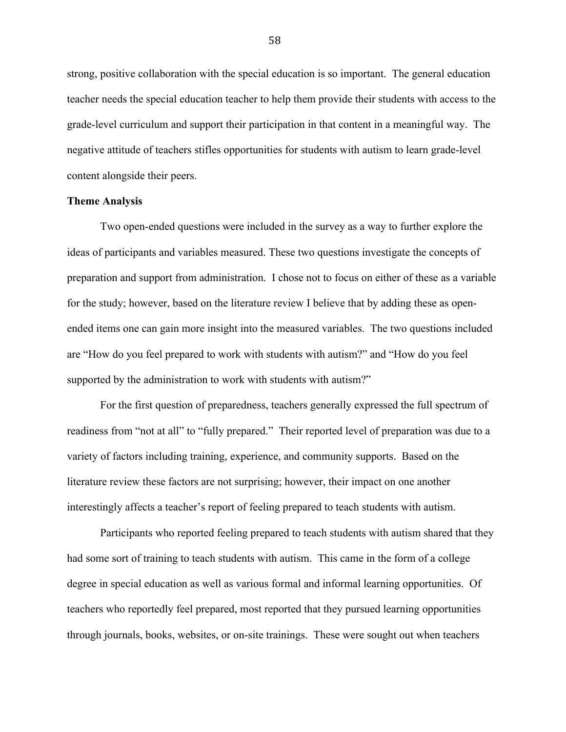strong, positive collaboration with the special education is so important. The general education teacher needs the special education teacher to help them provide their students with access to the grade-level curriculum and support their participation in that content in a meaningful way. The negative attitude of teachers stifles opportunities for students with autism to learn grade-level content alongside their peers.

## **Theme Analysis**

Two open-ended questions were included in the survey as a way to further explore the ideas of participants and variables measured. These two questions investigate the concepts of preparation and support from administration. I chose not to focus on either of these as a variable for the study; however, based on the literature review I believe that by adding these as openended items one can gain more insight into the measured variables. The two questions included are "How do you feel prepared to work with students with autism?" and "How do you feel supported by the administration to work with students with autism?"

For the first question of preparedness, teachers generally expressed the full spectrum of readiness from "not at all" to "fully prepared." Their reported level of preparation was due to a variety of factors including training, experience, and community supports. Based on the literature review these factors are not surprising; however, their impact on one another interestingly affects a teacher's report of feeling prepared to teach students with autism.

Participants who reported feeling prepared to teach students with autism shared that they had some sort of training to teach students with autism. This came in the form of a college degree in special education as well as various formal and informal learning opportunities. Of teachers who reportedly feel prepared, most reported that they pursued learning opportunities through journals, books, websites, or on-site trainings. These were sought out when teachers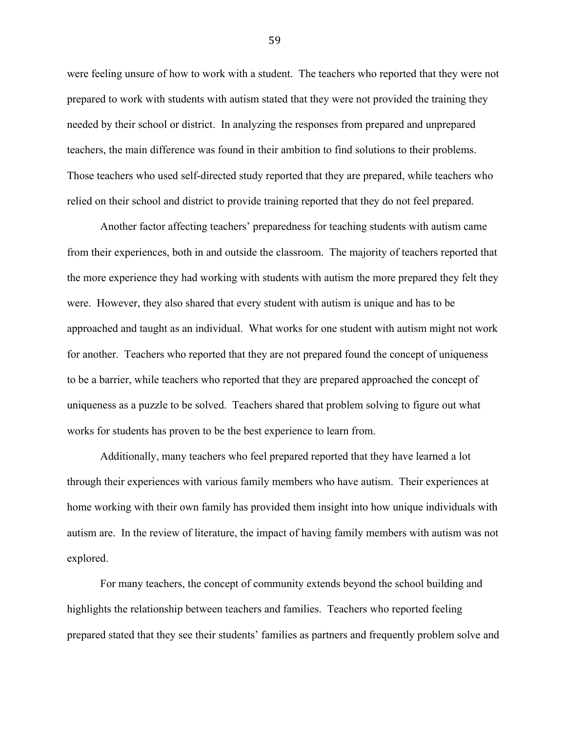were feeling unsure of how to work with a student. The teachers who reported that they were not prepared to work with students with autism stated that they were not provided the training they needed by their school or district. In analyzing the responses from prepared and unprepared teachers, the main difference was found in their ambition to find solutions to their problems. Those teachers who used self-directed study reported that they are prepared, while teachers who relied on their school and district to provide training reported that they do not feel prepared.

Another factor affecting teachers' preparedness for teaching students with autism came from their experiences, both in and outside the classroom. The majority of teachers reported that the more experience they had working with students with autism the more prepared they felt they were. However, they also shared that every student with autism is unique and has to be approached and taught as an individual. What works for one student with autism might not work for another. Teachers who reported that they are not prepared found the concept of uniqueness to be a barrier, while teachers who reported that they are prepared approached the concept of uniqueness as a puzzle to be solved. Teachers shared that problem solving to figure out what works for students has proven to be the best experience to learn from.

Additionally, many teachers who feel prepared reported that they have learned a lot through their experiences with various family members who have autism. Their experiences at home working with their own family has provided them insight into how unique individuals with autism are. In the review of literature, the impact of having family members with autism was not explored.

For many teachers, the concept of community extends beyond the school building and highlights the relationship between teachers and families. Teachers who reported feeling prepared stated that they see their students' families as partners and frequently problem solve and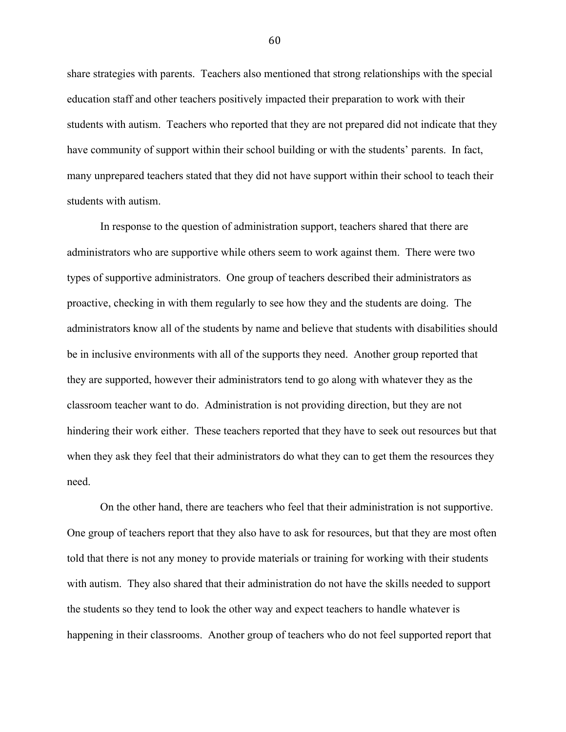share strategies with parents. Teachers also mentioned that strong relationships with the special education staff and other teachers positively impacted their preparation to work with their students with autism. Teachers who reported that they are not prepared did not indicate that they have community of support within their school building or with the students' parents. In fact, many unprepared teachers stated that they did not have support within their school to teach their students with autism.

In response to the question of administration support, teachers shared that there are administrators who are supportive while others seem to work against them. There were two types of supportive administrators. One group of teachers described their administrators as proactive, checking in with them regularly to see how they and the students are doing. The administrators know all of the students by name and believe that students with disabilities should be in inclusive environments with all of the supports they need. Another group reported that they are supported, however their administrators tend to go along with whatever they as the classroom teacher want to do. Administration is not providing direction, but they are not hindering their work either. These teachers reported that they have to seek out resources but that when they ask they feel that their administrators do what they can to get them the resources they need.

On the other hand, there are teachers who feel that their administration is not supportive. One group of teachers report that they also have to ask for resources, but that they are most often told that there is not any money to provide materials or training for working with their students with autism. They also shared that their administration do not have the skills needed to support the students so they tend to look the other way and expect teachers to handle whatever is happening in their classrooms. Another group of teachers who do not feel supported report that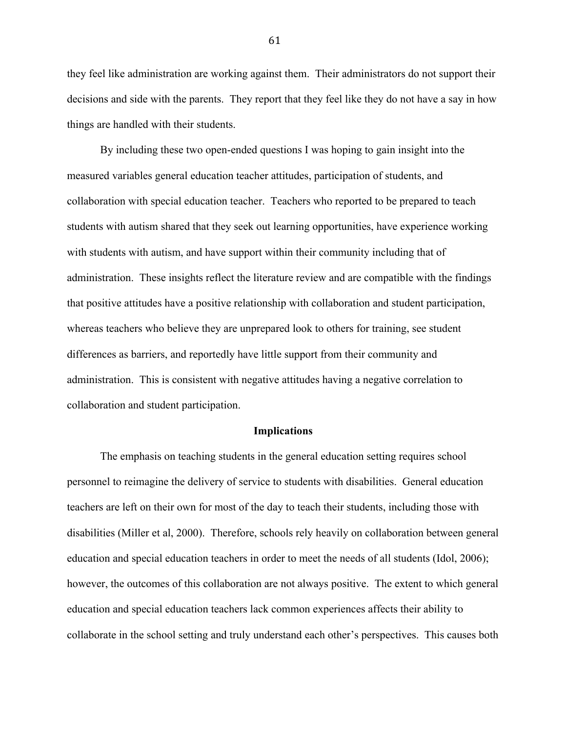they feel like administration are working against them. Their administrators do not support their decisions and side with the parents. They report that they feel like they do not have a say in how things are handled with their students.

By including these two open-ended questions I was hoping to gain insight into the measured variables general education teacher attitudes, participation of students, and collaboration with special education teacher. Teachers who reported to be prepared to teach students with autism shared that they seek out learning opportunities, have experience working with students with autism, and have support within their community including that of administration. These insights reflect the literature review and are compatible with the findings that positive attitudes have a positive relationship with collaboration and student participation, whereas teachers who believe they are unprepared look to others for training, see student differences as barriers, and reportedly have little support from their community and administration. This is consistent with negative attitudes having a negative correlation to collaboration and student participation.

## **Implications**

The emphasis on teaching students in the general education setting requires school personnel to reimagine the delivery of service to students with disabilities. General education teachers are left on their own for most of the day to teach their students, including those with disabilities (Miller et al, 2000). Therefore, schools rely heavily on collaboration between general education and special education teachers in order to meet the needs of all students (Idol, 2006); however, the outcomes of this collaboration are not always positive. The extent to which general education and special education teachers lack common experiences affects their ability to collaborate in the school setting and truly understand each other's perspectives. This causes both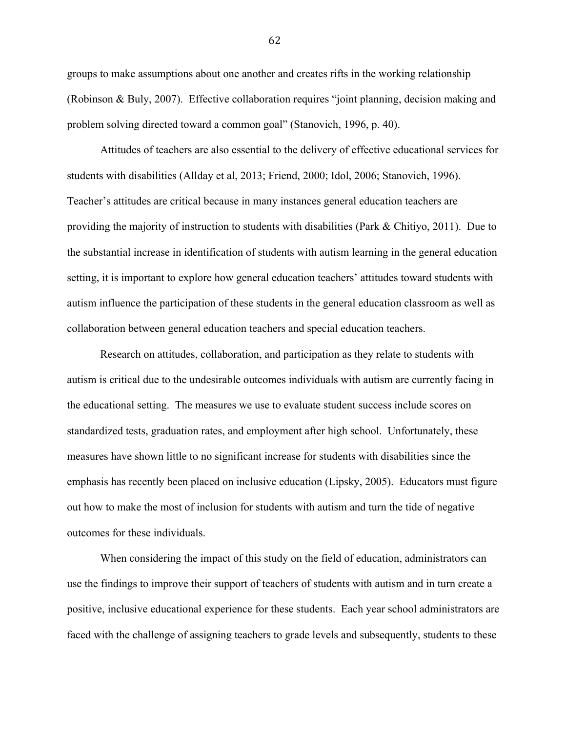groups to make assumptions about one another and creates rifts in the working relationship (Robinson & Buly, 2007). Effective collaboration requires "joint planning, decision making and problem solving directed toward a common goal" (Stanovich, 1996, p. 40).

Attitudes of teachers are also essential to the delivery of effective educational services for students with disabilities (Allday et al, 2013; Friend, 2000; Idol, 2006; Stanovich, 1996). Teacher's attitudes are critical because in many instances general education teachers are providing the majority of instruction to students with disabilities (Park & Chitiyo, 2011). Due to the substantial increase in identification of students with autism learning in the general education setting, it is important to explore how general education teachers' attitudes toward students with autism influence the participation of these students in the general education classroom as well as collaboration between general education teachers and special education teachers.

Research on attitudes, collaboration, and participation as they relate to students with autism is critical due to the undesirable outcomes individuals with autism are currently facing in the educational setting. The measures we use to evaluate student success include scores on standardized tests, graduation rates, and employment after high school. Unfortunately, these measures have shown little to no significant increase for students with disabilities since the emphasis has recently been placed on inclusive education (Lipsky, 2005). Educators must figure out how to make the most of inclusion for students with autism and turn the tide of negative outcomes for these individuals.

When considering the impact of this study on the field of education, administrators can use the findings to improve their support of teachers of students with autism and in turn create a positive, inclusive educational experience for these students. Each year school administrators are faced with the challenge of assigning teachers to grade levels and subsequently, students to these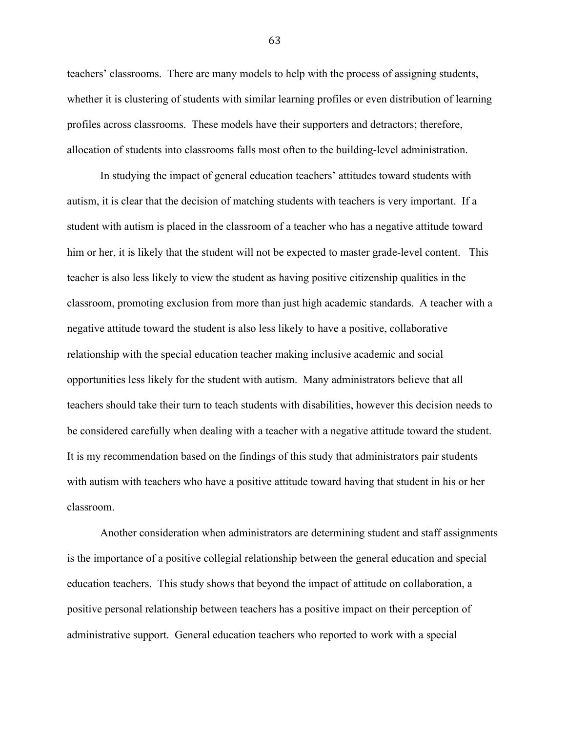teachers' classrooms. There are many models to help with the process of assigning students, whether it is clustering of students with similar learning profiles or even distribution of learning profiles across classrooms. These models have their supporters and detractors; therefore, allocation of students into classrooms falls most often to the building-level administration.

In studying the impact of general education teachers' attitudes toward students with autism, it is clear that the decision of matching students with teachers is very important. If a student with autism is placed in the classroom of a teacher who has a negative attitude toward him or her, it is likely that the student will not be expected to master grade-level content. This teacher is also less likely to view the student as having positive citizenship qualities in the classroom, promoting exclusion from more than just high academic standards. A teacher with a negative attitude toward the student is also less likely to have a positive, collaborative relationship with the special education teacher making inclusive academic and social opportunities less likely for the student with autism. Many administrators believe that all teachers should take their turn to teach students with disabilities, however this decision needs to be considered carefully when dealing with a teacher with a negative attitude toward the student. It is my recommendation based on the findings of this study that administrators pair students with autism with teachers who have a positive attitude toward having that student in his or her classroom.

Another consideration when administrators are determining student and staff assignments is the importance of a positive collegial relationship between the general education and special education teachers. This study shows that beyond the impact of attitude on collaboration, a positive personal relationship between teachers has a positive impact on their perception of administrative support. General education teachers who reported to work with a special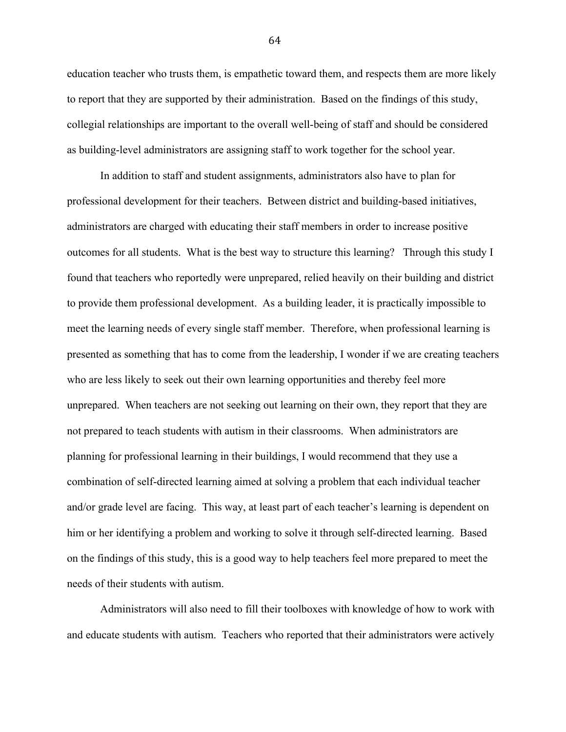education teacher who trusts them, is empathetic toward them, and respects them are more likely to report that they are supported by their administration. Based on the findings of this study, collegial relationships are important to the overall well-being of staff and should be considered as building-level administrators are assigning staff to work together for the school year.

In addition to staff and student assignments, administrators also have to plan for professional development for their teachers. Between district and building-based initiatives, administrators are charged with educating their staff members in order to increase positive outcomes for all students. What is the best way to structure this learning? Through this study I found that teachers who reportedly were unprepared, relied heavily on their building and district to provide them professional development. As a building leader, it is practically impossible to meet the learning needs of every single staff member. Therefore, when professional learning is presented as something that has to come from the leadership, I wonder if we are creating teachers who are less likely to seek out their own learning opportunities and thereby feel more unprepared. When teachers are not seeking out learning on their own, they report that they are not prepared to teach students with autism in their classrooms. When administrators are planning for professional learning in their buildings, I would recommend that they use a combination of self-directed learning aimed at solving a problem that each individual teacher and/or grade level are facing. This way, at least part of each teacher's learning is dependent on him or her identifying a problem and working to solve it through self-directed learning. Based on the findings of this study, this is a good way to help teachers feel more prepared to meet the needs of their students with autism.

Administrators will also need to fill their toolboxes with knowledge of how to work with and educate students with autism. Teachers who reported that their administrators were actively

64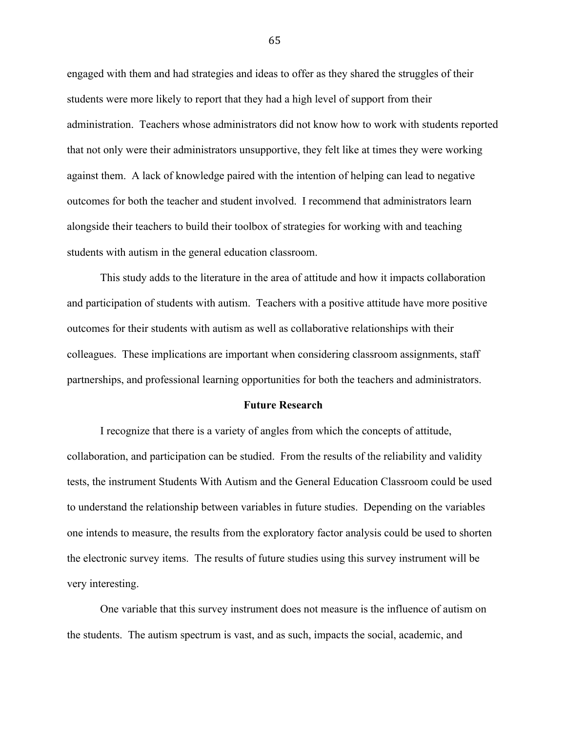engaged with them and had strategies and ideas to offer as they shared the struggles of their students were more likely to report that they had a high level of support from their administration. Teachers whose administrators did not know how to work with students reported that not only were their administrators unsupportive, they felt like at times they were working against them. A lack of knowledge paired with the intention of helping can lead to negative outcomes for both the teacher and student involved. I recommend that administrators learn alongside their teachers to build their toolbox of strategies for working with and teaching students with autism in the general education classroom.

This study adds to the literature in the area of attitude and how it impacts collaboration and participation of students with autism. Teachers with a positive attitude have more positive outcomes for their students with autism as well as collaborative relationships with their colleagues. These implications are important when considering classroom assignments, staff partnerships, and professional learning opportunities for both the teachers and administrators.

### **Future Research**

I recognize that there is a variety of angles from which the concepts of attitude, collaboration, and participation can be studied. From the results of the reliability and validity tests, the instrument Students With Autism and the General Education Classroom could be used to understand the relationship between variables in future studies. Depending on the variables one intends to measure, the results from the exploratory factor analysis could be used to shorten the electronic survey items. The results of future studies using this survey instrument will be very interesting.

One variable that this survey instrument does not measure is the influence of autism on the students. The autism spectrum is vast, and as such, impacts the social, academic, and

65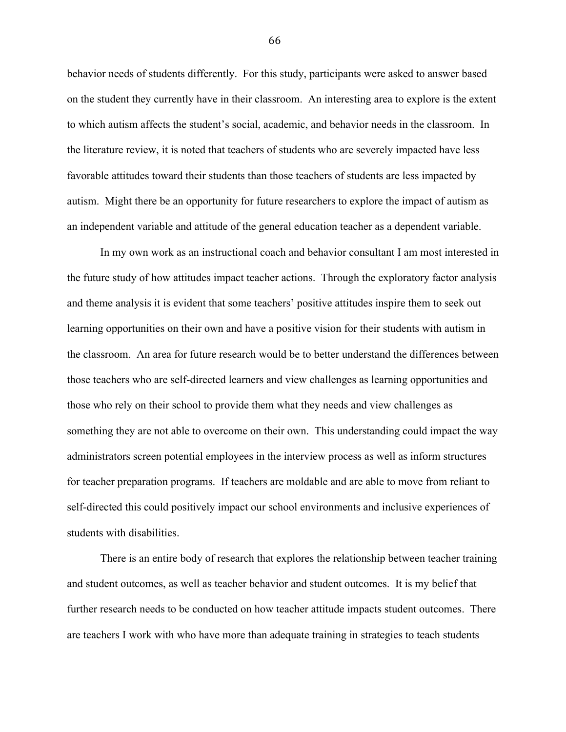behavior needs of students differently. For this study, participants were asked to answer based on the student they currently have in their classroom. An interesting area to explore is the extent to which autism affects the student's social, academic, and behavior needs in the classroom. In the literature review, it is noted that teachers of students who are severely impacted have less favorable attitudes toward their students than those teachers of students are less impacted by autism. Might there be an opportunity for future researchers to explore the impact of autism as an independent variable and attitude of the general education teacher as a dependent variable.

In my own work as an instructional coach and behavior consultant I am most interested in the future study of how attitudes impact teacher actions. Through the exploratory factor analysis and theme analysis it is evident that some teachers' positive attitudes inspire them to seek out learning opportunities on their own and have a positive vision for their students with autism in the classroom. An area for future research would be to better understand the differences between those teachers who are self-directed learners and view challenges as learning opportunities and those who rely on their school to provide them what they needs and view challenges as something they are not able to overcome on their own. This understanding could impact the way administrators screen potential employees in the interview process as well as inform structures for teacher preparation programs. If teachers are moldable and are able to move from reliant to self-directed this could positively impact our school environments and inclusive experiences of students with disabilities.

There is an entire body of research that explores the relationship between teacher training and student outcomes, as well as teacher behavior and student outcomes. It is my belief that further research needs to be conducted on how teacher attitude impacts student outcomes. There are teachers I work with who have more than adequate training in strategies to teach students

66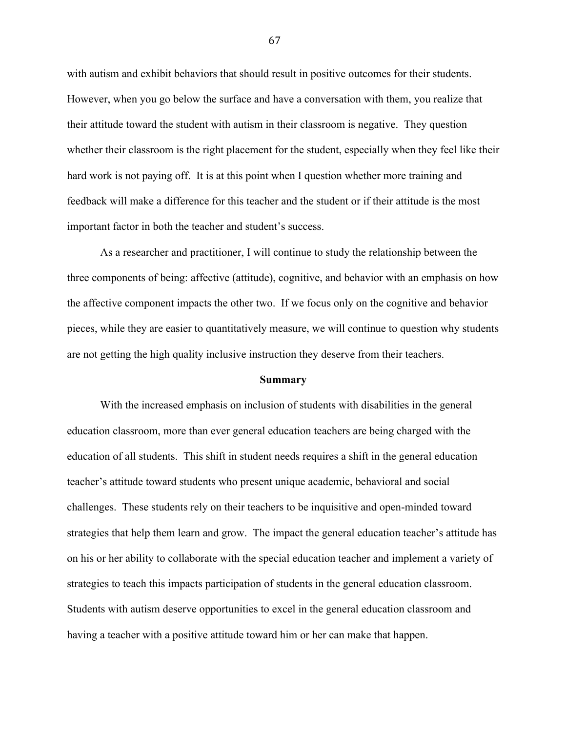with autism and exhibit behaviors that should result in positive outcomes for their students. However, when you go below the surface and have a conversation with them, you realize that their attitude toward the student with autism in their classroom is negative. They question whether their classroom is the right placement for the student, especially when they feel like their hard work is not paying off. It is at this point when I question whether more training and feedback will make a difference for this teacher and the student or if their attitude is the most important factor in both the teacher and student's success.

As a researcher and practitioner, I will continue to study the relationship between the three components of being: affective (attitude), cognitive, and behavior with an emphasis on how the affective component impacts the other two. If we focus only on the cognitive and behavior pieces, while they are easier to quantitatively measure, we will continue to question why students are not getting the high quality inclusive instruction they deserve from their teachers.

#### **Summary**

With the increased emphasis on inclusion of students with disabilities in the general education classroom, more than ever general education teachers are being charged with the education of all students. This shift in student needs requires a shift in the general education teacher's attitude toward students who present unique academic, behavioral and social challenges. These students rely on their teachers to be inquisitive and open-minded toward strategies that help them learn and grow. The impact the general education teacher's attitude has on his or her ability to collaborate with the special education teacher and implement a variety of strategies to teach this impacts participation of students in the general education classroom. Students with autism deserve opportunities to excel in the general education classroom and having a teacher with a positive attitude toward him or her can make that happen.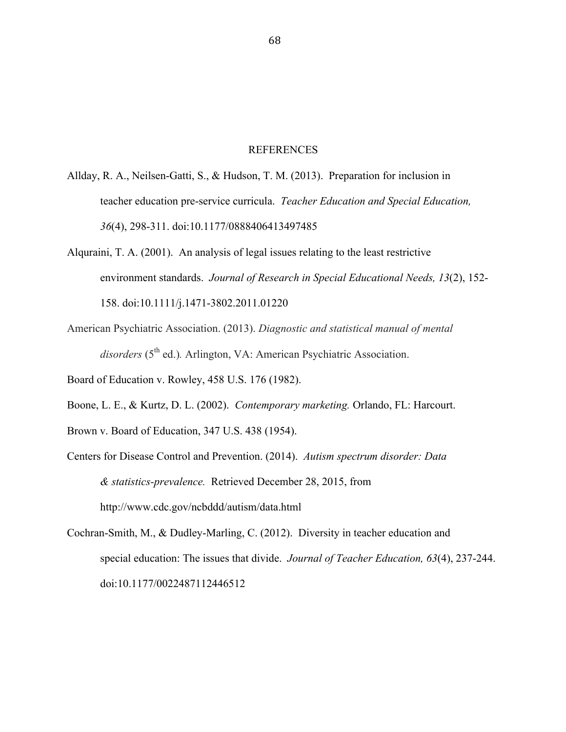### REFERENCES

- Allday, R. A., Neilsen-Gatti, S., & Hudson, T. M. (2013). Preparation for inclusion in teacher education pre-service curricula. *Teacher Education and Special Education, 36*(4), 298-311. doi:10.1177/0888406413497485
- Alquraini, T. A. (2001). An analysis of legal issues relating to the least restrictive environment standards. *Journal of Research in Special Educational Needs, 13*(2), 152- 158. doi:10.1111/j.1471-3802.2011.01220
- American Psychiatric Association. (2013). *Diagnostic and statistical manual of mental disorders* (5<sup>th</sup> ed.). Arlington, VA: American Psychiatric Association.
- Board of Education v. Rowley, 458 U.S. 176 (1982).
- Boone, L. E., & Kurtz, D. L. (2002). *Contemporary marketing.* Orlando, FL: Harcourt.
- Brown v. Board of Education, 347 U.S. 438 (1954).
- Centers for Disease Control and Prevention. (2014). *Autism spectrum disorder: Data & statistics-prevalence.* Retrieved December 28, 2015, from http://www.cdc.gov/ncbddd/autism/data.html
- Cochran-Smith, M., & Dudley-Marling, C. (2012). Diversity in teacher education and special education: The issues that divide. *Journal of Teacher Education, 63*(4), 237-244. doi:10.1177/0022487112446512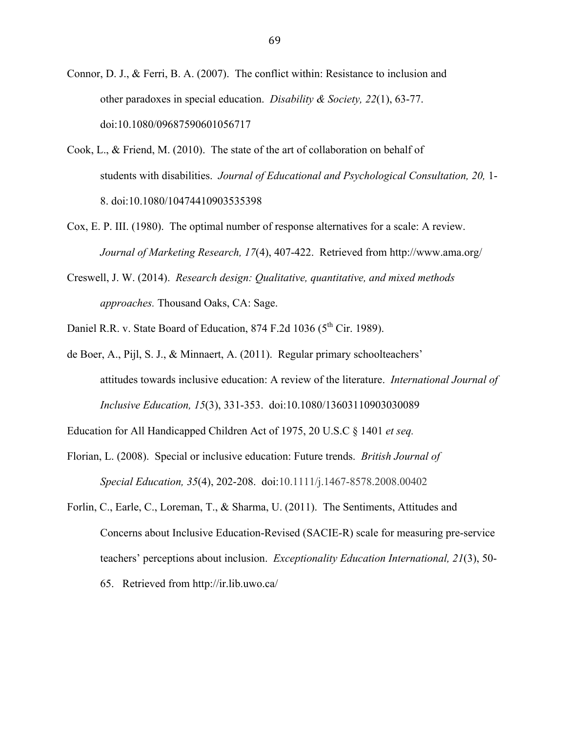Connor, D. J., & Ferri, B. A. (2007). The conflict within: Resistance to inclusion and other paradoxes in special education. *Disability & Society, 22*(1), 63-77. doi:10.1080/09687590601056717

- Cook, L., & Friend, M. (2010). The state of the art of collaboration on behalf of students with disabilities. *Journal of Educational and Psychological Consultation, 20,* 1- 8. doi:10.1080/10474410903535398
- Cox, E. P. III. (1980). The optimal number of response alternatives for a scale: A review. *Journal of Marketing Research, 17*(4), 407-422. Retrieved from http://www.ama.org/
- Creswell, J. W. (2014). *Research design: Qualitative, quantitative, and mixed methods approaches.* Thousand Oaks, CA: Sage.
- Daniel R.R. v. State Board of Education,  $874$  F.2d  $1036$  ( $5<sup>th</sup>$  Cir. 1989).
- de Boer, A., Pijl, S. J., & Minnaert, A. (2011). Regular primary schoolteachers' attitudes towards inclusive education: A review of the literature. *International Journal of Inclusive Education, 15*(3), 331-353. doi:10.1080/13603110903030089
- Education for All Handicapped Children Act of 1975, 20 U.S.C § 1401 *et seq.*
- Florian, L. (2008). Special or inclusive education: Future trends. *British Journal of Special Education, 35*(4), 202-208. doi:10.1111/j.1467-8578.2008.00402
- Forlin, C., Earle, C., Loreman, T., & Sharma, U. (2011). The Sentiments, Attitudes and Concerns about Inclusive Education-Revised (SACIE-R) scale for measuring pre-service teachers' perceptions about inclusion. *Exceptionality Education International, 21*(3), 50- 65. Retrieved from http://ir.lib.uwo.ca/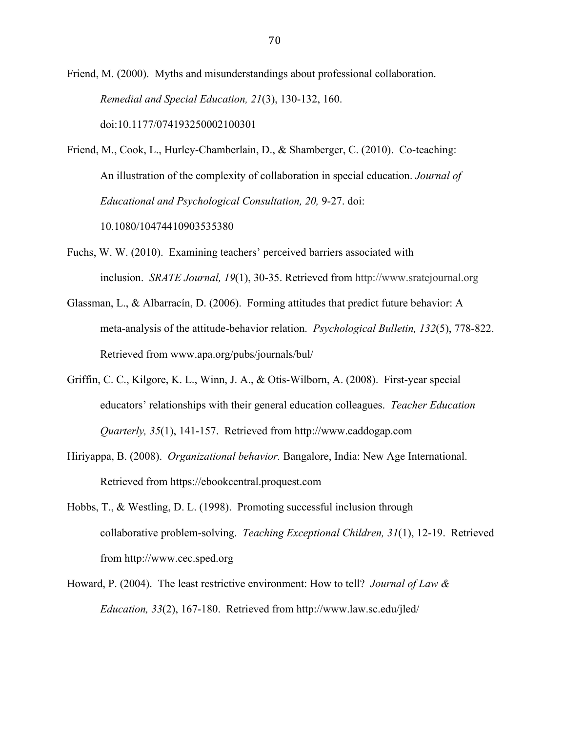Friend, M. (2000). Myths and misunderstandings about professional collaboration. *Remedial and Special Education, 21*(3), 130-132, 160. doi:10.1177/074193250002100301

Friend, M., Cook, L., Hurley-Chamberlain, D., & Shamberger, C. (2010). Co-teaching: An illustration of the complexity of collaboration in special education. *Journal of Educational and Psychological Consultation, 20,* 9-27. doi: 10.1080/10474410903535380

- Fuchs, W. W. (2010). Examining teachers' perceived barriers associated with inclusion. *SRATE Journal, 19*(1), 30-35. Retrieved from http://www.sratejournal.org
- Glassman, L., & Albarracín, D. (2006). Forming attitudes that predict future behavior: A meta-analysis of the attitude-behavior relation. *Psychological Bulletin, 132*(5), 778-822. Retrieved from www.apa.org/pubs/journals/bul/
- Griffin, C. C., Kilgore, K. L., Winn, J. A., & Otis-Wilborn, A. (2008). First-year special educators' relationships with their general education colleagues. *Teacher Education Quarterly, 35*(1), 141-157. Retrieved from http://www.caddogap.com
- Hiriyappa, B. (2008). *Organizational behavior.* Bangalore, India: New Age International. Retrieved from https://ebookcentral.proquest.com
- Hobbs, T., & Westling, D. L. (1998). Promoting successful inclusion through collaborative problem-solving. *Teaching Exceptional Children, 31*(1), 12-19. Retrieved from http://www.cec.sped.org
- Howard, P. (2004). The least restrictive environment: How to tell? *Journal of Law & Education, 33*(2), 167-180. Retrieved from http://www.law.sc.edu/jled/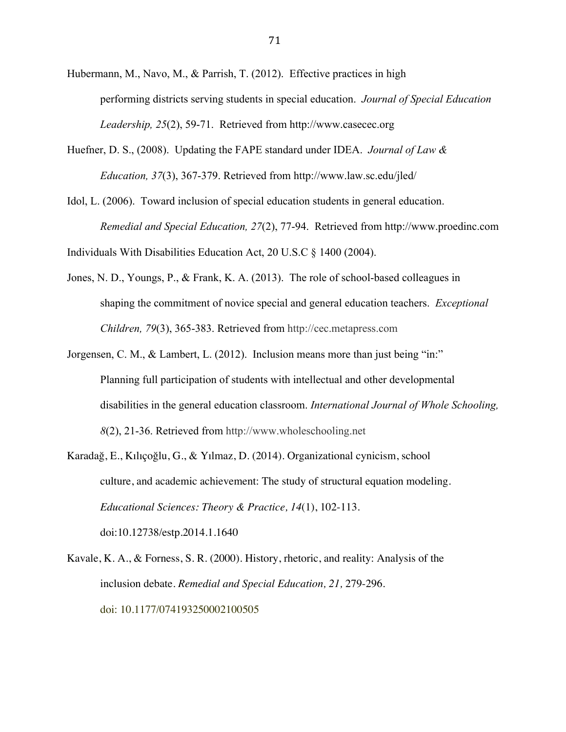- Hubermann, M., Navo, M., & Parrish, T. (2012). Effective practices in high performing districts serving students in special education. *Journal of Special Education Leadership, 25*(2), 59-71. Retrieved from http://www.casecec.org
- Huefner, D. S., (2008). Updating the FAPE standard under IDEA. *Journal of Law & Education, 37*(3), 367-379. Retrieved from http://www.law.sc.edu/jled/
- Idol, L. (2006). Toward inclusion of special education students in general education. *Remedial and Special Education, 27*(2), 77-94. Retrieved from http://www.proedinc.com

Individuals With Disabilities Education Act, 20 U.S.C § 1400 (2004).

- Jones, N. D., Youngs, P., & Frank, K. A. (2013). The role of school-based colleagues in shaping the commitment of novice special and general education teachers. *Exceptional Children, 79*(3), 365-383. Retrieved from http://cec.metapress.com
- Jorgensen, C. M., & Lambert, L. (2012). Inclusion means more than just being "in:" Planning full participation of students with intellectual and other developmental disabilities in the general education classroom. *International Journal of Whole Schooling, 8*(2), 21-36. Retrieved from http://www.wholeschooling.net
- Karadağ, E., Kılıçoğlu, G., & Yılmaz, D. (2014). Organizational cynicism, school culture, and academic achievement: The study of structural equation modeling. *Educational Sciences: Theory & Practice, 14*(1), 102-113. doi:10.12738/estp.2014.1.1640
- Kavale, K. A., & Forness, S. R. (2000). History, rhetoric, and reality: Analysis of the inclusion debate. *Remedial and Special Education, 21,* 279-296. doi: 10.1177/074193250002100505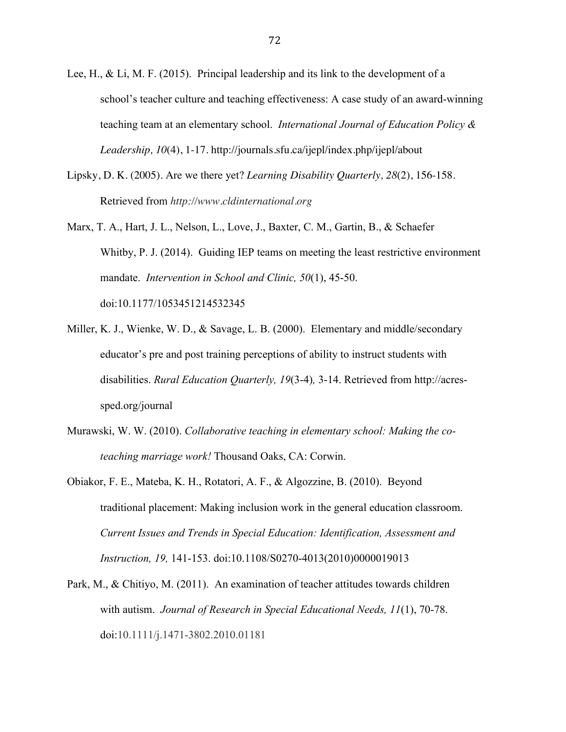- Lee, H., & Li, M. F. (2015). Principal leadership and its link to the development of a school's teacher culture and teaching effectiveness: A case study of an award-winning teaching team at an elementary school. *International Journal of Education Policy & Leadership, 10*(4), 1-17. http://journals.sfu.ca/ijepl/index.php/ijepl/about
- Lipsky, D. K. (2005). Are we there yet? *Learning Disability Quarterly, 28*(2), 156-158. Retrieved from *http://www.cldinternational.org*
- Marx, T. A., Hart, J. L., Nelson, L., Love, J., Baxter, C. M., Gartin, B., & Schaefer Whitby, P. J. (2014). Guiding IEP teams on meeting the least restrictive environment mandate. *Intervention in School and Clinic, 50*(1), 45-50. doi:10.1177/1053451214532345
- Miller, K. J., Wienke, W. D., & Savage, L. B. (2000). Elementary and middle/secondary educator's pre and post training perceptions of ability to instruct students with disabilities. *Rural Education Quarterly, 19*(3-4)*,* 3-14. Retrieved from http://acressped.org/journal
- Murawski, W. W. (2010). *Collaborative teaching in elementary school: Making the coteaching marriage work!* Thousand Oaks, CA: Corwin.
- Obiakor, F. E., Mateba, K. H., Rotatori, A. F., & Algozzine, B. (2010). Beyond traditional placement: Making inclusion work in the general education classroom. *Current Issues and Trends in Special Education: Identification, Assessment and Instruction, 19,* 141-153. doi:10.1108/S0270-4013(2010)0000019013
- Park, M., & Chitiyo, M. (2011). An examination of teacher attitudes towards children with autism. *Journal of Research in Special Educational Needs, 11*(1), 70-78. doi:10.1111/j.1471-3802.2010.01181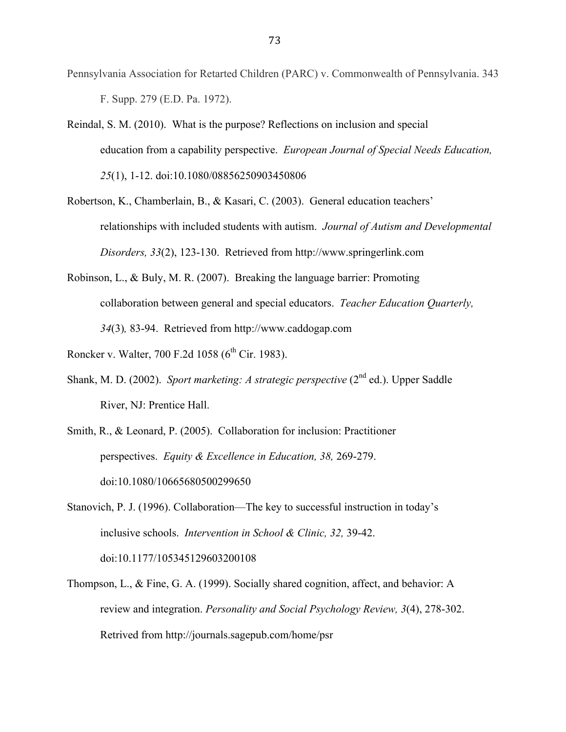- Pennsylvania Association for Retarted Children (PARC) v. Commonwealth of Pennsylvania. 343 F. Supp. 279 (E.D. Pa. 1972).
- Reindal, S. M. (2010). What is the purpose? Reflections on inclusion and special education from a capability perspective. *European Journal of Special Needs Education, 25*(1), 1-12. doi:10.1080/08856250903450806
- Robertson, K., Chamberlain, B., & Kasari, C. (2003). General education teachers' relationships with included students with autism. *Journal of Autism and Developmental Disorders, 33*(2), 123-130. Retrieved from http://www.springerlink.com
- Robinson, L., & Buly, M. R. (2007). Breaking the language barrier: Promoting collaboration between general and special educators. *Teacher Education Quarterly, 34*(3)*,* 83-94. Retrieved from http://www.caddogap.com
- Roncker v. Walter, 700 F.2d 1058 (6<sup>th</sup> Cir. 1983).
- Shank, M. D. (2002). *Sport marketing: A strategic perspective* (2<sup>nd</sup> ed.). Upper Saddle River, NJ: Prentice Hall.
- Smith, R., & Leonard, P. (2005). Collaboration for inclusion: Practitioner perspectives. *Equity & Excellence in Education, 38,* 269-279. doi:10.1080/10665680500299650
- Stanovich, P. J. (1996). Collaboration—The key to successful instruction in today's inclusive schools. *Intervention in School & Clinic, 32,* 39-42. doi:10.1177/105345129603200108
- Thompson, L., & Fine, G. A. (1999). Socially shared cognition, affect, and behavior: A review and integration. *Personality and Social Psychology Review, 3*(4), 278-302. Retrived from http://journals.sagepub.com/home/psr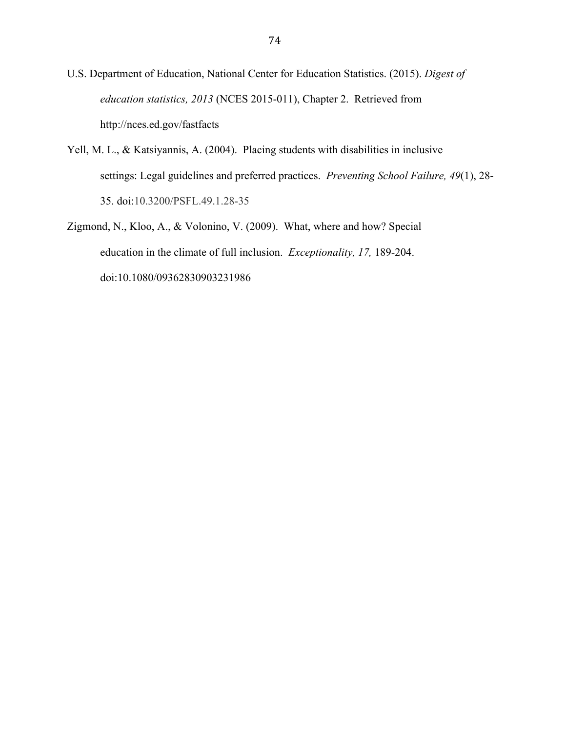- U.S. Department of Education, National Center for Education Statistics. (2015). *Digest of education statistics, 2013* (NCES 2015-011), Chapter 2. Retrieved from http://nces.ed.gov/fastfacts
- Yell, M. L., & Katsiyannis, A. (2004). Placing students with disabilities in inclusive settings: Legal guidelines and preferred practices. *Preventing School Failure, 49*(1), 28- 35. doi:10.3200/PSFL.49.1.28-35
- Zigmond, N., Kloo, A., & Volonino, V. (2009). What, where and how? Special education in the climate of full inclusion. *Exceptionality, 17,* 189-204. doi:10.1080/09362830903231986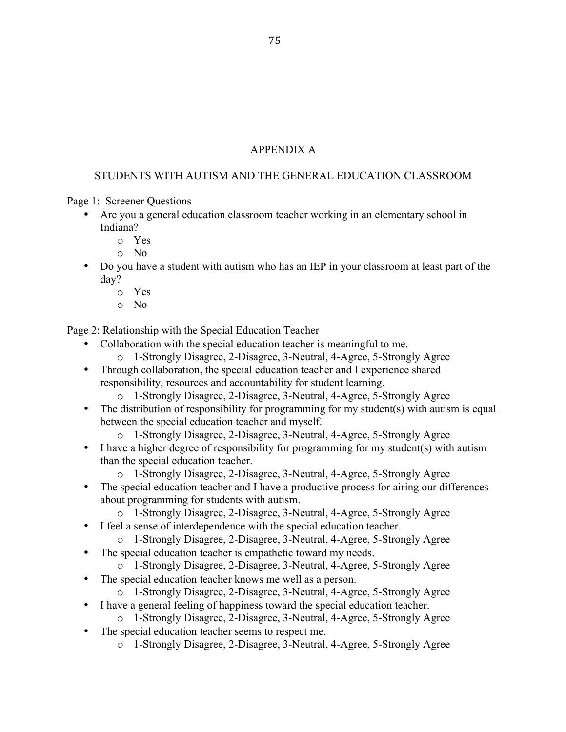# APPENDIX A

# STUDENTS WITH AUTISM AND THE GENERAL EDUCATION CLASSROOM

Page 1: Screener Questions

- Are you a general education classroom teacher working in an elementary school in Indiana?
	- o Yes
	- o No
- Do you have a student with autism who has an IEP in your classroom at least part of the day?
	- o Yes
	- o No

Page 2: Relationship with the Special Education Teacher

- Collaboration with the special education teacher is meaningful to me.
	- o 1-Strongly Disagree, 2-Disagree, 3-Neutral, 4-Agree, 5-Strongly Agree
- Through collaboration, the special education teacher and I experience shared responsibility, resources and accountability for student learning.
	- o 1-Strongly Disagree, 2-Disagree, 3-Neutral, 4-Agree, 5-Strongly Agree
- The distribution of responsibility for programming for my student(s) with autism is equal between the special education teacher and myself.
	- o 1-Strongly Disagree, 2-Disagree, 3-Neutral, 4-Agree, 5-Strongly Agree
- I have a higher degree of responsibility for programming for my student(s) with autism than the special education teacher.
	- o 1-Strongly Disagree, 2-Disagree, 3-Neutral, 4-Agree, 5-Strongly Agree
- The special education teacher and I have a productive process for airing our differences about programming for students with autism.
	- o 1-Strongly Disagree, 2-Disagree, 3-Neutral, 4-Agree, 5-Strongly Agree
- I feel a sense of interdependence with the special education teacher.
	- o 1-Strongly Disagree, 2-Disagree, 3-Neutral, 4-Agree, 5-Strongly Agree
- The special education teacher is empathetic toward my needs.
	- o 1-Strongly Disagree, 2-Disagree, 3-Neutral, 4-Agree, 5-Strongly Agree
- The special education teacher knows me well as a person.
	- o 1-Strongly Disagree, 2-Disagree, 3-Neutral, 4-Agree, 5-Strongly Agree
- I have a general feeling of happiness toward the special education teacher.
	- o 1-Strongly Disagree, 2-Disagree, 3-Neutral, 4-Agree, 5-Strongly Agree
- The special education teacher seems to respect me.
	- o 1-Strongly Disagree, 2-Disagree, 3-Neutral, 4-Agree, 5-Strongly Agree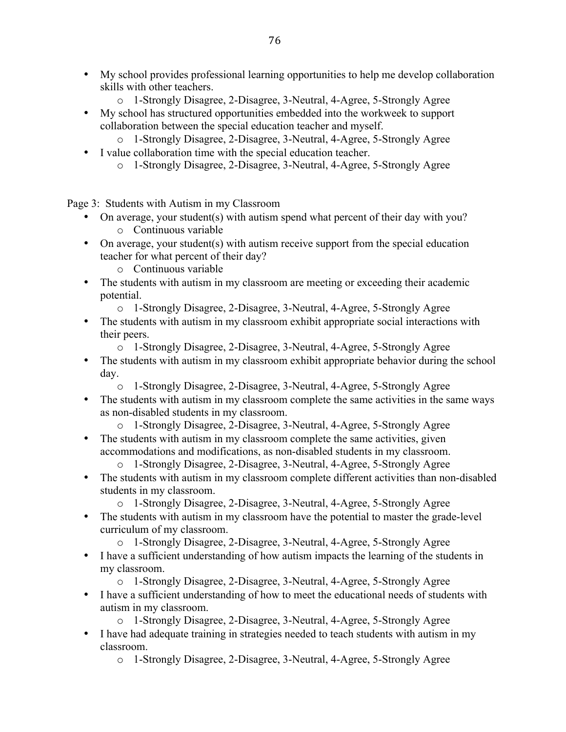- My school provides professional learning opportunities to help me develop collaboration skills with other teachers.
	- o 1-Strongly Disagree, 2-Disagree, 3-Neutral, 4-Agree, 5-Strongly Agree
- My school has structured opportunities embedded into the workweek to support collaboration between the special education teacher and myself.
	- o 1-Strongly Disagree, 2-Disagree, 3-Neutral, 4-Agree, 5-Strongly Agree
- I value collaboration time with the special education teacher.
	- o 1-Strongly Disagree, 2-Disagree, 3-Neutral, 4-Agree, 5-Strongly Agree

Page 3: Students with Autism in my Classroom

- On average, your student(s) with autism spend what percent of their day with you? o Continuous variable
- On average, your student(s) with autism receive support from the special education teacher for what percent of their day?
	- o Continuous variable
- The students with autism in my classroom are meeting or exceeding their academic potential.
	- o 1-Strongly Disagree, 2-Disagree, 3-Neutral, 4-Agree, 5-Strongly Agree
- The students with autism in my classroom exhibit appropriate social interactions with their peers.
	- o 1-Strongly Disagree, 2-Disagree, 3-Neutral, 4-Agree, 5-Strongly Agree
- The students with autism in my classroom exhibit appropriate behavior during the school day.
	- o 1-Strongly Disagree, 2-Disagree, 3-Neutral, 4-Agree, 5-Strongly Agree
- The students with autism in my classroom complete the same activities in the same ways as non-disabled students in my classroom.
	- o 1-Strongly Disagree, 2-Disagree, 3-Neutral, 4-Agree, 5-Strongly Agree
- The students with autism in my classroom complete the same activities, given accommodations and modifications, as non-disabled students in my classroom.
	- o 1-Strongly Disagree, 2-Disagree, 3-Neutral, 4-Agree, 5-Strongly Agree
- The students with autism in my classroom complete different activities than non-disabled students in my classroom.
	- o 1-Strongly Disagree, 2-Disagree, 3-Neutral, 4-Agree, 5-Strongly Agree
- The students with autism in my classroom have the potential to master the grade-level curriculum of my classroom.
	- o 1-Strongly Disagree, 2-Disagree, 3-Neutral, 4-Agree, 5-Strongly Agree
- I have a sufficient understanding of how autism impacts the learning of the students in my classroom.
	- o 1-Strongly Disagree, 2-Disagree, 3-Neutral, 4-Agree, 5-Strongly Agree
- I have a sufficient understanding of how to meet the educational needs of students with autism in my classroom.
	- o 1-Strongly Disagree, 2-Disagree, 3-Neutral, 4-Agree, 5-Strongly Agree
- I have had adequate training in strategies needed to teach students with autism in my classroom.
	- o 1-Strongly Disagree, 2-Disagree, 3-Neutral, 4-Agree, 5-Strongly Agree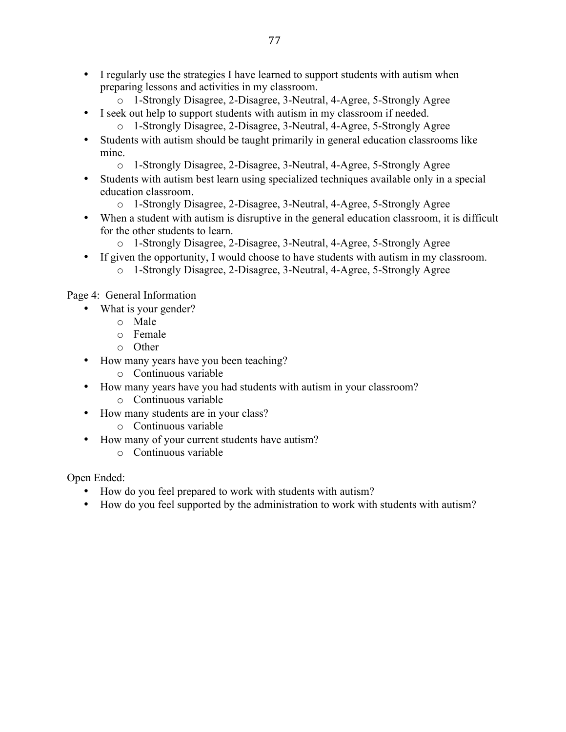- I regularly use the strategies I have learned to support students with autism when preparing lessons and activities in my classroom.
	- o 1-Strongly Disagree, 2-Disagree, 3-Neutral, 4-Agree, 5-Strongly Agree
- I seek out help to support students with autism in my classroom if needed.
	- o 1-Strongly Disagree, 2-Disagree, 3-Neutral, 4-Agree, 5-Strongly Agree
- Students with autism should be taught primarily in general education classrooms like mine.
	- o 1-Strongly Disagree, 2-Disagree, 3-Neutral, 4-Agree, 5-Strongly Agree
- Students with autism best learn using specialized techniques available only in a special education classroom.
	- o 1-Strongly Disagree, 2-Disagree, 3-Neutral, 4-Agree, 5-Strongly Agree
- When a student with autism is disruptive in the general education classroom, it is difficult for the other students to learn.
	- o 1-Strongly Disagree, 2-Disagree, 3-Neutral, 4-Agree, 5-Strongly Agree
- If given the opportunity, I would choose to have students with autism in my classroom. o 1-Strongly Disagree, 2-Disagree, 3-Neutral, 4-Agree, 5-Strongly Agree

Page 4: General Information

- What is your gender?
	- o Male
	- o Female
	- o Other
- How many years have you been teaching?
	- o Continuous variable
- How many years have you had students with autism in your classroom?
	- o Continuous variable
- How many students are in your class?
	- o Continuous variable
- How many of your current students have autism?
	- o Continuous variable

Open Ended:

- How do you feel prepared to work with students with autism?
- How do you feel supported by the administration to work with students with autism?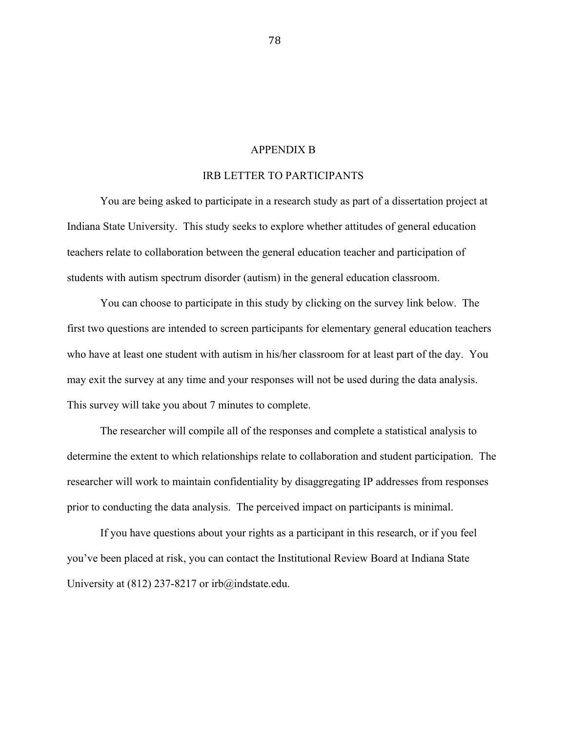### APPENDIX B

### IRB LETTER TO PARTICIPANTS

You are being asked to participate in a research study as part of a dissertation project at Indiana State University. This study seeks to explore whether attitudes of general education teachers relate to collaboration between the general education teacher and participation of students with autism spectrum disorder (autism) in the general education classroom.

You can choose to participate in this study by clicking on the survey link below. The first two questions are intended to screen participants for elementary general education teachers who have at least one student with autism in his/her classroom for at least part of the day. You may exit the survey at any time and your responses will not be used during the data analysis. This survey will take you about 7 minutes to complete.

The researcher will compile all of the responses and complete a statistical analysis to determine the extent to which relationships relate to collaboration and student participation. The researcher will work to maintain confidentiality by disaggregating IP addresses from responses prior to conducting the data analysis. The perceived impact on participants is minimal.

If you have questions about your rights as a participant in this research, or if you feel you've been placed at risk, you can contact the Institutional Review Board at Indiana State University at  $(812)$  237-8217 or irb $@$  indstate.edu.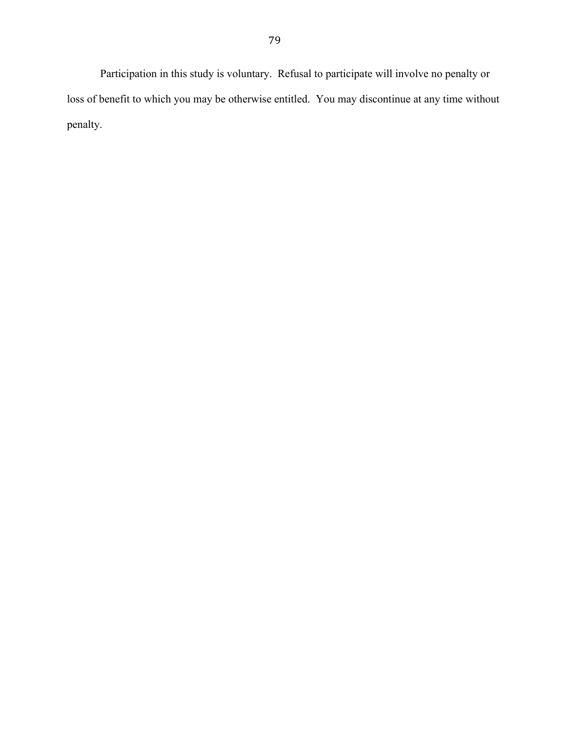Participation in this study is voluntary. Refusal to participate will involve no penalty or loss of benefit to which you may be otherwise entitled. You may discontinue at any time without penalty.